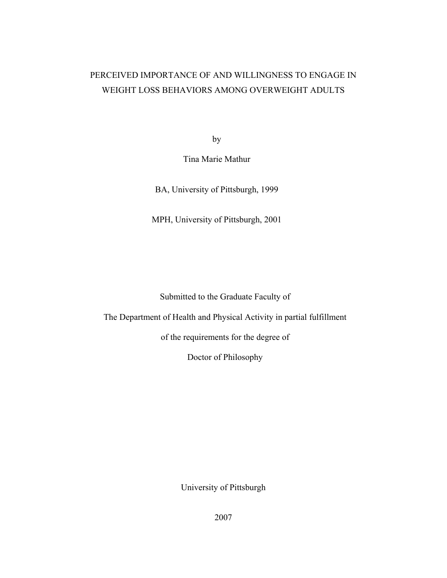# PERCEIVED IMPORTANCE OF AND WILLINGNESS TO ENGAGE IN WEIGHT LOSS BEHAVIORS AMONG OVERWEIGHT ADULTS

by

Tina Marie Mathur

BA, University of Pittsburgh, 1999

MPH, University of Pittsburgh, 2001

Submitted to the Graduate Faculty of

The Department of Health and Physical Activity in partial fulfillment

of the requirements for the degree of

Doctor of Philosophy

University of Pittsburgh

2007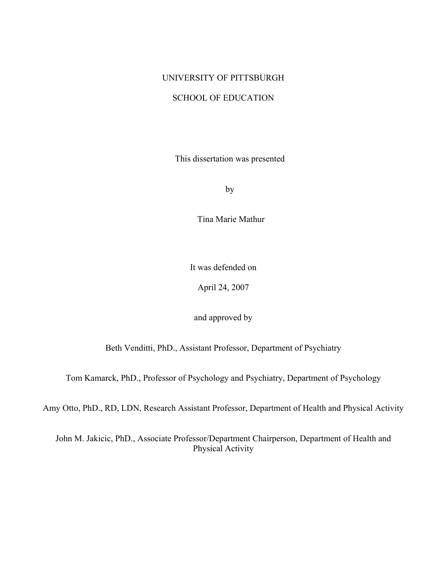## UNIVERSITY OF PITTSBURGH

## SCHOOL OF EDUCATION

This dissertation was presented

by

Tina Marie Mathur

It was defended on

April 24, 2007

and approved by

Beth Venditti, PhD., Assistant Professor, Department of Psychiatry

Tom Kamarck, PhD., Professor of Psychology and Psychiatry, Department of Psychology

Amy Otto, PhD., RD, LDN, Research Assistant Professor, Department of Health and Physical Activity

John M. Jakicic, PhD., Associate Professor/Department Chairperson, Department of Health and Physical Activity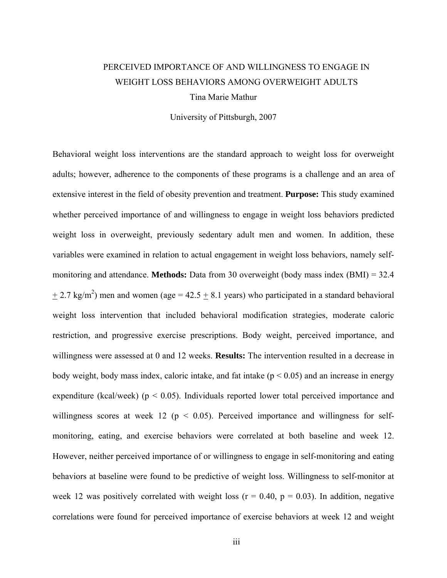# PERCEIVED IMPORTANCE OF AND WILLINGNESS TO ENGAGE IN WEIGHT LOSS BEHAVIORS AMONG OVERWEIGHT ADULTS Tina Marie Mathur

University of Pittsburgh, 2007

Behavioral weight loss interventions are the standard approach to weight loss for overweight adults; however, adherence to the components of these programs is a challenge and an area of extensive interest in the field of obesity prevention and treatment. **Purpose:** This study examined whether perceived importance of and willingness to engage in weight loss behaviors predicted weight loss in overweight, previously sedentary adult men and women. In addition, these variables were examined in relation to actual engagement in weight loss behaviors, namely selfmonitoring and attendance. **Methods:** Data from 30 overweight (body mass index (BMI) = 32.4  $\pm$  2.7 kg/m<sup>2</sup>) men and women (age = 42.5  $\pm$  8.1 years) who participated in a standard behavioral weight loss intervention that included behavioral modification strategies, moderate caloric restriction, and progressive exercise prescriptions. Body weight, perceived importance, and willingness were assessed at 0 and 12 weeks. **Results:** The intervention resulted in a decrease in body weight, body mass index, caloric intake, and fat intake ( $p < 0.05$ ) and an increase in energy expenditure (kcal/week) ( $p < 0.05$ ). Individuals reported lower total perceived importance and willingness scores at week 12 ( $p < 0.05$ ). Perceived importance and willingness for selfmonitoring, eating, and exercise behaviors were correlated at both baseline and week 12. However, neither perceived importance of or willingness to engage in self-monitoring and eating behaviors at baseline were found to be predictive of weight loss. Willingness to self-monitor at week 12 was positively correlated with weight loss ( $r = 0.40$ ,  $p = 0.03$ ). In addition, negative correlations were found for perceived importance of exercise behaviors at week 12 and weight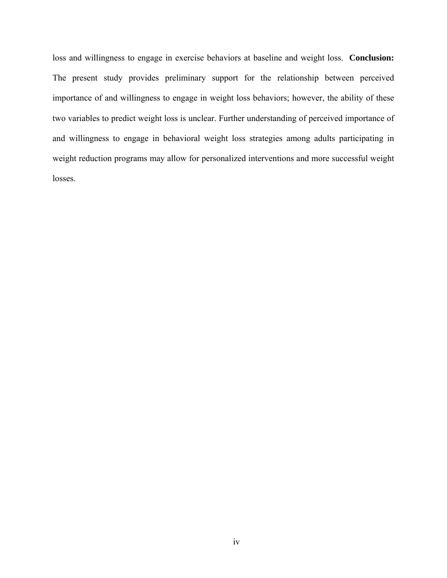loss and willingness to engage in exercise behaviors at baseline and weight loss. **Conclusion:** The present study provides preliminary support for the relationship between perceived importance of and willingness to engage in weight loss behaviors; however, the ability of these two variables to predict weight loss is unclear. Further understanding of perceived importance of and willingness to engage in behavioral weight loss strategies among adults participating in weight reduction programs may allow for personalized interventions and more successful weight losses.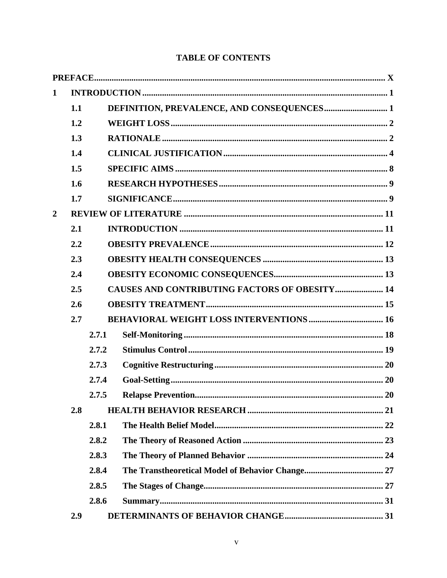## **TABLE OF CONTENTS**

| $\mathbf 1$    |                                                             |       |  |  |  |  |  |  |
|----------------|-------------------------------------------------------------|-------|--|--|--|--|--|--|
|                | 1.1                                                         |       |  |  |  |  |  |  |
|                | 1.2                                                         |       |  |  |  |  |  |  |
|                | 1.3                                                         |       |  |  |  |  |  |  |
|                | 1.4                                                         |       |  |  |  |  |  |  |
|                | 1.5                                                         |       |  |  |  |  |  |  |
|                | 1.6                                                         |       |  |  |  |  |  |  |
|                | 1.7                                                         |       |  |  |  |  |  |  |
| $\overline{2}$ |                                                             |       |  |  |  |  |  |  |
|                | 2.1                                                         |       |  |  |  |  |  |  |
|                | 2.2                                                         |       |  |  |  |  |  |  |
|                | 2.3                                                         |       |  |  |  |  |  |  |
|                | 2.4                                                         |       |  |  |  |  |  |  |
|                | <b>CAUSES AND CONTRIBUTING FACTORS OF OBESITY 14</b><br>2.5 |       |  |  |  |  |  |  |
|                | 2.6                                                         |       |  |  |  |  |  |  |
|                | 2.7                                                         |       |  |  |  |  |  |  |
|                |                                                             | 2.7.1 |  |  |  |  |  |  |
|                |                                                             | 2.7.2 |  |  |  |  |  |  |
|                |                                                             | 2.7.3 |  |  |  |  |  |  |
|                |                                                             | 2.7.4 |  |  |  |  |  |  |
|                |                                                             | 2.7.5 |  |  |  |  |  |  |
|                | 2.8                                                         |       |  |  |  |  |  |  |
|                |                                                             | 2.8.1 |  |  |  |  |  |  |
|                |                                                             | 2.8.2 |  |  |  |  |  |  |
|                |                                                             | 2.8.3 |  |  |  |  |  |  |
|                |                                                             | 2.8.4 |  |  |  |  |  |  |
|                |                                                             | 2.8.5 |  |  |  |  |  |  |
|                |                                                             | 2.8.6 |  |  |  |  |  |  |
|                | 2.9                                                         |       |  |  |  |  |  |  |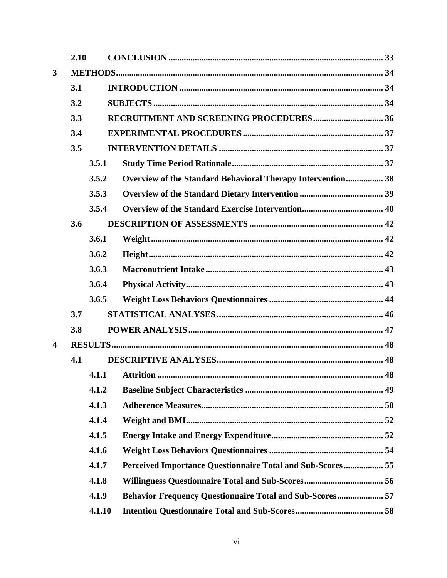|                         | 2.10 |        |                                                                 |  |  |  |  |  |
|-------------------------|------|--------|-----------------------------------------------------------------|--|--|--|--|--|
| $\mathbf{3}$            |      |        |                                                                 |  |  |  |  |  |
|                         | 3.1  |        |                                                                 |  |  |  |  |  |
|                         | 3.2  |        |                                                                 |  |  |  |  |  |
|                         | 3.3  |        |                                                                 |  |  |  |  |  |
|                         | 3.4  |        |                                                                 |  |  |  |  |  |
|                         | 3.5  |        |                                                                 |  |  |  |  |  |
|                         |      | 3.5.1  |                                                                 |  |  |  |  |  |
|                         |      | 3.5.2  | Overview of the Standard Behavioral Therapy Intervention 38     |  |  |  |  |  |
|                         |      | 3.5.3  |                                                                 |  |  |  |  |  |
|                         |      | 3.5.4  |                                                                 |  |  |  |  |  |
|                         | 3.6  |        |                                                                 |  |  |  |  |  |
|                         |      | 3.6.1  |                                                                 |  |  |  |  |  |
|                         |      | 3.6.2  |                                                                 |  |  |  |  |  |
|                         |      | 3.6.3  |                                                                 |  |  |  |  |  |
|                         |      | 3.6.4  |                                                                 |  |  |  |  |  |
|                         |      | 3.6.5  |                                                                 |  |  |  |  |  |
|                         | 3.7  |        |                                                                 |  |  |  |  |  |
|                         | 3.8  |        |                                                                 |  |  |  |  |  |
| $\overline{\mathbf{4}}$ |      |        |                                                                 |  |  |  |  |  |
|                         | 4.1  |        |                                                                 |  |  |  |  |  |
|                         |      | 4.1.1  |                                                                 |  |  |  |  |  |
|                         |      | 4.1.2  |                                                                 |  |  |  |  |  |
|                         |      | 4.1.3  |                                                                 |  |  |  |  |  |
|                         |      | 4.1.4  |                                                                 |  |  |  |  |  |
|                         |      | 4.1.5  |                                                                 |  |  |  |  |  |
|                         |      | 4.1.6  |                                                                 |  |  |  |  |  |
|                         |      | 4.1.7  | Perceived Importance Questionnaire Total and Sub-Scores 55      |  |  |  |  |  |
|                         |      | 4.1.8  |                                                                 |  |  |  |  |  |
|                         |      | 4.1.9  | <b>Behavior Frequency Questionnaire Total and Sub-Scores 57</b> |  |  |  |  |  |
|                         |      | 4.1.10 |                                                                 |  |  |  |  |  |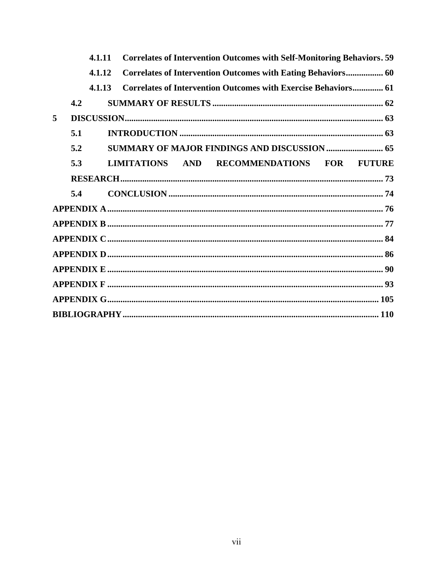|   |     | 4.1.11 |                 |  | <b>Correlates of Intervention Outcomes with Self-Monitoring Behaviors. 59</b> |  |
|---|-----|--------|-----------------|--|-------------------------------------------------------------------------------|--|
|   |     | 4.1.12 |                 |  | Correlates of Intervention Outcomes with Eating Behaviors 60                  |  |
|   |     | 4.1.13 |                 |  | Correlates of Intervention Outcomes with Exercise Behaviors 61                |  |
|   | 4.2 |        |                 |  |                                                                               |  |
| 5 |     |        |                 |  |                                                                               |  |
|   | 5.1 |        |                 |  |                                                                               |  |
|   | 5.2 |        |                 |  | <b>SUMMARY OF MAJOR FINDINGS AND DISCUSSION  65</b>                           |  |
|   | 5.3 |        | LIMITATIONS AND |  | RECOMMENDATIONS FOR FUTURE                                                    |  |
|   |     |        |                 |  |                                                                               |  |
|   | 5.4 |        |                 |  |                                                                               |  |
|   |     |        |                 |  |                                                                               |  |
|   |     |        |                 |  |                                                                               |  |
|   |     |        |                 |  |                                                                               |  |
|   |     |        |                 |  |                                                                               |  |
|   |     |        |                 |  |                                                                               |  |
|   |     |        |                 |  |                                                                               |  |
|   |     |        |                 |  |                                                                               |  |
|   |     |        |                 |  |                                                                               |  |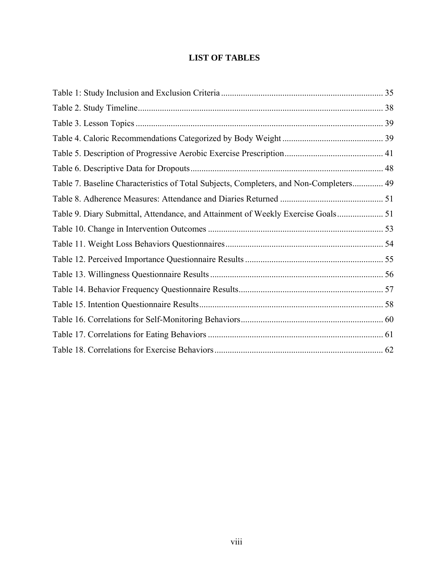## **LIST OF TABLES**

| Table 7. Baseline Characteristics of Total Subjects, Completers, and Non-Completers 49 |  |
|----------------------------------------------------------------------------------------|--|
|                                                                                        |  |
| Table 9. Diary Submittal, Attendance, and Attainment of Weekly Exercise Goals          |  |
|                                                                                        |  |
|                                                                                        |  |
|                                                                                        |  |
|                                                                                        |  |
|                                                                                        |  |
|                                                                                        |  |
|                                                                                        |  |
|                                                                                        |  |
|                                                                                        |  |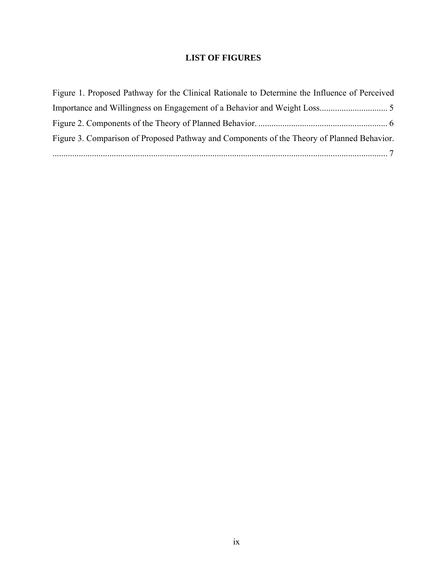## **LIST OF FIGURES**

| Figure 1. Proposed Pathway for the Clinical Rationale to Determine the Influence of Perceived |  |
|-----------------------------------------------------------------------------------------------|--|
|                                                                                               |  |
|                                                                                               |  |
| Figure 3. Comparison of Proposed Pathway and Components of the Theory of Planned Behavior.    |  |
|                                                                                               |  |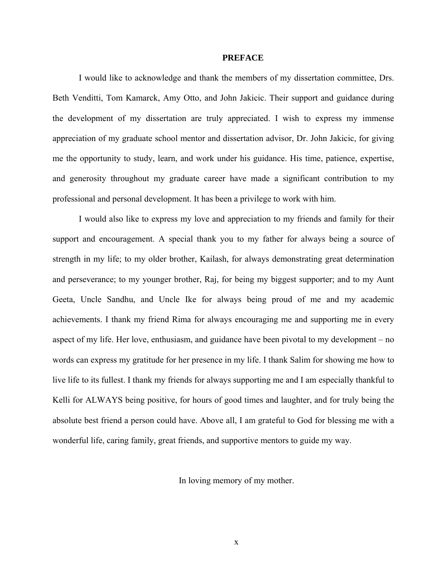#### **PREFACE**

<span id="page-9-0"></span>I would like to acknowledge and thank the members of my dissertation committee, Drs. Beth Venditti, Tom Kamarck, Amy Otto, and John Jakicic. Their support and guidance during the development of my dissertation are truly appreciated. I wish to express my immense appreciation of my graduate school mentor and dissertation advisor, Dr. John Jakicic, for giving me the opportunity to study, learn, and work under his guidance. His time, patience, expertise, and generosity throughout my graduate career have made a significant contribution to my professional and personal development. It has been a privilege to work with him.

I would also like to express my love and appreciation to my friends and family for their support and encouragement. A special thank you to my father for always being a source of strength in my life; to my older brother, Kailash, for always demonstrating great determination and perseverance; to my younger brother, Raj, for being my biggest supporter; and to my Aunt Geeta, Uncle Sandhu, and Uncle Ike for always being proud of me and my academic achievements. I thank my friend Rima for always encouraging me and supporting me in every aspect of my life. Her love, enthusiasm, and guidance have been pivotal to my development – no words can express my gratitude for her presence in my life. I thank Salim for showing me how to live life to its fullest. I thank my friends for always supporting me and I am especially thankful to Kelli for ALWAYS being positive, for hours of good times and laughter, and for truly being the absolute best friend a person could have. Above all, I am grateful to God for blessing me with a wonderful life, caring family, great friends, and supportive mentors to guide my way.

In loving memory of my mother.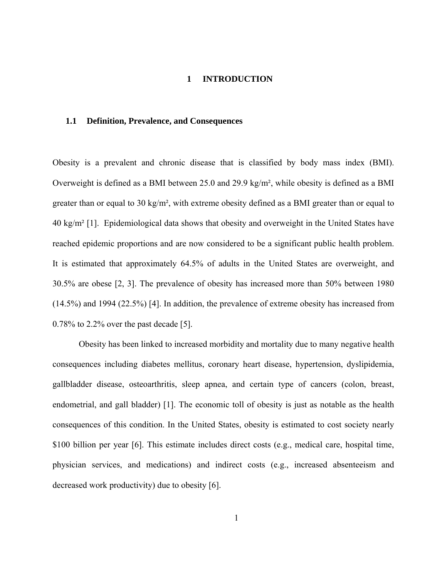### **1 INTRODUCTION**

#### <span id="page-10-0"></span>**1.1 Definition, Prevalence, and Consequences**

Obesity is a prevalent and chronic disease that is classified by body mass index (BMI). Overweight is defined as a BMI between 25.0 and 29.9 kg/m², while obesity is defined as a BMI greater than or equal to 30 kg/m², with extreme obesity defined as a BMI greater than or equal to 40 kg/m² [1]. Epidemiological data shows that obesity and overweight in the United States have reached epidemic proportions and are now considered to be a significant public health problem. It is estimated that approximately 64.5% of adults in the United States are overweight, and 30.5% are obese [2, 3]. The prevalence of obesity has increased more than 50% between 1980 (14.5%) and 1994 (22.5%) [4]. In addition, the prevalence of extreme obesity has increased from 0.78% to 2.2% over the past decade [5].

Obesity has been linked to increased morbidity and mortality due to many negative health consequences including diabetes mellitus, coronary heart disease, hypertension, dyslipidemia, gallbladder disease, osteoarthritis, sleep apnea, and certain type of cancers (colon, breast, endometrial, and gall bladder) [1]. The economic toll of obesity is just as notable as the health consequences of this condition. In the United States, obesity is estimated to cost society nearly \$100 billion per year [6]. This estimate includes direct costs (e.g., medical care, hospital time, physician services, and medications) and indirect costs (e.g., increased absenteeism and decreased work productivity) due to obesity [6].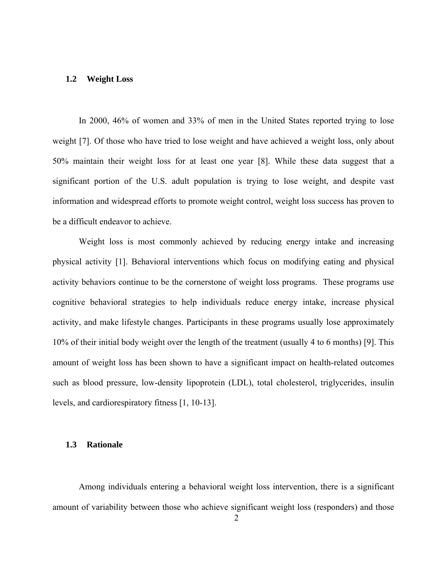### <span id="page-11-0"></span>**1.2 Weight Loss**

In 2000, 46% of women and 33% of men in the United States reported trying to lose weight [7]. Of those who have tried to lose weight and have achieved a weight loss, only about 50% maintain their weight loss for at least one year [8]. While these data suggest that a significant portion of the U.S. adult population is trying to lose weight, and despite vast information and widespread efforts to promote weight control, weight loss success has proven to be a difficult endeavor to achieve.

Weight loss is most commonly achieved by reducing energy intake and increasing physical activity [1]. Behavioral interventions which focus on modifying eating and physical activity behaviors continue to be the cornerstone of weight loss programs. These programs use cognitive behavioral strategies to help individuals reduce energy intake, increase physical activity, and make lifestyle changes. Participants in these programs usually lose approximately 10% of their initial body weight over the length of the treatment (usually 4 to 6 months) [9]. This amount of weight loss has been shown to have a significant impact on health-related outcomes such as blood pressure, low-density lipoprotein (LDL), total cholesterol, triglycerides, insulin levels, and cardiorespiratory fitness [1, 10-13].

## **1.3 Rationale**

Among individuals entering a behavioral weight loss intervention, there is a significant amount of variability between those who achieve significant weight loss (responders) and those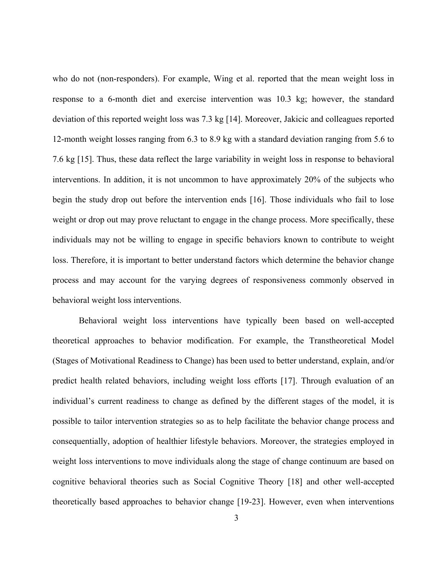who do not (non-responders). For example, Wing et al. reported that the mean weight loss in response to a 6-month diet and exercise intervention was 10.3 kg; however, the standard deviation of this reported weight loss was 7.3 kg [14]. Moreover, Jakicic and colleagues reported 12-month weight losses ranging from 6.3 to 8.9 kg with a standard deviation ranging from 5.6 to 7.6 kg [15]. Thus, these data reflect the large variability in weight loss in response to behavioral interventions. In addition, it is not uncommon to have approximately 20% of the subjects who begin the study drop out before the intervention ends [16]. Those individuals who fail to lose weight or drop out may prove reluctant to engage in the change process. More specifically, these individuals may not be willing to engage in specific behaviors known to contribute to weight loss. Therefore, it is important to better understand factors which determine the behavior change process and may account for the varying degrees of responsiveness commonly observed in behavioral weight loss interventions.

Behavioral weight loss interventions have typically been based on well-accepted theoretical approaches to behavior modification. For example, the Transtheoretical Model (Stages of Motivational Readiness to Change) has been used to better understand, explain, and/or predict health related behaviors, including weight loss efforts [17]. Through evaluation of an individual's current readiness to change as defined by the different stages of the model, it is possible to tailor intervention strategies so as to help facilitate the behavior change process and consequentially, adoption of healthier lifestyle behaviors. Moreover, the strategies employed in weight loss interventions to move individuals along the stage of change continuum are based on cognitive behavioral theories such as Social Cognitive Theory [18] and other well-accepted theoretically based approaches to behavior change [19-23]. However, even when interventions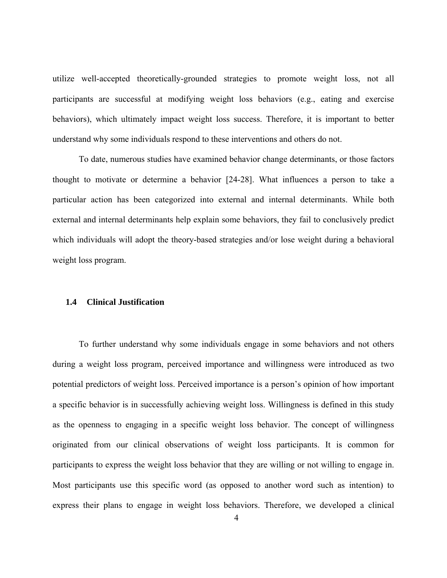<span id="page-13-0"></span>utilize well-accepted theoretically-grounded strategies to promote weight loss, not all participants are successful at modifying weight loss behaviors (e.g., eating and exercise behaviors), which ultimately impact weight loss success. Therefore, it is important to better understand why some individuals respond to these interventions and others do not.

To date, numerous studies have examined behavior change determinants, or those factors thought to motivate or determine a behavior [24-28]. What influences a person to take a particular action has been categorized into external and internal determinants. While both external and internal determinants help explain some behaviors, they fail to conclusively predict which individuals will adopt the theory-based strategies and/or lose weight during a behavioral weight loss program.

## **1.4 Clinical Justification**

To further understand why some individuals engage in some behaviors and not others during a weight loss program, perceived importance and willingness were introduced as two potential predictors of weight loss. Perceived importance is a person's opinion of how important a specific behavior is in successfully achieving weight loss. Willingness is defined in this study as the openness to engaging in a specific weight loss behavior. The concept of willingness originated from our clinical observations of weight loss participants. It is common for participants to express the weight loss behavior that they are willing or not willing to engage in. Most participants use this specific word (as opposed to another word such as intention) to express their plans to engage in weight loss behaviors. Therefore, we developed a clinical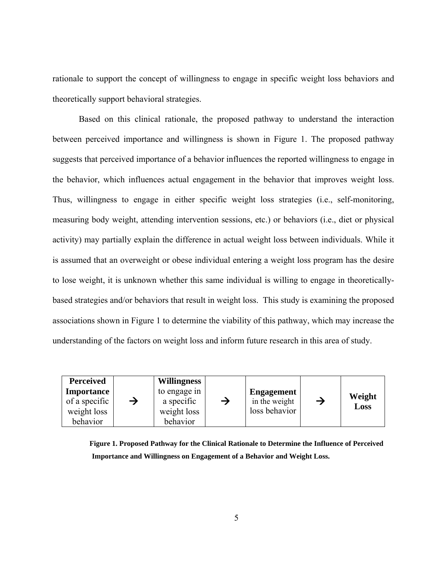<span id="page-14-0"></span>rationale to support the concept of willingness to engage in specific weight loss behaviors and theoretically support behavioral strategies.

Based on this clinical rationale, the proposed pathway to understand the interaction between perceived importance and willingness is shown in Figure 1. The proposed pathway suggests that perceived importance of a behavior influences the reported willingness to engage in the behavior, which influences actual engagement in the behavior that improves weight loss. Thus, willingness to engage in either specific weight loss strategies (i.e., self-monitoring, measuring body weight, attending intervention sessions, etc.) or behaviors (i.e., diet or physical activity) may partially explain the difference in actual weight loss between individuals. While it is assumed that an overweight or obese individual entering a weight loss program has the desire to lose weight, it is unknown whether this same individual is willing to engage in theoreticallybased strategies and/or behaviors that result in weight loss. This study is examining the proposed associations shown in Figure 1 to determine the viability of this pathway, which may increase the understanding of the factors on weight loss and inform future research in this area of study.

| Perceived         |               | <b>Willingness</b> |               |                   |               |        |
|-------------------|---------------|--------------------|---------------|-------------------|---------------|--------|
| <b>Importance</b> |               | to engage in       |               | <b>Engagement</b> |               | Weight |
| of a specific     | $\rightarrow$ | a specific         | $\rightarrow$ | in the weight     | $\rightarrow$ | Loss   |
| weight loss       |               | weight loss        |               | loss behavior     |               |        |
| behavior          |               | behavior           |               |                   |               |        |

**Figure 1. Proposed Pathway for the Clinical Rationale to Determine the Influence of Perceived Importance and Willingness on Engagement of a Behavior and Weight Loss.**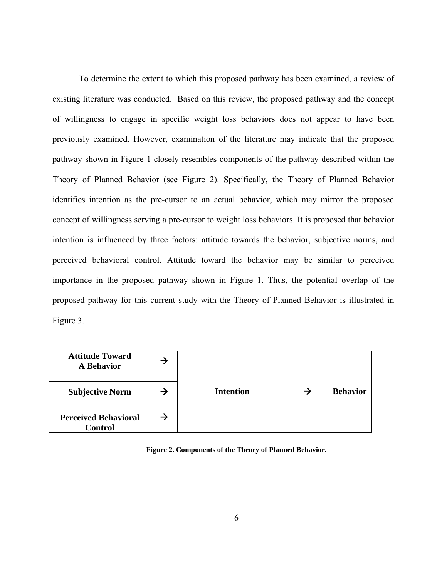<span id="page-15-0"></span>To determine the extent to which this proposed pathway has been examined, a review of existing literature was conducted. Based on this review, the proposed pathway and the concept of willingness to engage in specific weight loss behaviors does not appear to have been previously examined. However, examination of the literature may indicate that the proposed pathway shown in Figure 1 closely resembles components of the pathway described within the Theory of Planned Behavior (see Figure 2). Specifically, the Theory of Planned Behavior identifies intention as the pre-cursor to an actual behavior, which may mirror the proposed concept of willingness serving a pre-cursor to weight loss behaviors. It is proposed that behavior intention is influenced by three factors: attitude towards the behavior, subjective norms, and perceived behavioral control. Attitude toward the behavior may be similar to perceived importance in the proposed pathway shown in Figure 1. Thus, the potential overlap of the proposed pathway for this current study with the Theory of Planned Behavior is illustrated in Figure 3.

| <b>Attitude Toward</b><br><b>A Behavior</b>   | → |                  |               |                 |
|-----------------------------------------------|---|------------------|---------------|-----------------|
| <b>Subjective Norm</b>                        |   | <b>Intention</b> | $\rightarrow$ | <b>Behavior</b> |
| <b>Perceived Behavioral</b><br><b>Control</b> |   |                  |               |                 |

**Figure 2. Components of the Theory of Planned Behavior.**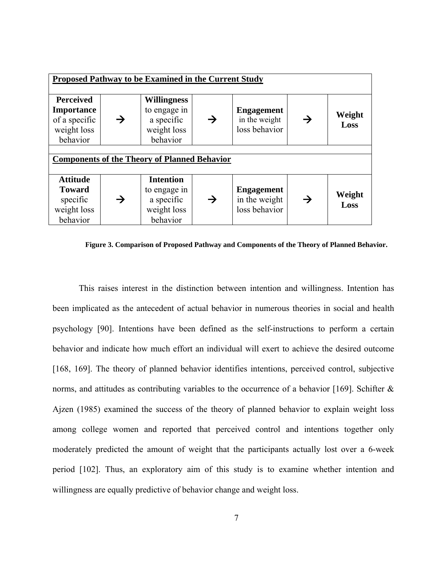<span id="page-16-0"></span>

| <b>Proposed Pathway to be Examined in the Current Study</b>                       |               |                                                                             |               |                                                     |               |                |  |  |
|-----------------------------------------------------------------------------------|---------------|-----------------------------------------------------------------------------|---------------|-----------------------------------------------------|---------------|----------------|--|--|
| <b>Perceived</b><br><b>Importance</b><br>of a specific<br>weight loss<br>behavior | $\rightarrow$ | <b>Willingness</b><br>to engage in<br>a specific<br>weight loss<br>behavior | $\rightarrow$ | <b>Engagement</b><br>in the weight<br>loss behavior | $\rightarrow$ | Weight<br>Loss |  |  |
| <b>Components of the Theory of Planned Behavior</b>                               |               |                                                                             |               |                                                     |               |                |  |  |
| <b>Attitude</b><br><b>Toward</b><br>specific<br>weight loss<br>behavior           | →             | <b>Intention</b><br>to engage in<br>a specific<br>weight loss<br>behavior   | →             | <b>Engagement</b><br>in the weight<br>loss behavior | →             | Weight<br>Loss |  |  |

**Figure 3. Comparison of Proposed Pathway and Components of the Theory of Planned Behavior.** 

This raises interest in the distinction between intention and willingness. Intention has been implicated as the antecedent of actual behavior in numerous theories in social and health psychology [90]. Intentions have been defined as the self-instructions to perform a certain behavior and indicate how much effort an individual will exert to achieve the desired outcome [168, 169]. The theory of planned behavior identifies intentions, perceived control, subjective norms, and attitudes as contributing variables to the occurrence of a behavior [169]. Schifter & Ajzen (1985) examined the success of the theory of planned behavior to explain weight loss among college women and reported that perceived control and intentions together only moderately predicted the amount of weight that the participants actually lost over a 6-week period [102]. Thus, an exploratory aim of this study is to examine whether intention and willingness are equally predictive of behavior change and weight loss.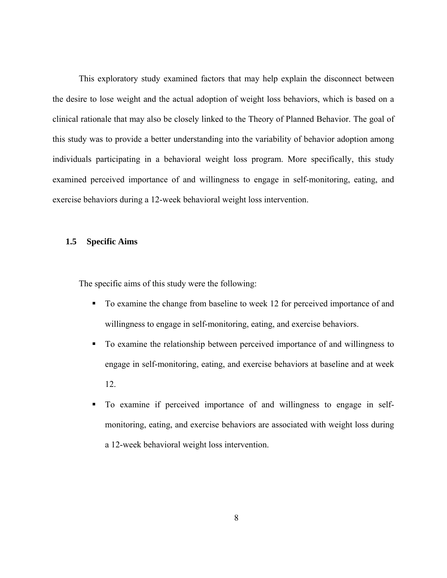<span id="page-17-0"></span>This exploratory study examined factors that may help explain the disconnect between the desire to lose weight and the actual adoption of weight loss behaviors, which is based on a clinical rationale that may also be closely linked to the Theory of Planned Behavior. The goal of this study was to provide a better understanding into the variability of behavior adoption among individuals participating in a behavioral weight loss program. More specifically, this study examined perceived importance of and willingness to engage in self-monitoring, eating, and exercise behaviors during a 12-week behavioral weight loss intervention.

## **1.5 Specific Aims**

The specific aims of this study were the following:

- To examine the change from baseline to week 12 for perceived importance of and willingness to engage in self-monitoring, eating, and exercise behaviors.
- To examine the relationship between perceived importance of and willingness to engage in self-monitoring, eating, and exercise behaviors at baseline and at week 12.
- To examine if perceived importance of and willingness to engage in selfmonitoring, eating, and exercise behaviors are associated with weight loss during a 12-week behavioral weight loss intervention.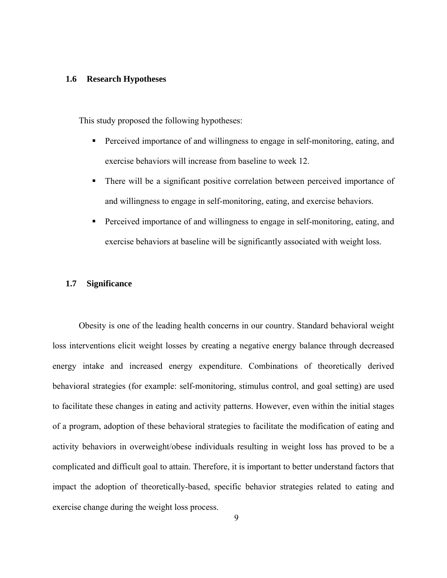### <span id="page-18-0"></span>**1.6 Research Hypotheses**

This study proposed the following hypotheses:

- **Perceived importance of and willingness to engage in self-monitoring, eating, and** exercise behaviors will increase from baseline to week 12.
- There will be a significant positive correlation between perceived importance of and willingness to engage in self-monitoring, eating, and exercise behaviors.
- Perceived importance of and willingness to engage in self-monitoring, eating, and exercise behaviors at baseline will be significantly associated with weight loss.

### **1.7 Significance**

Obesity is one of the leading health concerns in our country. Standard behavioral weight loss interventions elicit weight losses by creating a negative energy balance through decreased energy intake and increased energy expenditure. Combinations of theoretically derived behavioral strategies (for example: self-monitoring, stimulus control, and goal setting) are used to facilitate these changes in eating and activity patterns. However, even within the initial stages of a program, adoption of these behavioral strategies to facilitate the modification of eating and activity behaviors in overweight/obese individuals resulting in weight loss has proved to be a complicated and difficult goal to attain. Therefore, it is important to better understand factors that impact the adoption of theoretically-based, specific behavior strategies related to eating and exercise change during the weight loss process.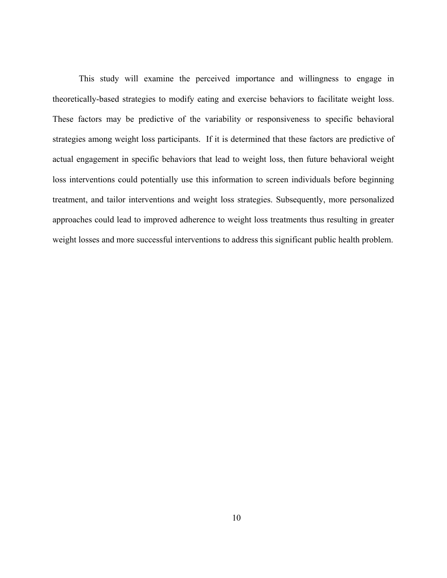This study will examine the perceived importance and willingness to engage in theoretically-based strategies to modify eating and exercise behaviors to facilitate weight loss. These factors may be predictive of the variability or responsiveness to specific behavioral strategies among weight loss participants. If it is determined that these factors are predictive of actual engagement in specific behaviors that lead to weight loss, then future behavioral weight loss interventions could potentially use this information to screen individuals before beginning treatment, and tailor interventions and weight loss strategies. Subsequently, more personalized approaches could lead to improved adherence to weight loss treatments thus resulting in greater weight losses and more successful interventions to address this significant public health problem.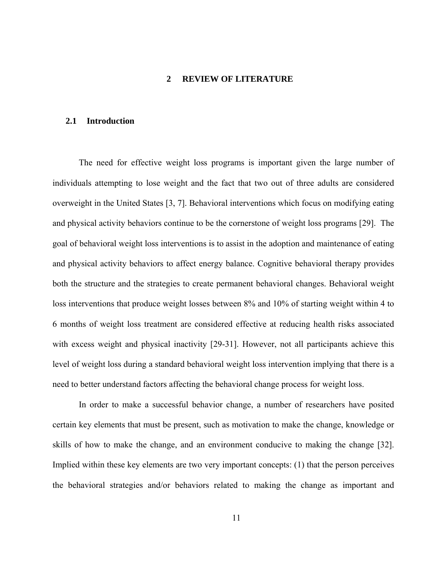### **2 REVIEW OF LITERATURE**

## <span id="page-20-0"></span>**2.1 Introduction**

The need for effective weight loss programs is important given the large number of individuals attempting to lose weight and the fact that two out of three adults are considered overweight in the United States [3, 7]. Behavioral interventions which focus on modifying eating and physical activity behaviors continue to be the cornerstone of weight loss programs [29]. The goal of behavioral weight loss interventions is to assist in the adoption and maintenance of eating and physical activity behaviors to affect energy balance. Cognitive behavioral therapy provides both the structure and the strategies to create permanent behavioral changes. Behavioral weight loss interventions that produce weight losses between 8% and 10% of starting weight within 4 to 6 months of weight loss treatment are considered effective at reducing health risks associated with excess weight and physical inactivity [29-31]. However, not all participants achieve this level of weight loss during a standard behavioral weight loss intervention implying that there is a need to better understand factors affecting the behavioral change process for weight loss.

In order to make a successful behavior change, a number of researchers have posited certain key elements that must be present, such as motivation to make the change, knowledge or skills of how to make the change, and an environment conducive to making the change [32]. Implied within these key elements are two very important concepts: (1) that the person perceives the behavioral strategies and/or behaviors related to making the change as important and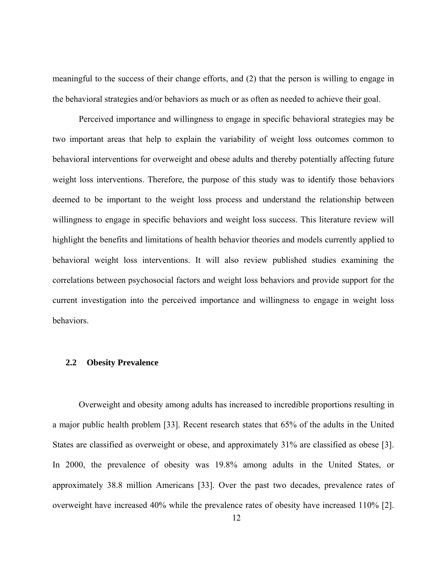<span id="page-21-0"></span>meaningful to the success of their change efforts, and (2) that the person is willing to engage in the behavioral strategies and/or behaviors as much or as often as needed to achieve their goal.

Perceived importance and willingness to engage in specific behavioral strategies may be two important areas that help to explain the variability of weight loss outcomes common to behavioral interventions for overweight and obese adults and thereby potentially affecting future weight loss interventions. Therefore, the purpose of this study was to identify those behaviors deemed to be important to the weight loss process and understand the relationship between willingness to engage in specific behaviors and weight loss success. This literature review will highlight the benefits and limitations of health behavior theories and models currently applied to behavioral weight loss interventions. It will also review published studies examining the correlations between psychosocial factors and weight loss behaviors and provide support for the current investigation into the perceived importance and willingness to engage in weight loss behaviors.

## **2.2 Obesity Prevalence**

Overweight and obesity among adults has increased to incredible proportions resulting in a major public health problem [33]. Recent research states that 65% of the adults in the United States are classified as overweight or obese, and approximately 31% are classified as obese [3]. In 2000, the prevalence of obesity was 19.8% among adults in the United States, or approximately 38.8 million Americans [33]. Over the past two decades, prevalence rates of overweight have increased 40% while the prevalence rates of obesity have increased 110% [2].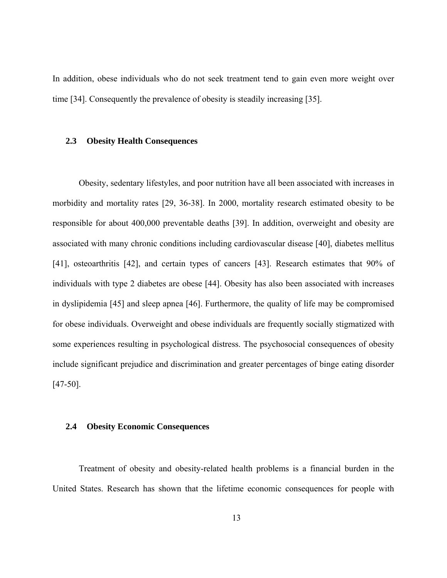<span id="page-22-0"></span>In addition, obese individuals who do not seek treatment tend to gain even more weight over time [34]. Consequently the prevalence of obesity is steadily increasing [35].

### **2.3 Obesity Health Consequences**

Obesity, sedentary lifestyles, and poor nutrition have all been associated with increases in morbidity and mortality rates [29, 36-38]. In 2000, mortality research estimated obesity to be responsible for about 400,000 preventable deaths [39]. In addition, overweight and obesity are associated with many chronic conditions including cardiovascular disease [40], diabetes mellitus [41], osteoarthritis [42], and certain types of cancers [43]. Research estimates that 90% of individuals with type 2 diabetes are obese [44]. Obesity has also been associated with increases in dyslipidemia [45] and sleep apnea [46]. Furthermore, the quality of life may be compromised for obese individuals. Overweight and obese individuals are frequently socially stigmatized with some experiences resulting in psychological distress. The psychosocial consequences of obesity include significant prejudice and discrimination and greater percentages of binge eating disorder [47-50].

### **2.4 Obesity Economic Consequences**

Treatment of obesity and obesity-related health problems is a financial burden in the United States. Research has shown that the lifetime economic consequences for people with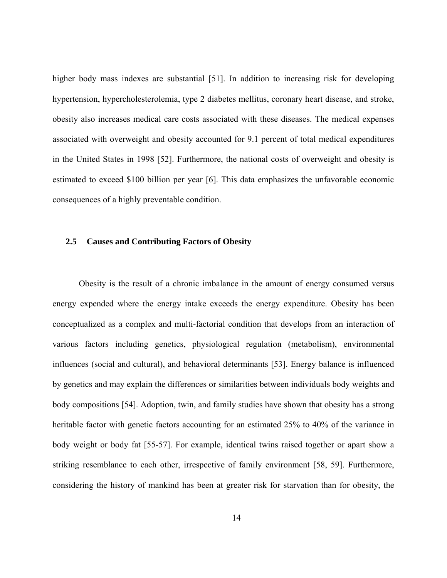<span id="page-23-0"></span>higher body mass indexes are substantial [51]. In addition to increasing risk for developing hypertension, hypercholesterolemia, type 2 diabetes mellitus, coronary heart disease, and stroke, obesity also increases medical care costs associated with these diseases. The medical expenses associated with overweight and obesity accounted for 9.1 percent of total medical expenditures in the United States in 1998 [52]. Furthermore, the national costs of overweight and obesity is estimated to exceed \$100 billion per year [6]. This data emphasizes the unfavorable economic consequences of a highly preventable condition.

## **2.5 Causes and Contributing Factors of Obesity**

Obesity is the result of a chronic imbalance in the amount of energy consumed versus energy expended where the energy intake exceeds the energy expenditure. Obesity has been conceptualized as a complex and multi-factorial condition that develops from an interaction of various factors including genetics, physiological regulation (metabolism), environmental influences (social and cultural), and behavioral determinants [53]. Energy balance is influenced by genetics and may explain the differences or similarities between individuals body weights and body compositions [54]. Adoption, twin, and family studies have shown that obesity has a strong heritable factor with genetic factors accounting for an estimated 25% to 40% of the variance in body weight or body fat [55-57]. For example, identical twins raised together or apart show a striking resemblance to each other, irrespective of family environment [58, 59]. Furthermore, considering the history of mankind has been at greater risk for starvation than for obesity, the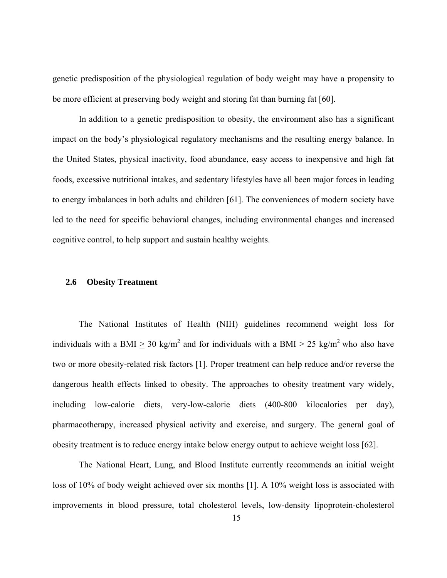<span id="page-24-0"></span>genetic predisposition of the physiological regulation of body weight may have a propensity to be more efficient at preserving body weight and storing fat than burning fat [60].

In addition to a genetic predisposition to obesity, the environment also has a significant impact on the body's physiological regulatory mechanisms and the resulting energy balance. In the United States, physical inactivity, food abundance, easy access to inexpensive and high fat foods, excessive nutritional intakes, and sedentary lifestyles have all been major forces in leading to energy imbalances in both adults and children [61]. The conveniences of modern society have led to the need for specific behavioral changes, including environmental changes and increased cognitive control, to help support and sustain healthy weights.

## **2.6 Obesity Treatment**

The National Institutes of Health (NIH) guidelines recommend weight loss for individuals with a BMI  $\geq 30$  kg/m<sup>2</sup> and for individuals with a BMI  $> 25$  kg/m<sup>2</sup> who also have two or more obesity-related risk factors [1]. Proper treatment can help reduce and/or reverse the dangerous health effects linked to obesity. The approaches to obesity treatment vary widely, including low-calorie diets, very-low-calorie diets (400-800 kilocalories per day), pharmacotherapy, increased physical activity and exercise, and surgery. The general goal of obesity treatment is to reduce energy intake below energy output to achieve weight loss [62].

The National Heart, Lung, and Blood Institute currently recommends an initial weight loss of 10% of body weight achieved over six months [1]. A 10% weight loss is associated with improvements in blood pressure, total cholesterol levels, low-density lipoprotein-cholesterol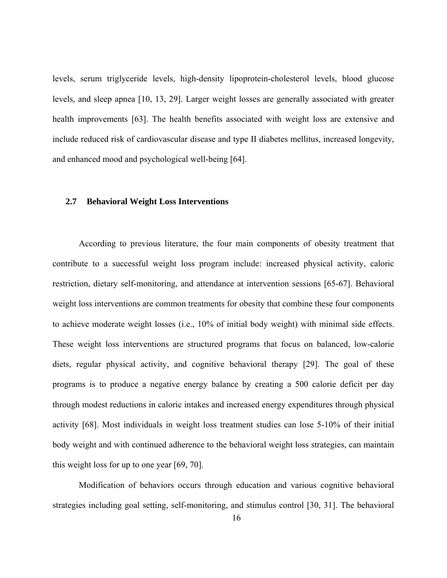<span id="page-25-0"></span>levels, serum triglyceride levels, high-density lipoprotein-cholesterol levels, blood glucose levels, and sleep apnea [10, 13, 29]. Larger weight losses are generally associated with greater health improvements [63]. The health benefits associated with weight loss are extensive and include reduced risk of cardiovascular disease and type II diabetes mellitus, increased longevity, and enhanced mood and psychological well-being [64].

#### **2.7 Behavioral Weight Loss Interventions**

According to previous literature, the four main components of obesity treatment that contribute to a successful weight loss program include: increased physical activity, caloric restriction, dietary self-monitoring, and attendance at intervention sessions [65-67]. Behavioral weight loss interventions are common treatments for obesity that combine these four components to achieve moderate weight losses (i.e., 10% of initial body weight) with minimal side effects. These weight loss interventions are structured programs that focus on balanced, low-calorie diets, regular physical activity, and cognitive behavioral therapy [29]. The goal of these programs is to produce a negative energy balance by creating a 500 calorie deficit per day through modest reductions in caloric intakes and increased energy expenditures through physical activity [68]. Most individuals in weight loss treatment studies can lose 5-10% of their initial body weight and with continued adherence to the behavioral weight loss strategies, can maintain this weight loss for up to one year [69, 70].

Modification of behaviors occurs through education and various cognitive behavioral strategies including goal setting, self-monitoring, and stimulus control [30, 31]. The behavioral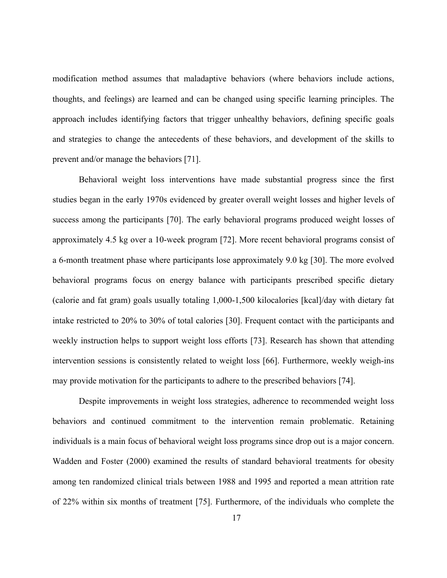modification method assumes that maladaptive behaviors (where behaviors include actions, thoughts, and feelings) are learned and can be changed using specific learning principles. The approach includes identifying factors that trigger unhealthy behaviors, defining specific goals and strategies to change the antecedents of these behaviors, and development of the skills to prevent and/or manage the behaviors [71].

Behavioral weight loss interventions have made substantial progress since the first studies began in the early 1970s evidenced by greater overall weight losses and higher levels of success among the participants [70]. The early behavioral programs produced weight losses of approximately 4.5 kg over a 10-week program [72]. More recent behavioral programs consist of a 6-month treatment phase where participants lose approximately 9.0 kg [30]. The more evolved behavioral programs focus on energy balance with participants prescribed specific dietary (calorie and fat gram) goals usually totaling 1,000-1,500 kilocalories [kcal]/day with dietary fat intake restricted to 20% to 30% of total calories [30]. Frequent contact with the participants and weekly instruction helps to support weight loss efforts [73]. Research has shown that attending intervention sessions is consistently related to weight loss [66]. Furthermore, weekly weigh-ins may provide motivation for the participants to adhere to the prescribed behaviors [74].

Despite improvements in weight loss strategies, adherence to recommended weight loss behaviors and continued commitment to the intervention remain problematic. Retaining individuals is a main focus of behavioral weight loss programs since drop out is a major concern. Wadden and Foster (2000) examined the results of standard behavioral treatments for obesity among ten randomized clinical trials between 1988 and 1995 and reported a mean attrition rate of 22% within six months of treatment [75]. Furthermore, of the individuals who complete the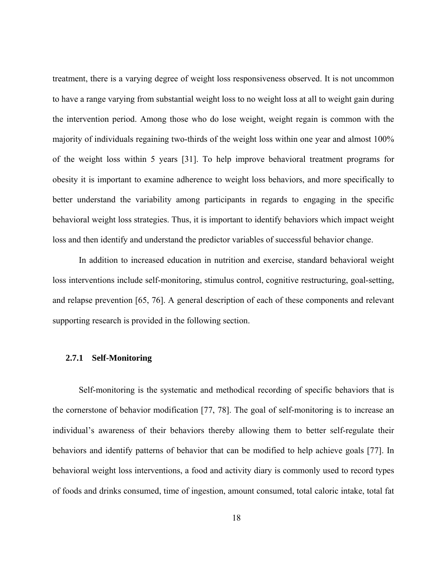<span id="page-27-0"></span>treatment, there is a varying degree of weight loss responsiveness observed. It is not uncommon to have a range varying from substantial weight loss to no weight loss at all to weight gain during the intervention period. Among those who do lose weight, weight regain is common with the majority of individuals regaining two-thirds of the weight loss within one year and almost 100% of the weight loss within 5 years [31]. To help improve behavioral treatment programs for obesity it is important to examine adherence to weight loss behaviors, and more specifically to better understand the variability among participants in regards to engaging in the specific behavioral weight loss strategies. Thus, it is important to identify behaviors which impact weight loss and then identify and understand the predictor variables of successful behavior change.

In addition to increased education in nutrition and exercise, standard behavioral weight loss interventions include self-monitoring, stimulus control, cognitive restructuring, goal-setting, and relapse prevention [65, 76]. A general description of each of these components and relevant supporting research is provided in the following section.

## **2.7.1 Self-Monitoring**

Self-monitoring is the systematic and methodical recording of specific behaviors that is the cornerstone of behavior modification [77, 78]. The goal of self-monitoring is to increase an individual's awareness of their behaviors thereby allowing them to better self-regulate their behaviors and identify patterns of behavior that can be modified to help achieve goals [77]. In behavioral weight loss interventions, a food and activity diary is commonly used to record types of foods and drinks consumed, time of ingestion, amount consumed, total caloric intake, total fat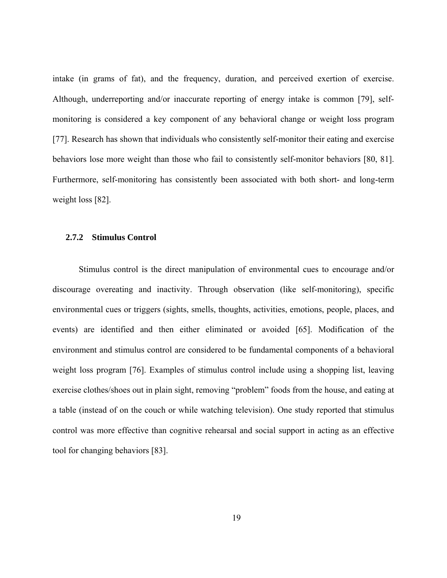<span id="page-28-0"></span>intake (in grams of fat), and the frequency, duration, and perceived exertion of exercise. Although, underreporting and/or inaccurate reporting of energy intake is common [79], selfmonitoring is considered a key component of any behavioral change or weight loss program [77]. Research has shown that individuals who consistently self-monitor their eating and exercise behaviors lose more weight than those who fail to consistently self-monitor behaviors [80, 81]. Furthermore, self-monitoring has consistently been associated with both short- and long-term weight loss [82].

## **2.7.2 Stimulus Control**

 Stimulus control is the direct manipulation of environmental cues to encourage and/or discourage overeating and inactivity. Through observation (like self-monitoring), specific environmental cues or triggers (sights, smells, thoughts, activities, emotions, people, places, and events) are identified and then either eliminated or avoided [65]. Modification of the environment and stimulus control are considered to be fundamental components of a behavioral weight loss program [76]. Examples of stimulus control include using a shopping list, leaving exercise clothes/shoes out in plain sight, removing "problem" foods from the house, and eating at a table (instead of on the couch or while watching television). One study reported that stimulus control was more effective than cognitive rehearsal and social support in acting as an effective tool for changing behaviors [83].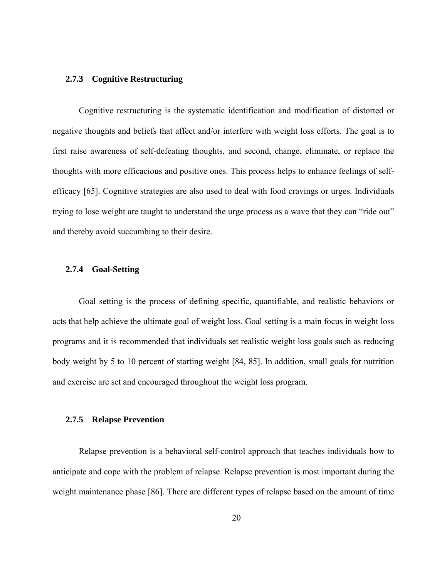## <span id="page-29-0"></span>**2.7.3 Cognitive Restructuring**

 Cognitive restructuring is the systematic identification and modification of distorted or negative thoughts and beliefs that affect and/or interfere with weight loss efforts. The goal is to first raise awareness of self-defeating thoughts, and second, change, eliminate, or replace the thoughts with more efficacious and positive ones. This process helps to enhance feelings of selfefficacy [65]. Cognitive strategies are also used to deal with food cravings or urges. Individuals trying to lose weight are taught to understand the urge process as a wave that they can "ride out" and thereby avoid succumbing to their desire.

## **2.7.4 Goal-Setting**

 Goal setting is the process of defining specific, quantifiable, and realistic behaviors or acts that help achieve the ultimate goal of weight loss. Goal setting is a main focus in weight loss programs and it is recommended that individuals set realistic weight loss goals such as reducing body weight by 5 to 10 percent of starting weight [84, 85]. In addition, small goals for nutrition and exercise are set and encouraged throughout the weight loss program.

## **2.7.5 Relapse Prevention**

 Relapse prevention is a behavioral self-control approach that teaches individuals how to anticipate and cope with the problem of relapse. Relapse prevention is most important during the weight maintenance phase [86]. There are different types of relapse based on the amount of time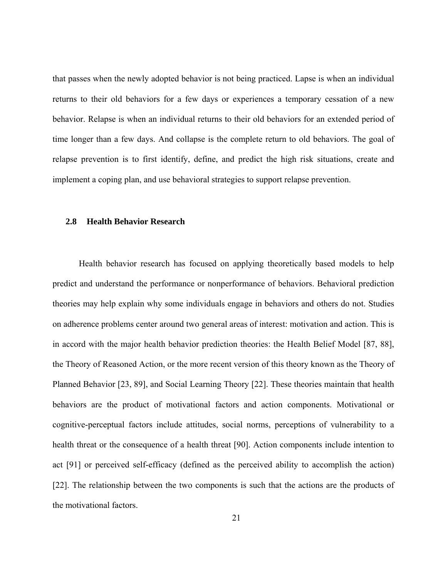<span id="page-30-0"></span>that passes when the newly adopted behavior is not being practiced. Lapse is when an individual returns to their old behaviors for a few days or experiences a temporary cessation of a new behavior. Relapse is when an individual returns to their old behaviors for an extended period of time longer than a few days. And collapse is the complete return to old behaviors. The goal of relapse prevention is to first identify, define, and predict the high risk situations, create and implement a coping plan, and use behavioral strategies to support relapse prevention.

#### **2.8 Health Behavior Research**

 Health behavior research has focused on applying theoretically based models to help predict and understand the performance or nonperformance of behaviors. Behavioral prediction theories may help explain why some individuals engage in behaviors and others do not. Studies on adherence problems center around two general areas of interest: motivation and action. This is in accord with the major health behavior prediction theories: the Health Belief Model [87, 88], the Theory of Reasoned Action, or the more recent version of this theory known as the Theory of Planned Behavior [23, 89], and Social Learning Theory [22]. These theories maintain that health behaviors are the product of motivational factors and action components. Motivational or cognitive-perceptual factors include attitudes, social norms, perceptions of vulnerability to a health threat or the consequence of a health threat [90]. Action components include intention to act [91] or perceived self-efficacy (defined as the perceived ability to accomplish the action) [22]. The relationship between the two components is such that the actions are the products of the motivational factors.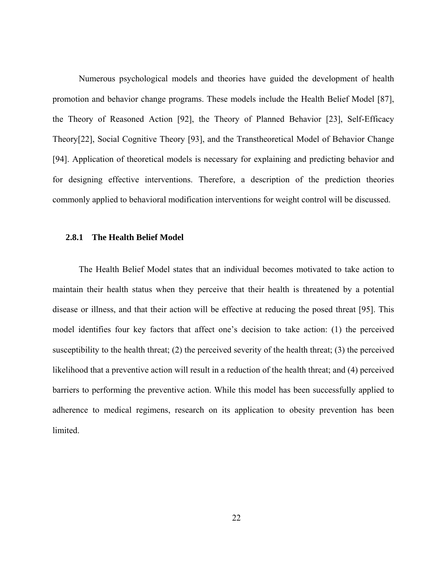<span id="page-31-0"></span> Numerous psychological models and theories have guided the development of health promotion and behavior change programs. These models include the Health Belief Model [87], the Theory of Reasoned Action [92], the Theory of Planned Behavior [23], Self-Efficacy Theory[22], Social Cognitive Theory [93], and the Transtheoretical Model of Behavior Change [94]. Application of theoretical models is necessary for explaining and predicting behavior and for designing effective interventions. Therefore, a description of the prediction theories commonly applied to behavioral modification interventions for weight control will be discussed.

#### **2.8.1 The Health Belief Model**

 The Health Belief Model states that an individual becomes motivated to take action to maintain their health status when they perceive that their health is threatened by a potential disease or illness, and that their action will be effective at reducing the posed threat [95]. This model identifies four key factors that affect one's decision to take action: (1) the perceived susceptibility to the health threat; (2) the perceived severity of the health threat; (3) the perceived likelihood that a preventive action will result in a reduction of the health threat; and (4) perceived barriers to performing the preventive action. While this model has been successfully applied to adherence to medical regimens, research on its application to obesity prevention has been limited.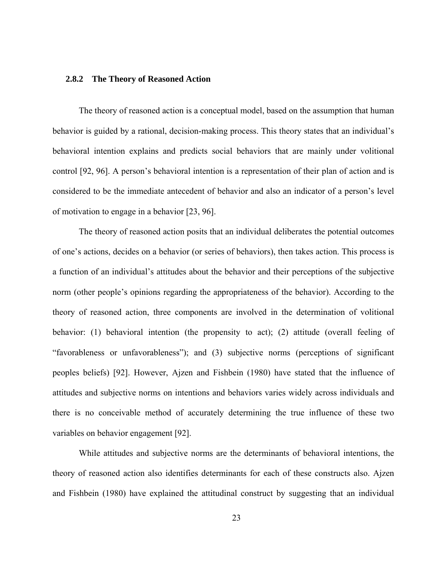## <span id="page-32-0"></span>**2.8.2 The Theory of Reasoned Action**

The theory of reasoned action is a conceptual model, based on the assumption that human behavior is guided by a rational, decision-making process. This theory states that an individual's behavioral intention explains and predicts social behaviors that are mainly under volitional control [92, 96]. A person's behavioral intention is a representation of their plan of action and is considered to be the immediate antecedent of behavior and also an indicator of a person's level of motivation to engage in a behavior [23, 96].

The theory of reasoned action posits that an individual deliberates the potential outcomes of one's actions, decides on a behavior (or series of behaviors), then takes action. This process is a function of an individual's attitudes about the behavior and their perceptions of the subjective norm (other people's opinions regarding the appropriateness of the behavior). According to the theory of reasoned action, three components are involved in the determination of volitional behavior: (1) behavioral intention (the propensity to act); (2) attitude (overall feeling of "favorableness or unfavorableness"); and (3) subjective norms (perceptions of significant peoples beliefs) [92]. However, Ajzen and Fishbein (1980) have stated that the influence of attitudes and subjective norms on intentions and behaviors varies widely across individuals and there is no conceivable method of accurately determining the true influence of these two variables on behavior engagement [92].

While attitudes and subjective norms are the determinants of behavioral intentions, the theory of reasoned action also identifies determinants for each of these constructs also. Ajzen and Fishbein (1980) have explained the attitudinal construct by suggesting that an individual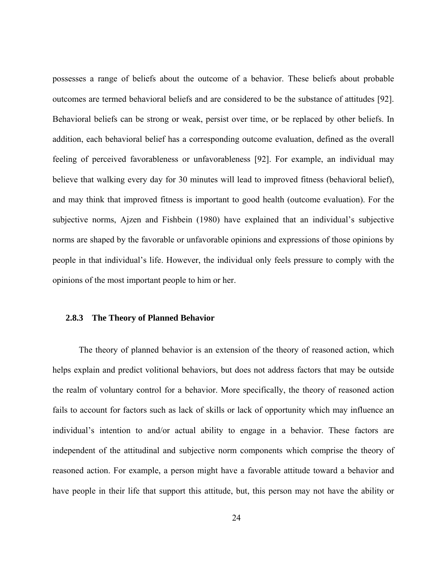<span id="page-33-0"></span>possesses a range of beliefs about the outcome of a behavior. These beliefs about probable outcomes are termed behavioral beliefs and are considered to be the substance of attitudes [92]. Behavioral beliefs can be strong or weak, persist over time, or be replaced by other beliefs. In addition, each behavioral belief has a corresponding outcome evaluation, defined as the overall feeling of perceived favorableness or unfavorableness [92]. For example, an individual may believe that walking every day for 30 minutes will lead to improved fitness (behavioral belief), and may think that improved fitness is important to good health (outcome evaluation). For the subjective norms, Ajzen and Fishbein (1980) have explained that an individual's subjective norms are shaped by the favorable or unfavorable opinions and expressions of those opinions by people in that individual's life. However, the individual only feels pressure to comply with the opinions of the most important people to him or her.

#### **2.8.3 The Theory of Planned Behavior**

 The theory of planned behavior is an extension of the theory of reasoned action, which helps explain and predict volitional behaviors, but does not address factors that may be outside the realm of voluntary control for a behavior. More specifically, the theory of reasoned action fails to account for factors such as lack of skills or lack of opportunity which may influence an individual's intention to and/or actual ability to engage in a behavior. These factors are independent of the attitudinal and subjective norm components which comprise the theory of reasoned action. For example, a person might have a favorable attitude toward a behavior and have people in their life that support this attitude, but, this person may not have the ability or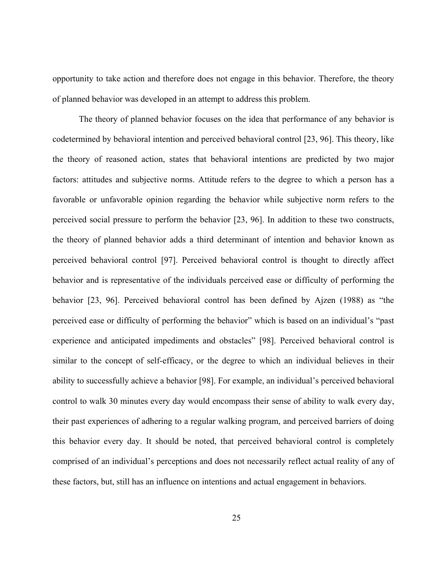opportunity to take action and therefore does not engage in this behavior. Therefore, the theory of planned behavior was developed in an attempt to address this problem.

 The theory of planned behavior focuses on the idea that performance of any behavior is codetermined by behavioral intention and perceived behavioral control [23, 96]. This theory, like the theory of reasoned action, states that behavioral intentions are predicted by two major factors: attitudes and subjective norms. Attitude refers to the degree to which a person has a favorable or unfavorable opinion regarding the behavior while subjective norm refers to the perceived social pressure to perform the behavior [23, 96]. In addition to these two constructs, the theory of planned behavior adds a third determinant of intention and behavior known as perceived behavioral control [97]. Perceived behavioral control is thought to directly affect behavior and is representative of the individuals perceived ease or difficulty of performing the behavior [23, 96]. Perceived behavioral control has been defined by Ajzen (1988) as "the perceived ease or difficulty of performing the behavior" which is based on an individual's "past experience and anticipated impediments and obstacles" [98]. Perceived behavioral control is similar to the concept of self-efficacy, or the degree to which an individual believes in their ability to successfully achieve a behavior [98]. For example, an individual's perceived behavioral control to walk 30 minutes every day would encompass their sense of ability to walk every day, their past experiences of adhering to a regular walking program, and perceived barriers of doing this behavior every day. It should be noted, that perceived behavioral control is completely comprised of an individual's perceptions and does not necessarily reflect actual reality of any of these factors, but, still has an influence on intentions and actual engagement in behaviors.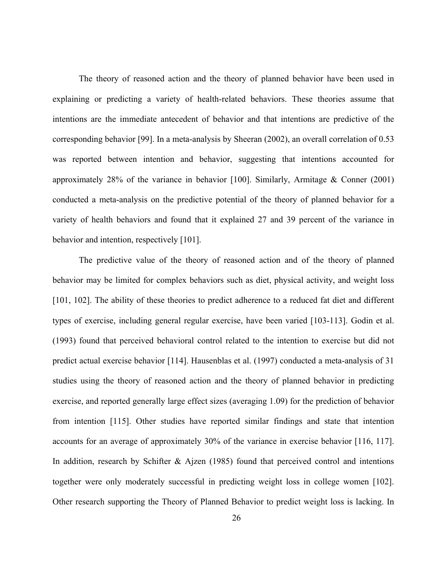The theory of reasoned action and the theory of planned behavior have been used in explaining or predicting a variety of health-related behaviors. These theories assume that intentions are the immediate antecedent of behavior and that intentions are predictive of the corresponding behavior [99]. In a meta-analysis by Sheeran (2002), an overall correlation of 0.53 was reported between intention and behavior, suggesting that intentions accounted for approximately 28% of the variance in behavior [100]. Similarly, Armitage & Conner (2001) conducted a meta-analysis on the predictive potential of the theory of planned behavior for a variety of health behaviors and found that it explained 27 and 39 percent of the variance in behavior and intention, respectively [101].

 The predictive value of the theory of reasoned action and of the theory of planned behavior may be limited for complex behaviors such as diet, physical activity, and weight loss [101, 102]. The ability of these theories to predict adherence to a reduced fat diet and different types of exercise, including general regular exercise, have been varied [103-113]. Godin et al. (1993) found that perceived behavioral control related to the intention to exercise but did not predict actual exercise behavior [114]. Hausenblas et al. (1997) conducted a meta-analysis of 31 studies using the theory of reasoned action and the theory of planned behavior in predicting exercise, and reported generally large effect sizes (averaging 1.09) for the prediction of behavior from intention [115]. Other studies have reported similar findings and state that intention accounts for an average of approximately 30% of the variance in exercise behavior [116, 117]. In addition, research by Schifter & Ajzen (1985) found that perceived control and intentions together were only moderately successful in predicting weight loss in college women [102]. Other research supporting the Theory of Planned Behavior to predict weight loss is lacking. In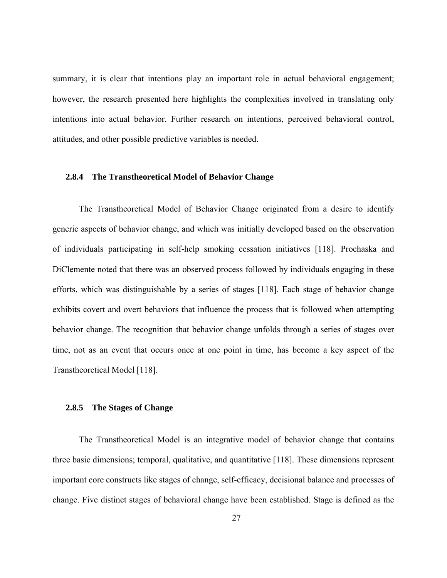summary, it is clear that intentions play an important role in actual behavioral engagement; however, the research presented here highlights the complexities involved in translating only intentions into actual behavior. Further research on intentions, perceived behavioral control, attitudes, and other possible predictive variables is needed.

## **2.8.4 The Transtheoretical Model of Behavior Change**

 The Transtheoretical Model of Behavior Change originated from a desire to identify generic aspects of behavior change, and which was initially developed based on the observation of individuals participating in self-help smoking cessation initiatives [118]. Prochaska and DiClemente noted that there was an observed process followed by individuals engaging in these efforts, which was distinguishable by a series of stages [118]. Each stage of behavior change exhibits covert and overt behaviors that influence the process that is followed when attempting behavior change. The recognition that behavior change unfolds through a series of stages over time, not as an event that occurs once at one point in time, has become a key aspect of the Transtheoretical Model [118].

## **2.8.5 The Stages of Change**

 The Transtheoretical Model is an integrative model of behavior change that contains three basic dimensions; temporal, qualitative, and quantitative [118]. These dimensions represent important core constructs like stages of change, self-efficacy, decisional balance and processes of change. Five distinct stages of behavioral change have been established. Stage is defined as the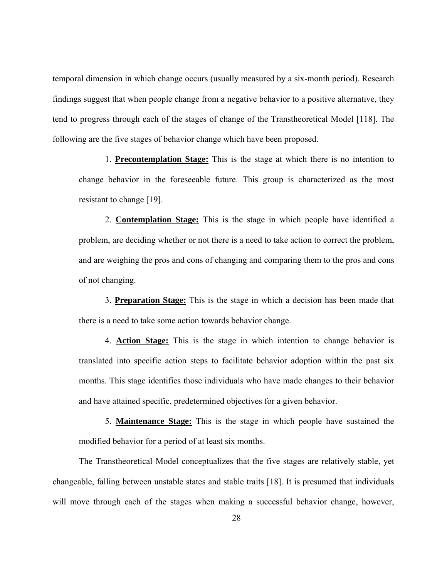temporal dimension in which change occurs (usually measured by a six-month period). Research findings suggest that when people change from a negative behavior to a positive alternative, they tend to progress through each of the stages of change of the Transtheoretical Model [118]. The following are the five stages of behavior change which have been proposed.

1. **Precontemplation Stage:** This is the stage at which there is no intention to change behavior in the foreseeable future. This group is characterized as the most resistant to change [19].

2. **Contemplation Stage:** This is the stage in which people have identified a problem, are deciding whether or not there is a need to take action to correct the problem, and are weighing the pros and cons of changing and comparing them to the pros and cons of not changing.

3. **Preparation Stage:** This is the stage in which a decision has been made that there is a need to take some action towards behavior change.

4. **Action Stage:** This is the stage in which intention to change behavior is translated into specific action steps to facilitate behavior adoption within the past six months. This stage identifies those individuals who have made changes to their behavior and have attained specific, predetermined objectives for a given behavior.

5. **Maintenance Stage:** This is the stage in which people have sustained the modified behavior for a period of at least six months.

 The Transtheoretical Model conceptualizes that the five stages are relatively stable, yet changeable, falling between unstable states and stable traits [18]. It is presumed that individuals will move through each of the stages when making a successful behavior change, however,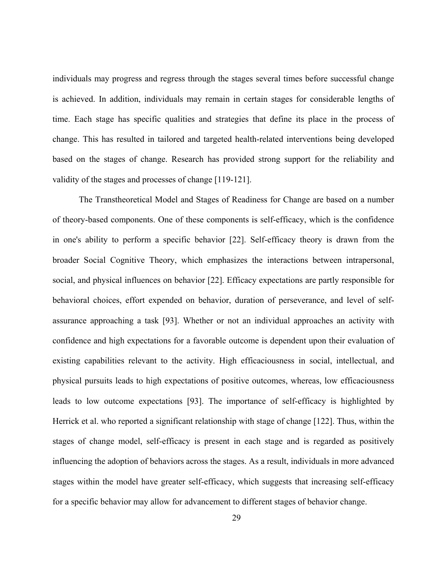individuals may progress and regress through the stages several times before successful change is achieved. In addition, individuals may remain in certain stages for considerable lengths of time. Each stage has specific qualities and strategies that define its place in the process of change. This has resulted in tailored and targeted health-related interventions being developed based on the stages of change. Research has provided strong support for the reliability and validity of the stages and processes of change [119-121].

The Transtheoretical Model and Stages of Readiness for Change are based on a number of theory-based components. One of these components is self-efficacy, which is the confidence in one's ability to perform a specific behavior [22]. Self-efficacy theory is drawn from the broader Social Cognitive Theory, which emphasizes the interactions between intrapersonal, social, and physical influences on behavior [22]. Efficacy expectations are partly responsible for behavioral choices, effort expended on behavior, duration of perseverance, and level of selfassurance approaching a task [93]. Whether or not an individual approaches an activity with confidence and high expectations for a favorable outcome is dependent upon their evaluation of existing capabilities relevant to the activity. High efficaciousness in social, intellectual, and physical pursuits leads to high expectations of positive outcomes, whereas, low efficaciousness leads to low outcome expectations [93]. The importance of self-efficacy is highlighted by Herrick et al. who reported a significant relationship with stage of change [122]. Thus, within the stages of change model, self-efficacy is present in each stage and is regarded as positively influencing the adoption of behaviors across the stages. As a result, individuals in more advanced stages within the model have greater self-efficacy, which suggests that increasing self-efficacy for a specific behavior may allow for advancement to different stages of behavior change.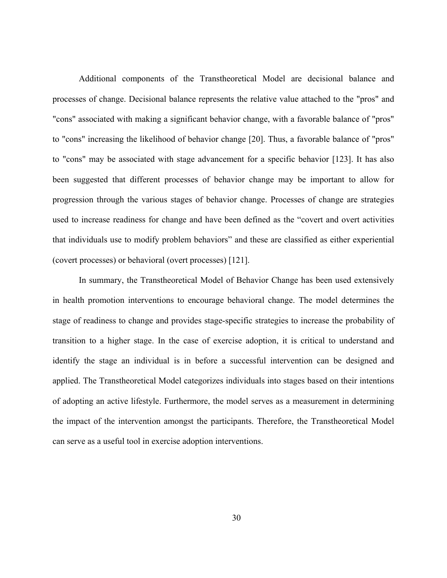Additional components of the Transtheoretical Model are decisional balance and processes of change. Decisional balance represents the relative value attached to the "pros" and "cons" associated with making a significant behavior change, with a favorable balance of "pros" to "cons" increasing the likelihood of behavior change [20]. Thus, a favorable balance of "pros" to "cons" may be associated with stage advancement for a specific behavior [123]. It has also been suggested that different processes of behavior change may be important to allow for progression through the various stages of behavior change. Processes of change are strategies used to increase readiness for change and have been defined as the "covert and overt activities that individuals use to modify problem behaviors" and these are classified as either experiential (covert processes) or behavioral (overt processes) [121].

In summary, the Transtheoretical Model of Behavior Change has been used extensively in health promotion interventions to encourage behavioral change. The model determines the stage of readiness to change and provides stage-specific strategies to increase the probability of transition to a higher stage. In the case of exercise adoption, it is critical to understand and identify the stage an individual is in before a successful intervention can be designed and applied. The Transtheoretical Model categorizes individuals into stages based on their intentions of adopting an active lifestyle. Furthermore, the model serves as a measurement in determining the impact of the intervention amongst the participants. Therefore, the Transtheoretical Model can serve as a useful tool in exercise adoption interventions.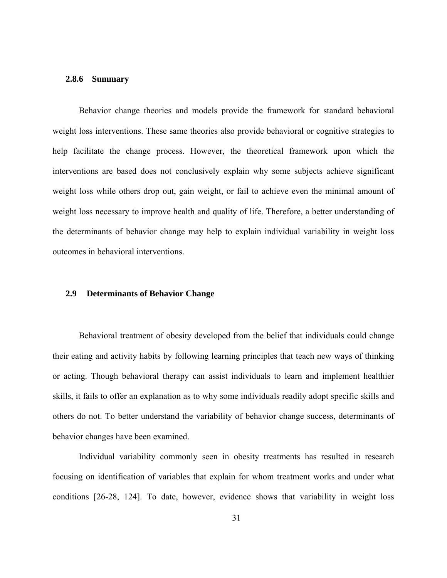# **2.8.6 Summary**

Behavior change theories and models provide the framework for standard behavioral weight loss interventions. These same theories also provide behavioral or cognitive strategies to help facilitate the change process. However, the theoretical framework upon which the interventions are based does not conclusively explain why some subjects achieve significant weight loss while others drop out, gain weight, or fail to achieve even the minimal amount of weight loss necessary to improve health and quality of life. Therefore, a better understanding of the determinants of behavior change may help to explain individual variability in weight loss outcomes in behavioral interventions.

### **2.9 Determinants of Behavior Change**

Behavioral treatment of obesity developed from the belief that individuals could change their eating and activity habits by following learning principles that teach new ways of thinking or acting. Though behavioral therapy can assist individuals to learn and implement healthier skills, it fails to offer an explanation as to why some individuals readily adopt specific skills and others do not. To better understand the variability of behavior change success, determinants of behavior changes have been examined.

Individual variability commonly seen in obesity treatments has resulted in research focusing on identification of variables that explain for whom treatment works and under what conditions [26-28, 124]. To date, however, evidence shows that variability in weight loss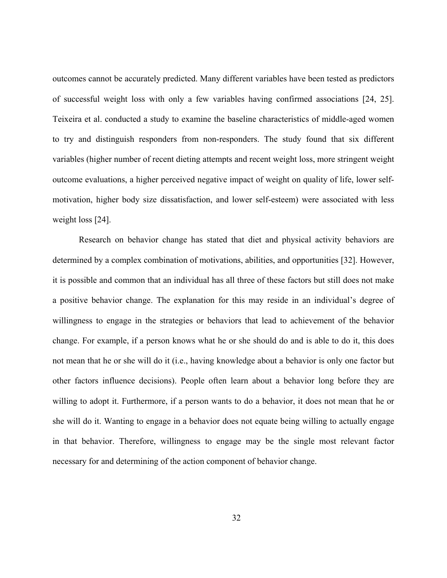outcomes cannot be accurately predicted. Many different variables have been tested as predictors of successful weight loss with only a few variables having confirmed associations [24, 25]. Teixeira et al. conducted a study to examine the baseline characteristics of middle-aged women to try and distinguish responders from non-responders. The study found that six different variables (higher number of recent dieting attempts and recent weight loss, more stringent weight outcome evaluations, a higher perceived negative impact of weight on quality of life, lower selfmotivation, higher body size dissatisfaction, and lower self-esteem) were associated with less weight loss [24].

 Research on behavior change has stated that diet and physical activity behaviors are determined by a complex combination of motivations, abilities, and opportunities [32]. However, it is possible and common that an individual has all three of these factors but still does not make a positive behavior change. The explanation for this may reside in an individual's degree of willingness to engage in the strategies or behaviors that lead to achievement of the behavior change. For example, if a person knows what he or she should do and is able to do it, this does not mean that he or she will do it (i.e., having knowledge about a behavior is only one factor but other factors influence decisions). People often learn about a behavior long before they are willing to adopt it. Furthermore, if a person wants to do a behavior, it does not mean that he or she will do it. Wanting to engage in a behavior does not equate being willing to actually engage in that behavior. Therefore, willingness to engage may be the single most relevant factor necessary for and determining of the action component of behavior change.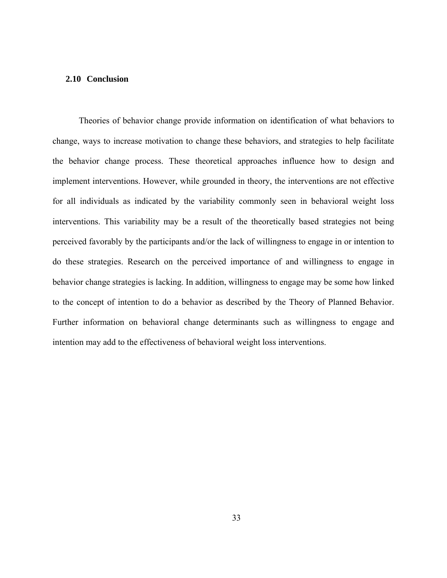# **2.10 Conclusion**

 Theories of behavior change provide information on identification of what behaviors to change, ways to increase motivation to change these behaviors, and strategies to help facilitate the behavior change process. These theoretical approaches influence how to design and implement interventions. However, while grounded in theory, the interventions are not effective for all individuals as indicated by the variability commonly seen in behavioral weight loss interventions. This variability may be a result of the theoretically based strategies not being perceived favorably by the participants and/or the lack of willingness to engage in or intention to do these strategies. Research on the perceived importance of and willingness to engage in behavior change strategies is lacking. In addition, willingness to engage may be some how linked to the concept of intention to do a behavior as described by the Theory of Planned Behavior. Further information on behavioral change determinants such as willingness to engage and intention may add to the effectiveness of behavioral weight loss interventions.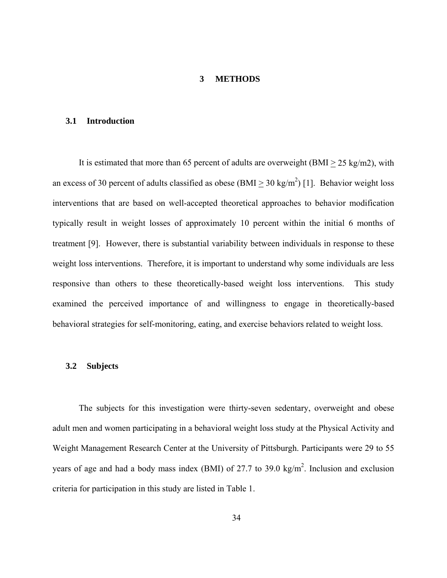## **3 METHODS**

# **3.1 Introduction**

It is estimated that more than 65 percent of adults are overweight (BMI  $>$  25 kg/m2), with an excess of 30 percent of adults classified as obese (BMI  $\geq$  30 kg/m<sup>2</sup>) [1]. Behavior weight loss interventions that are based on well-accepted theoretical approaches to behavior modification typically result in weight losses of approximately 10 percent within the initial 6 months of treatment [9]. However, there is substantial variability between individuals in response to these weight loss interventions. Therefore, it is important to understand why some individuals are less responsive than others to these theoretically-based weight loss interventions. This study examined the perceived importance of and willingness to engage in theoretically-based behavioral strategies for self-monitoring, eating, and exercise behaviors related to weight loss.

### **3.2 Subjects**

The subjects for this investigation were thirty-seven sedentary, overweight and obese adult men and women participating in a behavioral weight loss study at the Physical Activity and Weight Management Research Center at the University of Pittsburgh. Participants were 29 to 55 years of age and had a body mass index (BMI) of 27.7 to 39.0 kg/m<sup>2</sup>. Inclusion and exclusion criteria for participation in this study are listed in Table 1.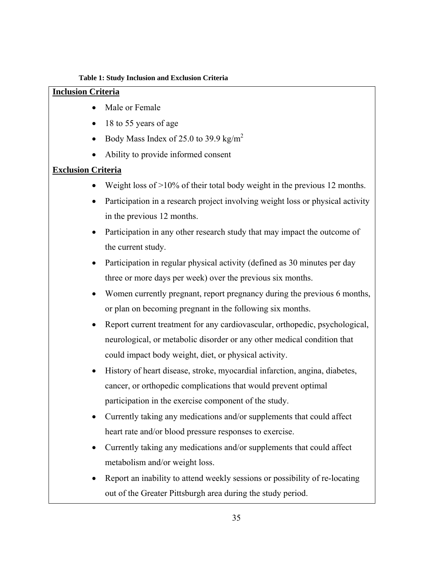## **Table 1: Study Inclusion and Exclusion Criteria**

# **Inclusion Criteria**

- Male or Female
- 18 to 55 years of age
- Body Mass Index of 25.0 to 39.9 kg/m<sup>2</sup>
- Ability to provide informed consent

# **Exclusion Criteria**

- Weight loss of >10% of their total body weight in the previous 12 months.
- Participation in a research project involving weight loss or physical activity in the previous 12 months.
- Participation in any other research study that may impact the outcome of the current study.
- Participation in regular physical activity (defined as 30 minutes per day three or more days per week) over the previous six months.
- Women currently pregnant, report pregnancy during the previous 6 months, or plan on becoming pregnant in the following six months.
- Report current treatment for any cardiovascular, orthopedic, psychological, neurological, or metabolic disorder or any other medical condition that could impact body weight, diet, or physical activity.
- History of heart disease, stroke, myocardial infarction, angina, diabetes, cancer, or orthopedic complications that would prevent optimal participation in the exercise component of the study.
- Currently taking any medications and/or supplements that could affect heart rate and/or blood pressure responses to exercise.
- Currently taking any medications and/or supplements that could affect metabolism and/or weight loss.
- Report an inability to attend weekly sessions or possibility of re-locating out of the Greater Pittsburgh area during the study period.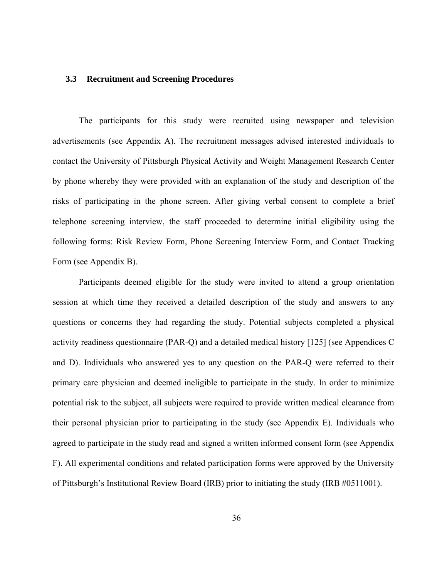### **3.3 Recruitment and Screening Procedures**

The participants for this study were recruited using newspaper and television advertisements (see Appendix A). The recruitment messages advised interested individuals to contact the University of Pittsburgh Physical Activity and Weight Management Research Center by phone whereby they were provided with an explanation of the study and description of the risks of participating in the phone screen. After giving verbal consent to complete a brief telephone screening interview, the staff proceeded to determine initial eligibility using the following forms: Risk Review Form, Phone Screening Interview Form, and Contact Tracking Form (see Appendix B).

Participants deemed eligible for the study were invited to attend a group orientation session at which time they received a detailed description of the study and answers to any questions or concerns they had regarding the study. Potential subjects completed a physical activity readiness questionnaire (PAR-Q) and a detailed medical history [125] (see Appendices C and D). Individuals who answered yes to any question on the PAR-Q were referred to their primary care physician and deemed ineligible to participate in the study. In order to minimize potential risk to the subject, all subjects were required to provide written medical clearance from their personal physician prior to participating in the study (see Appendix E). Individuals who agreed to participate in the study read and signed a written informed consent form (see Appendix F). All experimental conditions and related participation forms were approved by the University of Pittsburgh's Institutional Review Board (IRB) prior to initiating the study (IRB #0511001).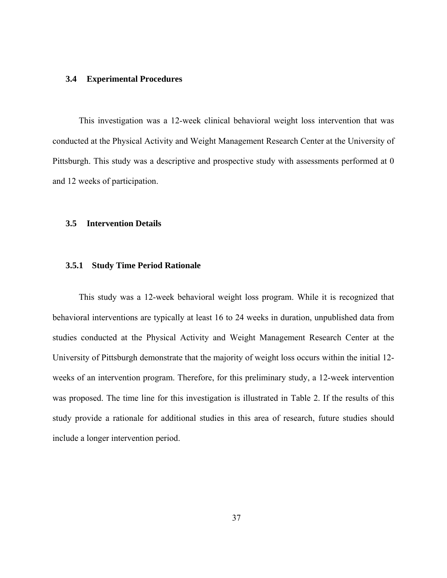### **3.4 Experimental Procedures**

This investigation was a 12-week clinical behavioral weight loss intervention that was conducted at the Physical Activity and Weight Management Research Center at the University of Pittsburgh. This study was a descriptive and prospective study with assessments performed at 0 and 12 weeks of participation.

## **3.5 Intervention Details**

# **3.5.1 Study Time Period Rationale**

This study was a 12-week behavioral weight loss program. While it is recognized that behavioral interventions are typically at least 16 to 24 weeks in duration, unpublished data from studies conducted at the Physical Activity and Weight Management Research Center at the University of Pittsburgh demonstrate that the majority of weight loss occurs within the initial 12 weeks of an intervention program. Therefore, for this preliminary study, a 12-week intervention was proposed. The time line for this investigation is illustrated in Table 2. If the results of this study provide a rationale for additional studies in this area of research, future studies should include a longer intervention period.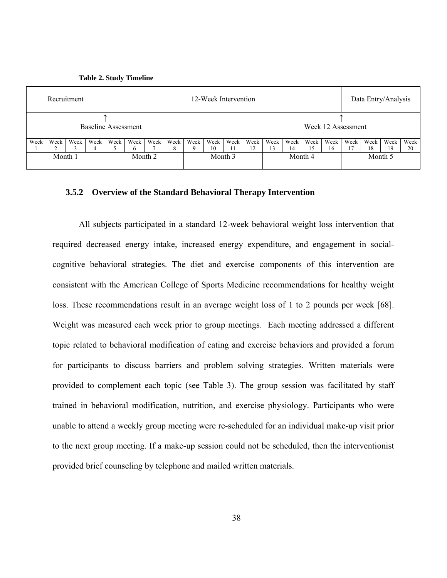**Table 2. Study Timeline** 



## **3.5.2 Overview of the Standard Behavioral Therapy Intervention**

All subjects participated in a standard 12-week behavioral weight loss intervention that required decreased energy intake, increased energy expenditure, and engagement in socialcognitive behavioral strategies. The diet and exercise components of this intervention are consistent with the American College of Sports Medicine recommendations for healthy weight loss. These recommendations result in an average weight loss of 1 to 2 pounds per week [68]. Weight was measured each week prior to group meetings. Each meeting addressed a different topic related to behavioral modification of eating and exercise behaviors and provided a forum for participants to discuss barriers and problem solving strategies. Written materials were provided to complement each topic (see Table 3). The group session was facilitated by staff trained in behavioral modification, nutrition, and exercise physiology. Participants who were unable to attend a weekly group meeting were re-scheduled for an individual make-up visit prior to the next group meeting. If a make-up session could not be scheduled, then the interventionist provided brief counseling by telephone and mailed written materials.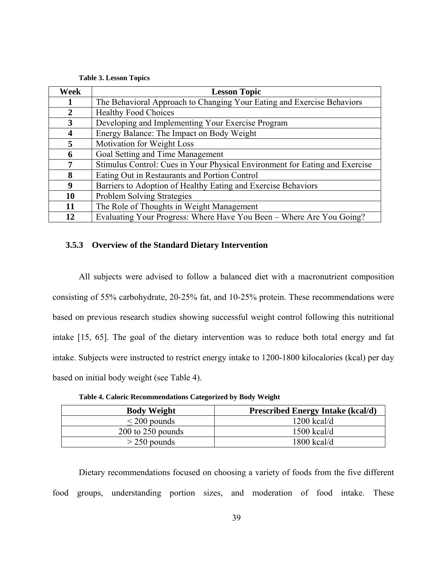|  |  | <b>Table 3. Lesson Topics</b> |  |  |
|--|--|-------------------------------|--|--|
|--|--|-------------------------------|--|--|

| Week | <b>Lesson Topic</b>                                                         |
|------|-----------------------------------------------------------------------------|
|      | The Behavioral Approach to Changing Your Eating and Exercise Behaviors      |
| 2    | <b>Healthy Food Choices</b>                                                 |
| 3    | Developing and Implementing Your Exercise Program                           |
| 4    | Energy Balance: The Impact on Body Weight                                   |
| 5    | Motivation for Weight Loss                                                  |
| 6    | Goal Setting and Time Management                                            |
| 7    | Stimulus Control: Cues in Your Physical Environment for Eating and Exercise |
| 8    | Eating Out in Restaurants and Portion Control                               |
| 9    | Barriers to Adoption of Healthy Eating and Exercise Behaviors               |
| 10   | <b>Problem Solving Strategies</b>                                           |
| 11   | The Role of Thoughts in Weight Management                                   |
| 12   | Evaluating Your Progress: Where Have You Been – Where Are You Going?        |

# **3.5.3 Overview of the Standard Dietary Intervention**

All subjects were advised to follow a balanced diet with a macronutrient composition consisting of 55% carbohydrate, 20-25% fat, and 10-25% protein. These recommendations were based on previous research studies showing successful weight control following this nutritional intake [15, 65]. The goal of the dietary intervention was to reduce both total energy and fat intake. Subjects were instructed to restrict energy intake to 1200-1800 kilocalories (kcal) per day based on initial body weight (see Table 4).

| <b>Body Weight</b>    | <b>Prescribed Energy Intake (kcal/d)</b> |
|-----------------------|------------------------------------------|
| $\leq$ 200 pounds     | $1200$ kcal/d                            |
| $200$ to $250$ pounds | $1500$ kcal/d                            |
| $>$ 250 pounds        | $1800$ kcal/d                            |

**Table 4. Caloric Recommendations Categorized by Body Weight** 

Dietary recommendations focused on choosing a variety of foods from the five different food groups, understanding portion sizes, and moderation of food intake. These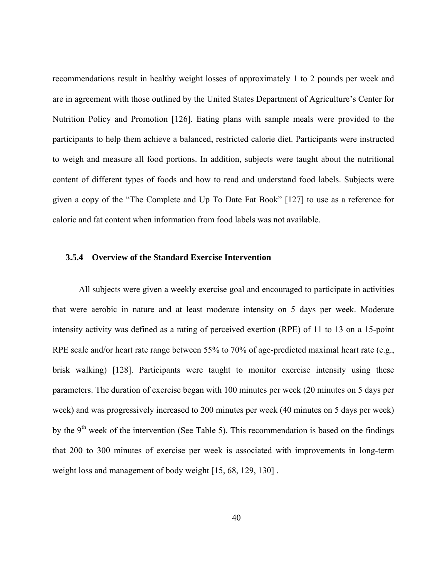recommendations result in healthy weight losses of approximately 1 to 2 pounds per week and are in agreement with those outlined by the United States Department of Agriculture's Center for Nutrition Policy and Promotion [126]. Eating plans with sample meals were provided to the participants to help them achieve a balanced, restricted calorie diet. Participants were instructed to weigh and measure all food portions. In addition, subjects were taught about the nutritional content of different types of foods and how to read and understand food labels. Subjects were given a copy of the "The Complete and Up To Date Fat Book" [127] to use as a reference for caloric and fat content when information from food labels was not available.

# **3.5.4 Overview of the Standard Exercise Intervention**

All subjects were given a weekly exercise goal and encouraged to participate in activities that were aerobic in nature and at least moderate intensity on 5 days per week. Moderate intensity activity was defined as a rating of perceived exertion (RPE) of 11 to 13 on a 15-point RPE scale and/or heart rate range between 55% to 70% of age-predicted maximal heart rate (e.g., brisk walking) [128]. Participants were taught to monitor exercise intensity using these parameters. The duration of exercise began with 100 minutes per week (20 minutes on 5 days per week) and was progressively increased to 200 minutes per week (40 minutes on 5 days per week) by the  $9<sup>th</sup>$  week of the intervention (See Table 5). This recommendation is based on the findings that 200 to 300 minutes of exercise per week is associated with improvements in long-term weight loss and management of body weight [15, 68, 129, 130] .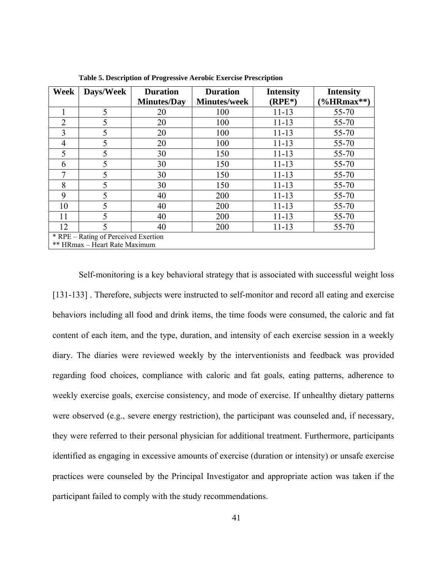| Week           | Days/Week                            | <b>Duration</b>    | <b>Duration</b>     | <b>Intensity</b> | <b>Intensity</b>                     |
|----------------|--------------------------------------|--------------------|---------------------|------------------|--------------------------------------|
|                |                                      | <b>Minutes/Day</b> | <b>Minutes/week</b> | $(RPE*)$         | $\left(\frac{9}{6}HRmax^{**}\right)$ |
|                | 5                                    | 20                 | 100                 | $11 - 13$        | 55-70                                |
| $\overline{2}$ | 5                                    | 20                 | 100                 | $11 - 13$        | 55-70                                |
| 3              | 5                                    | 20                 | 100                 | $11 - 13$        | 55-70                                |
| 4              | 5                                    | 20                 | 100                 | $11 - 13$        | 55-70                                |
| 5              | 5                                    | 30                 | 150                 | $11 - 13$        | 55-70                                |
| 6              | 5                                    | 30                 | 150                 | $11 - 13$        | 55-70                                |
| 7              | 5                                    | 30                 | 150                 | $11 - 13$        | 55-70                                |
| 8              | 5                                    | 30                 | 150                 | $11 - 13$        | 55-70                                |
| 9              | 5                                    | 40                 | 200                 | $11 - 13$        | 55-70                                |
| 10             | 5                                    | 40                 | 200                 | $11 - 13$        | 55-70                                |
| 11             | 5                                    | 40                 | 200                 | $11 - 13$        | 55-70                                |
| 12             |                                      | 40                 | 200                 | $11 - 13$        | 55-70                                |
|                | * RPE – Rating of Perceived Exertion |                    |                     |                  |                                      |
|                | ** HRmax – Heart Rate Maximum        |                    |                     |                  |                                      |

**Table 5. Description of Progressive Aerobic Exercise Prescription** 

Self-monitoring is a key behavioral strategy that is associated with successful weight loss [131-133] . Therefore, subjects were instructed to self-monitor and record all eating and exercise behaviors including all food and drink items, the time foods were consumed, the caloric and fat content of each item, and the type, duration, and intensity of each exercise session in a weekly diary. The diaries were reviewed weekly by the interventionists and feedback was provided regarding food choices, compliance with caloric and fat goals, eating patterns, adherence to weekly exercise goals, exercise consistency, and mode of exercise. If unhealthy dietary patterns were observed (e.g., severe energy restriction), the participant was counseled and, if necessary, they were referred to their personal physician for additional treatment. Furthermore, participants identified as engaging in excessive amounts of exercise (duration or intensity) or unsafe exercise practices were counseled by the Principal Investigator and appropriate action was taken if the participant failed to comply with the study recommendations.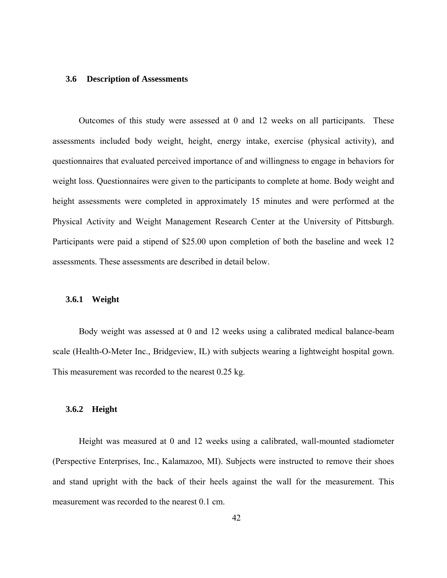### **3.6 Description of Assessments**

Outcomes of this study were assessed at 0 and 12 weeks on all participants. These assessments included body weight, height, energy intake, exercise (physical activity), and questionnaires that evaluated perceived importance of and willingness to engage in behaviors for weight loss. Questionnaires were given to the participants to complete at home. Body weight and height assessments were completed in approximately 15 minutes and were performed at the Physical Activity and Weight Management Research Center at the University of Pittsburgh. Participants were paid a stipend of \$25.00 upon completion of both the baseline and week 12 assessments. These assessments are described in detail below.

## **3.6.1 Weight**

Body weight was assessed at 0 and 12 weeks using a calibrated medical balance-beam scale (Health-O-Meter Inc., Bridgeview, IL) with subjects wearing a lightweight hospital gown. This measurement was recorded to the nearest 0.25 kg.

# **3.6.2 Height**

Height was measured at 0 and 12 weeks using a calibrated, wall-mounted stadiometer (Perspective Enterprises, Inc., Kalamazoo, MI). Subjects were instructed to remove their shoes and stand upright with the back of their heels against the wall for the measurement. This measurement was recorded to the nearest 0.1 cm.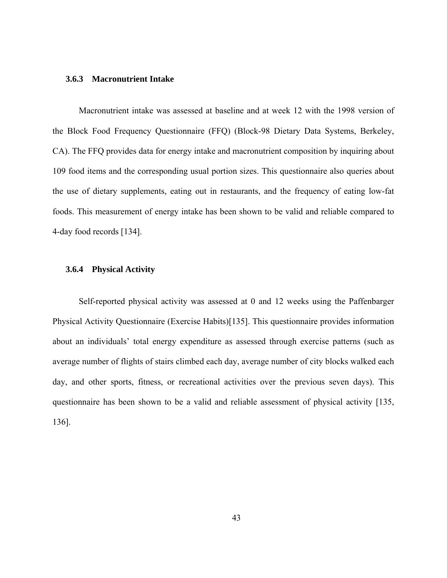## **3.6.3 Macronutrient Intake**

Macronutrient intake was assessed at baseline and at week 12 with the 1998 version of the Block Food Frequency Questionnaire (FFQ) (Block-98 Dietary Data Systems, Berkeley, CA). The FFQ provides data for energy intake and macronutrient composition by inquiring about 109 food items and the corresponding usual portion sizes. This questionnaire also queries about the use of dietary supplements, eating out in restaurants, and the frequency of eating low-fat foods. This measurement of energy intake has been shown to be valid and reliable compared to 4-day food records [134].

# **3.6.4 Physical Activity**

Self-reported physical activity was assessed at 0 and 12 weeks using the Paffenbarger Physical Activity Questionnaire (Exercise Habits)[135]. This questionnaire provides information about an individuals' total energy expenditure as assessed through exercise patterns (such as average number of flights of stairs climbed each day, average number of city blocks walked each day, and other sports, fitness, or recreational activities over the previous seven days). This questionnaire has been shown to be a valid and reliable assessment of physical activity [135, 136].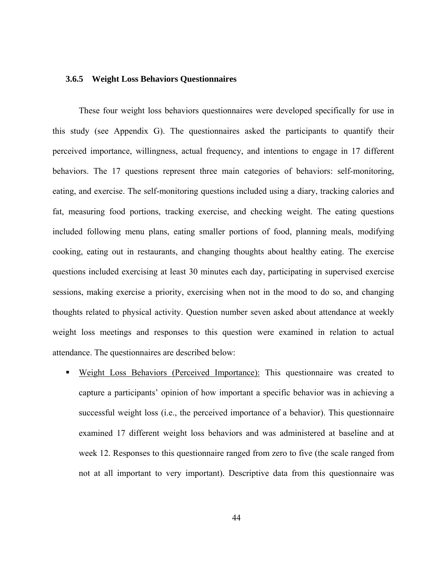## **3.6.5 Weight Loss Behaviors Questionnaires**

These four weight loss behaviors questionnaires were developed specifically for use in this study (see Appendix G). The questionnaires asked the participants to quantify their perceived importance, willingness, actual frequency, and intentions to engage in 17 different behaviors. The 17 questions represent three main categories of behaviors: self-monitoring, eating, and exercise. The self-monitoring questions included using a diary, tracking calories and fat, measuring food portions, tracking exercise, and checking weight. The eating questions included following menu plans, eating smaller portions of food, planning meals, modifying cooking, eating out in restaurants, and changing thoughts about healthy eating. The exercise questions included exercising at least 30 minutes each day, participating in supervised exercise sessions, making exercise a priority, exercising when not in the mood to do so, and changing thoughts related to physical activity. Question number seven asked about attendance at weekly weight loss meetings and responses to this question were examined in relation to actual attendance. The questionnaires are described below:

**Weight Loss Behaviors (Perceived Importance):** This questionnaire was created to capture a participants' opinion of how important a specific behavior was in achieving a successful weight loss (i.e., the perceived importance of a behavior). This questionnaire examined 17 different weight loss behaviors and was administered at baseline and at week 12. Responses to this questionnaire ranged from zero to five (the scale ranged from not at all important to very important). Descriptive data from this questionnaire was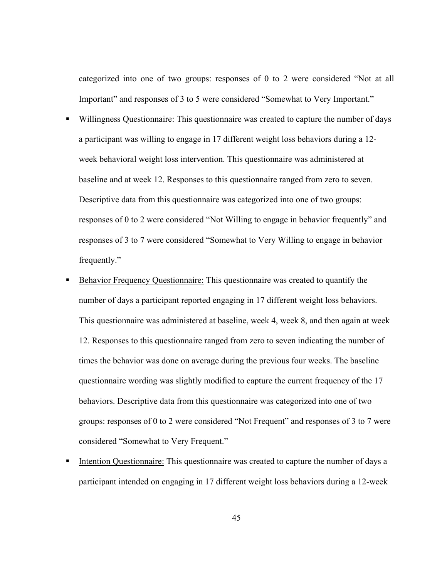categorized into one of two groups: responses of 0 to 2 were considered "Not at all Important" and responses of 3 to 5 were considered "Somewhat to Very Important."

- Willingness Questionnaire: This questionnaire was created to capture the number of days a participant was willing to engage in 17 different weight loss behaviors during a 12 week behavioral weight loss intervention. This questionnaire was administered at baseline and at week 12. Responses to this questionnaire ranged from zero to seven. Descriptive data from this questionnaire was categorized into one of two groups: responses of 0 to 2 were considered "Not Willing to engage in behavior frequently" and responses of 3 to 7 were considered "Somewhat to Very Willing to engage in behavior frequently."
- Behavior Frequency Questionnaire: This questionnaire was created to quantify the number of days a participant reported engaging in 17 different weight loss behaviors. This questionnaire was administered at baseline, week 4, week 8, and then again at week 12. Responses to this questionnaire ranged from zero to seven indicating the number of times the behavior was done on average during the previous four weeks. The baseline questionnaire wording was slightly modified to capture the current frequency of the 17 behaviors. Descriptive data from this questionnaire was categorized into one of two groups: responses of 0 to 2 were considered "Not Frequent" and responses of 3 to 7 were considered "Somewhat to Very Frequent."
- Intention Questionnaire: This questionnaire was created to capture the number of days a participant intended on engaging in 17 different weight loss behaviors during a 12-week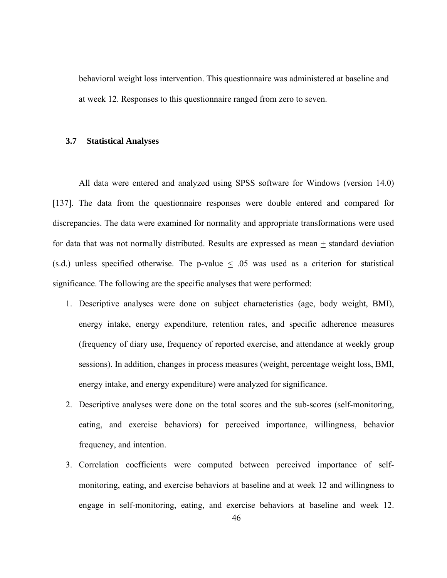behavioral weight loss intervention. This questionnaire was administered at baseline and at week 12. Responses to this questionnaire ranged from zero to seven.

## **3.7 Statistical Analyses**

All data were entered and analyzed using SPSS software for Windows (version 14.0) [137]. The data from the questionnaire responses were double entered and compared for discrepancies. The data were examined for normality and appropriate transformations were used for data that was not normally distributed. Results are expressed as mean  $\pm$  standard deviation (s.d.) unless specified otherwise. The p-value  $\leq$  0.05 was used as a criterion for statistical significance. The following are the specific analyses that were performed:

- 1. Descriptive analyses were done on subject characteristics (age, body weight, BMI), energy intake, energy expenditure, retention rates, and specific adherence measures (frequency of diary use, frequency of reported exercise, and attendance at weekly group sessions). In addition, changes in process measures (weight, percentage weight loss, BMI, energy intake, and energy expenditure) were analyzed for significance.
- 2. Descriptive analyses were done on the total scores and the sub-scores (self-monitoring, eating, and exercise behaviors) for perceived importance, willingness, behavior frequency, and intention.
- 3. Correlation coefficients were computed between perceived importance of selfmonitoring, eating, and exercise behaviors at baseline and at week 12 and willingness to engage in self-monitoring, eating, and exercise behaviors at baseline and week 12.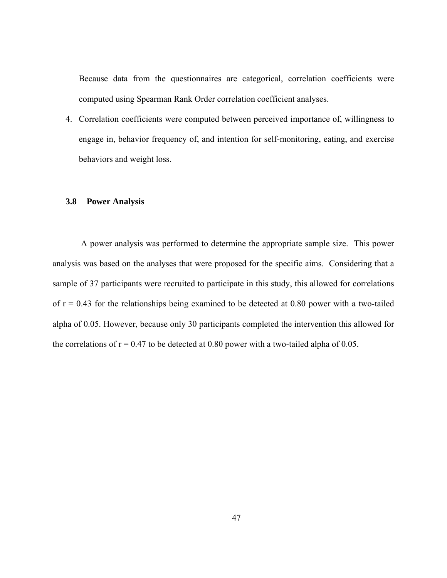Because data from the questionnaires are categorical, correlation coefficients were computed using Spearman Rank Order correlation coefficient analyses.

4. Correlation coefficients were computed between perceived importance of, willingness to engage in, behavior frequency of, and intention for self-monitoring, eating, and exercise behaviors and weight loss.

# **3.8 Power Analysis**

 A power analysis was performed to determine the appropriate sample size. This power analysis was based on the analyses that were proposed for the specific aims. Considering that a sample of 37 participants were recruited to participate in this study, this allowed for correlations of  $r = 0.43$  for the relationships being examined to be detected at 0.80 power with a two-tailed alpha of 0.05. However, because only 30 participants completed the intervention this allowed for the correlations of  $r = 0.47$  to be detected at 0.80 power with a two-tailed alpha of 0.05.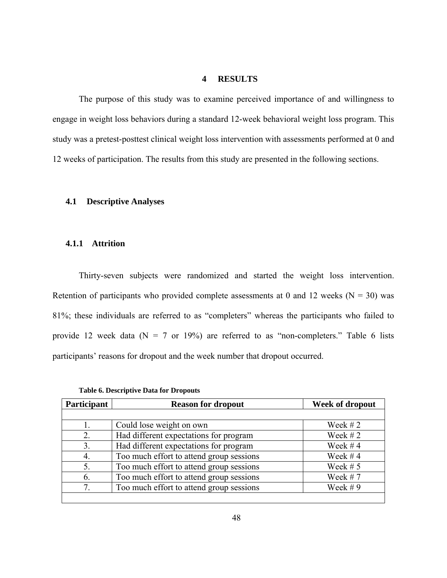# **4 RESULTS**

The purpose of this study was to examine perceived importance of and willingness to engage in weight loss behaviors during a standard 12-week behavioral weight loss program. This study was a pretest-posttest clinical weight loss intervention with assessments performed at 0 and 12 weeks of participation. The results from this study are presented in the following sections.

# **4.1 Descriptive Analyses**

### **4.1.1 Attrition**

Thirty-seven subjects were randomized and started the weight loss intervention. Retention of participants who provided complete assessments at 0 and 12 weeks ( $N = 30$ ) was 81%; these individuals are referred to as "completers" whereas the participants who failed to provide 12 week data ( $N = 7$  or 19%) are referred to as "non-completers." Table 6 lists participants' reasons for dropout and the week number that dropout occurred.

| Participant | <b>Reason for dropout</b>                | Week of dropout |
|-------------|------------------------------------------|-----------------|
|             |                                          |                 |
|             | Could lose weight on own                 | Week $#2$       |
|             | Had different expectations for program   | Week $# 2$      |
| 3.          | Had different expectations for program   | Week $#4$       |
|             | Too much effort to attend group sessions | Week $#4$       |
| 5.          | Too much effort to attend group sessions | Week $# 5$      |
| 6.          | Too much effort to attend group sessions | Week $# 7$      |
|             | Too much effort to attend group sessions | Week $# 9$      |
|             |                                          |                 |

**Table 6. Descriptive Data for Dropouts**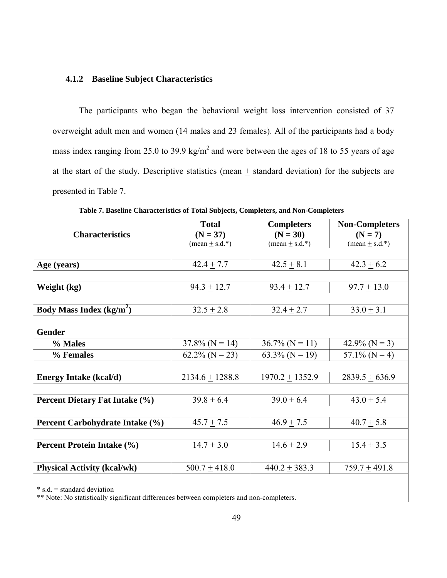# **4.1.2 Baseline Subject Characteristics**

The participants who began the behavioral weight loss intervention consisted of 37 overweight adult men and women (14 males and 23 females). All of the participants had a body mass index ranging from 25.0 to 39.9 kg/m<sup>2</sup> and were between the ages of 18 to 55 years of age at the start of the study. Descriptive statistics (mean  $\pm$  standard deviation) for the subjects are presented in Table 7.

|                                                                      | <b>Total</b>                                                                                                         | <b>Completers</b>               | <b>Non-Completers</b>           |
|----------------------------------------------------------------------|----------------------------------------------------------------------------------------------------------------------|---------------------------------|---------------------------------|
| <b>Characteristics</b>                                               | $(N = 37)$                                                                                                           | $(N = 30)$                      | $(N = 7)$                       |
|                                                                      | $(\text{mean} \pm \text{s.d.})$                                                                                      | $(\text{mean} \pm \text{s.d.})$ | $(\text{mean} \pm \text{s.d.})$ |
|                                                                      |                                                                                                                      |                                 |                                 |
| Age (years)                                                          | $42.4 \pm 7.7$                                                                                                       | $42.5 + 8.1$                    | $42.3 \pm 6.2$                  |
|                                                                      |                                                                                                                      |                                 |                                 |
| Weight (kg)                                                          | $94.3 \pm 12.7$                                                                                                      | $93.4 \pm 12.7$                 | $97.7 \pm 13.0$                 |
|                                                                      |                                                                                                                      |                                 |                                 |
| <b>Body Mass Index (kg/m<sup>2</sup>)</b>                            | $32.5 \pm 2.8$                                                                                                       | $32.4 \pm 2.7$                  | $33.0 \pm 3.1$                  |
|                                                                      |                                                                                                                      |                                 |                                 |
| <b>Gender</b>                                                        |                                                                                                                      |                                 |                                 |
| % Males                                                              | $37.8\%$ (N = 14)                                                                                                    | $36.7\%$ (N = 11)               | 42.9% ( $N = 3$ )               |
| % Females                                                            | $62.2\%$ (N = 23)                                                                                                    | 63.3% ( $N = 19$ )              | $57.1\%$ (N = 4)                |
|                                                                      |                                                                                                                      |                                 |                                 |
| <b>Energy Intake (kcal/d)</b>                                        | $2134.6 + 1288.8$                                                                                                    | $1970.2 + 1352.9$               | $2839.5 + 636.9$                |
|                                                                      |                                                                                                                      |                                 |                                 |
| Percent Dietary Fat Intake (%)                                       | $39.8 + 6.4$                                                                                                         | $39.0 \pm 6.4$                  | $43.0 \pm 5.4$                  |
|                                                                      |                                                                                                                      |                                 |                                 |
| Percent Carbohydrate Intake (%)                                      | $45.7 + 7.5$                                                                                                         | $46.9 + 7.5$                    | $40.7 + 5.8$                    |
|                                                                      |                                                                                                                      |                                 |                                 |
| <b>Percent Protein Intake (%)</b>                                    | $14.7 \pm 3.0$                                                                                                       | $14.6 \pm 2.9$                  | $15.4 \pm 3.5$                  |
|                                                                      |                                                                                                                      |                                 |                                 |
| <b>Physical Activity (kcal/wk)</b>                                   | $500.7 + 418.0$                                                                                                      | $440.2 + 383.3$                 | $759.7 + 491.8$                 |
|                                                                      |                                                                                                                      |                                 |                                 |
| $* s.d. = standard deviation$<br>$\cdots$ $\alpha$ $\cdots$ $\alpha$ | the company's company's company's<br>the contract of the contract of the contract of the contract of the contract of |                                 |                                 |

**Table 7. Baseline Characteristics of Total Subjects, Completers, and Non-Completers** 

\*\* Note: No statistically significant differences between completers and non-completers.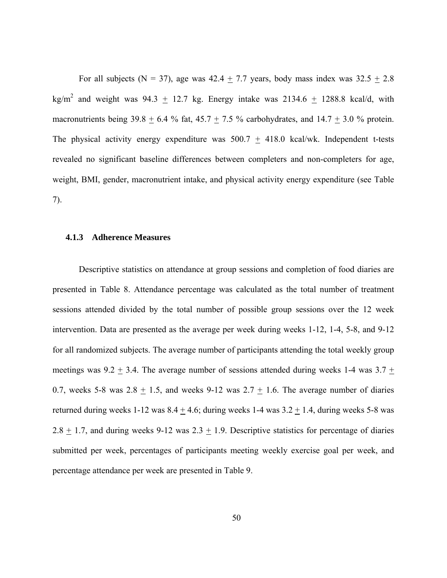For all subjects (N = 37), age was  $42.4 \pm 7.7$  years, body mass index was  $32.5 \pm 2.8$ kg/m<sup>2</sup> and weight was 94.3  $\pm$  12.7 kg. Energy intake was 2134.6  $\pm$  1288.8 kcal/d, with macronutrients being 39.8  $\pm$  6.4 % fat, 45.7  $\pm$  7.5 % carbohydrates, and 14.7  $\pm$  3.0 % protein. The physical activity energy expenditure was  $500.7 \pm 418.0$  kcal/wk. Independent t-tests revealed no significant baseline differences between completers and non-completers for age, weight, BMI, gender, macronutrient intake, and physical activity energy expenditure (see Table 7).

#### **4.1.3 Adherence Measures**

Descriptive statistics on attendance at group sessions and completion of food diaries are presented in Table 8. Attendance percentage was calculated as the total number of treatment sessions attended divided by the total number of possible group sessions over the 12 week intervention. Data are presented as the average per week during weeks 1-12, 1-4, 5-8, and 9-12 for all randomized subjects. The average number of participants attending the total weekly group meetings was  $9.2 \pm 3.4$ . The average number of sessions attended during weeks 1-4 was  $3.7 \pm$ 0.7, weeks 5-8 was 2.8  $\pm$  1.5, and weeks 9-12 was 2.7  $\pm$  1.6. The average number of diaries returned during weeks  $1-12$  was  $8.4 + 4.6$ ; during weeks  $1-4$  was  $3.2 + 1.4$ , during weeks  $5-8$  was 2.8  $\pm$  1.7, and during weeks 9-12 was 2.3  $\pm$  1.9. Descriptive statistics for percentage of diaries submitted per week, percentages of participants meeting weekly exercise goal per week, and percentage attendance per week are presented in Table 9.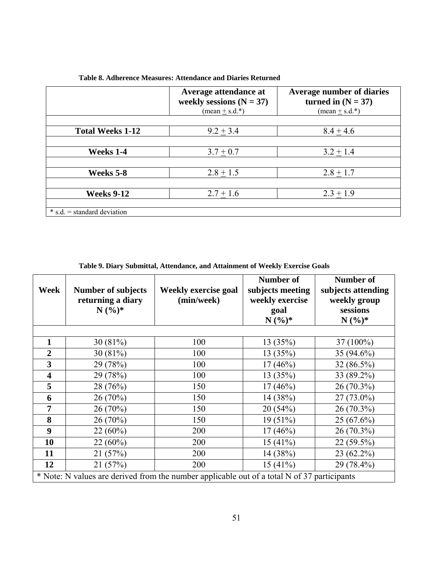|                               | Average attendance at<br>weekly sessions $(N = 37)$<br>$(\text{mean} + \text{s.d.})^*$ | <b>Average number of diaries</b><br>turned in $(N = 37)$<br>$(\text{mean} + \text{s.d.})^*$ |
|-------------------------------|----------------------------------------------------------------------------------------|---------------------------------------------------------------------------------------------|
|                               |                                                                                        |                                                                                             |
| <b>Total Weeks 1-12</b>       | $9.2 + 3.4$                                                                            | $8.4 + 4.6$                                                                                 |
|                               |                                                                                        |                                                                                             |
| Weeks 1-4                     | $3.7 + 0.7$                                                                            | $3.2 + 1.4$                                                                                 |
|                               |                                                                                        |                                                                                             |
| Weeks 5-8                     | $2.8 \pm 1.5$                                                                          | $2.8 \pm 1.7$                                                                               |
|                               |                                                                                        |                                                                                             |
| <b>Weeks 9-12</b>             | $2.7 \pm 1.6$                                                                          | $2.3 + 1.9$                                                                                 |
|                               |                                                                                        |                                                                                             |
| $*$ s.d. = standard deviation |                                                                                        |                                                                                             |

**Table 8. Adherence Measures: Attendance and Diaries Returned** 

| Table 9. Diary Submittal, Attendance, and Attainment of Weekly Exercise Goals |  |  |
|-------------------------------------------------------------------------------|--|--|
|                                                                               |  |  |

| Week                    | <b>Number of subjects</b><br>returning a diary<br>$N(%)^*$                                  | <b>Weekly exercise goal</b><br>(min/week) | Number of<br>subjects meeting<br>weekly exercise<br>goal<br>$N({\%})^*$ | <b>Number of</b><br>subjects attending<br>weekly group<br>sessions<br>$N(%)*$ |
|-------------------------|---------------------------------------------------------------------------------------------|-------------------------------------------|-------------------------------------------------------------------------|-------------------------------------------------------------------------------|
|                         |                                                                                             |                                           |                                                                         |                                                                               |
| 1                       | 30 $(81\%)$                                                                                 | 100                                       | 13 (35%)                                                                | 37 (100%)                                                                     |
| $\boldsymbol{2}$        | 30(81%)                                                                                     | 100                                       | 13(35%)                                                                 | 35 (94.6%)                                                                    |
| 3                       | 29 (78%)                                                                                    | 100                                       | $17(46\%)$                                                              | 32 (86.5%)                                                                    |
| $\overline{\mathbf{4}}$ | 29 (78%)                                                                                    | 100                                       | 13 (35%)                                                                | 33 (89.2%)                                                                    |
| 5                       | 28 (76%)                                                                                    | 150                                       | $17(46\%)$                                                              | 26 (70.3%)                                                                    |
| 6                       | 26(70%)                                                                                     | 150                                       | 14 (38%)                                                                | $27(73.0\%)$                                                                  |
| 7                       | 26(70%)                                                                                     | 150                                       | 20(54%)                                                                 | 26 (70.3%)                                                                    |
| 8                       | 26(70%)                                                                                     | 150                                       | $19(51\%)$                                                              | $25(67.6\%)$                                                                  |
| 9                       | $22(60\%)$                                                                                  | 200                                       | $17(46\%)$                                                              | 26 (70.3%)                                                                    |
| 10                      | $22(60\%)$                                                                                  | 200                                       | 15(41%)                                                                 | 22 (59.5%)                                                                    |
| 11                      | 21(57%)                                                                                     | 200                                       | 14 (38%)                                                                | 23 (62.2%)                                                                    |
| 12                      | 21(57%)                                                                                     | 200                                       | 15(41%)                                                                 | 29 (78.4%)                                                                    |
|                         | * Note: N values are derived from the number applicable out of a total N of 37 participants |                                           |                                                                         |                                                                               |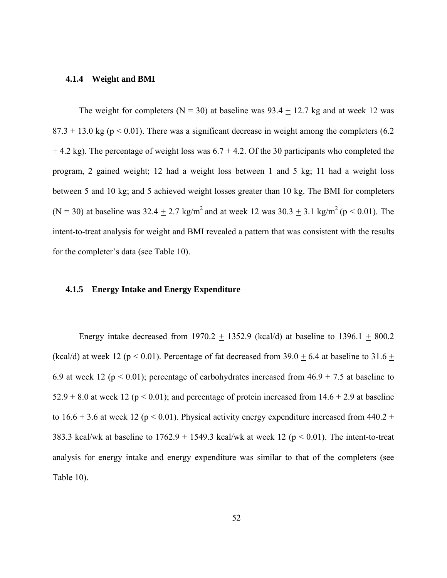#### **4.1.4 Weight and BMI**

The weight for completers ( $N = 30$ ) at baseline was 93.4  $\pm$  12.7 kg and at week 12 was  $87.3 + 13.0$  kg ( $p < 0.01$ ). There was a significant decrease in weight among the completers (6.2)  $\pm$  4.2 kg). The percentage of weight loss was 6.7  $\pm$  4.2. Of the 30 participants who completed the program, 2 gained weight; 12 had a weight loss between 1 and 5 kg; 11 had a weight loss between 5 and 10 kg; and 5 achieved weight losses greater than 10 kg. The BMI for completers (N = 30) at baseline was  $32.4 \pm 2.7$  kg/m<sup>2</sup> and at week 12 was  $30.3 \pm 3.1$  kg/m<sup>2</sup> (p < 0.01). The intent-to-treat analysis for weight and BMI revealed a pattern that was consistent with the results for the completer's data (see Table 10).

### **4.1.5 Energy Intake and Energy Expenditure**

Energy intake decreased from 1970.2  $\pm$  1352.9 (kcal/d) at baseline to 1396.1  $\pm$  800.2 (kcal/d) at week 12 ( $p < 0.01$ ). Percentage of fat decreased from 39.0  $\pm$  6.4 at baseline to 31.6  $\pm$ 6.9 at week 12 ( $p < 0.01$ ); percentage of carbohydrates increased from  $46.9 \pm 7.5$  at baseline to 52.9  $\pm$  8.0 at week 12 (p < 0.01); and percentage of protein increased from 14.6  $\pm$  2.9 at baseline to 16.6  $\pm$  3.6 at week 12 (p < 0.01). Physical activity energy expenditure increased from 440.2  $\pm$ 383.3 kcal/wk at baseline to  $1762.9 \pm 1549.3$  kcal/wk at week 12 (p < 0.01). The intent-to-treat analysis for energy intake and energy expenditure was similar to that of the completers (see Table 10).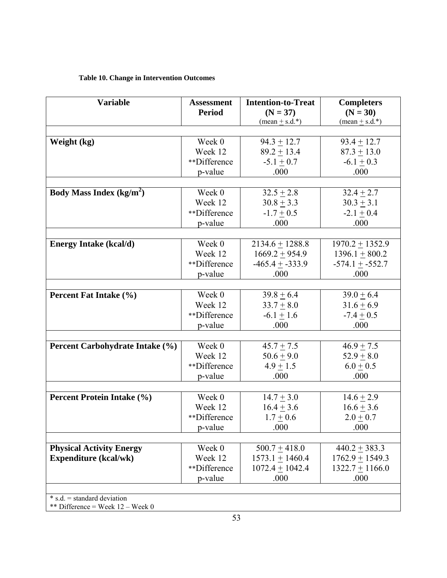# **Table 10. Change in Intervention Outcomes**

| <b>Variable</b>                           | <b>Assessment</b> | <b>Intention-to-Treat</b>       | <b>Completers</b>               |
|-------------------------------------------|-------------------|---------------------------------|---------------------------------|
|                                           | <b>Period</b>     | $(N = 37)$                      | $(N = 30)$                      |
|                                           |                   | $(\text{mean} \pm \text{s.d.})$ | $(\text{mean} \pm \text{s.d.})$ |
|                                           |                   |                                 |                                 |
| Weight (kg)                               | Week 0            | $94.3 + 12.7$                   | $93.4 + 12.7$                   |
|                                           | Week 12           | $89.2 + 13.4$                   | $87.3 \pm 13.0$                 |
|                                           | **Difference      | $-5.1 \pm 0.7$                  | $-6.1 \pm 0.3$                  |
|                                           | p-value           | .000                            | .000                            |
|                                           |                   |                                 |                                 |
| <b>Body Mass Index (kg/m<sup>2</sup>)</b> | Week 0            | $32.5 + 2.8$                    | $32.4 \pm 2.7$                  |
|                                           | Week 12           | $30.8 \pm 3.3$                  | $30.3 \pm 3.1$                  |
|                                           | **Difference      | $-1.7 + 0.5$                    | $-2.1 + 0.4$                    |
|                                           | p-value           | .000                            | .000                            |
|                                           |                   |                                 |                                 |
| <b>Energy Intake (kcal/d)</b>             | Week 0            | $2134.6 + 1288.8$               | $1970.2 + 1352.9$               |
|                                           | Week 12           | $1669.2 + 954.9$                | $1396.1 + 800.2$                |
|                                           | **Difference      | $-465.4 + -333.9$               | $-574.1 + -552.7$               |
|                                           | p-value           | .000                            | .000                            |
|                                           |                   |                                 |                                 |
| Percent Fat Intake (%)                    | Week 0            | $39.8 + 6.4$                    | $39.0 + 6.4$                    |
|                                           | Week 12           | $33.7 + 8.0$                    | $31.6 \pm 6.9$                  |
|                                           | **Difference      | $-6.1 \pm 1.6$                  | $-7.4 \pm 0.5$                  |
|                                           | p-value           | .000                            | .000                            |
|                                           |                   |                                 |                                 |
| Percent Carbohydrate Intake (%)           | Week 0            | $45.7 + 7.5$                    | $46.9 \pm 7.5$                  |
|                                           | Week 12           | $50.6 \pm 9.0$                  | $52.9 + 8.0$                    |
|                                           | **Difference      | $4.9 + 1.5$                     | $6.0 + 0.5$                     |
|                                           | p-value           | .000                            | .000                            |
|                                           |                   |                                 |                                 |
| <b>Percent Protein Intake (%)</b>         | Week 0            | $14.7 \pm 3.0$                  | $14.6 \pm 2.9$                  |
|                                           | Week 12           | $16.4 + 3.6$                    | $16.6 + 3.6$                    |
|                                           | **Difference      | $1.7 + 0.6$                     | $2.0 + 0.7$                     |
|                                           | p-value           | .000                            | .000                            |
|                                           |                   |                                 |                                 |
| <b>Physical Activity Energy</b>           | Week 0            | $500.7 \pm 418.0$               | $440.2 \pm 383.3$               |
| <b>Expenditure (kcal/wk)</b>              | Week 12           | $1573.1 + 1460.4$               | $1762.9 + 1549.3$               |
|                                           | **Difference      | $1072.4 + 1042.4$               | $1322.7 + 1166.0$               |
|                                           | p-value           | .000                            | .000                            |
|                                           |                   |                                 |                                 |
| $* s.d. = standard deviation$             |                   |                                 |                                 |

\*\* Difference = Week 12 – Week 0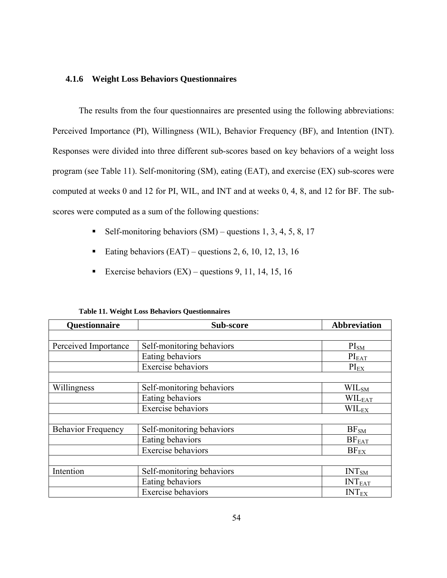# **4.1.6 Weight Loss Behaviors Questionnaires**

The results from the four questionnaires are presented using the following abbreviations: Perceived Importance (PI), Willingness (WIL), Behavior Frequency (BF), and Intention (INT). Responses were divided into three different sub-scores based on key behaviors of a weight loss program (see Table 11). Self-monitoring (SM), eating (EAT), and exercise (EX) sub-scores were computed at weeks 0 and 12 for PI, WIL, and INT and at weeks 0, 4, 8, and 12 for BF. The subscores were computed as a sum of the following questions:

- Self-monitoring behaviors  $(SM)$  questions 1, 3, 4, 5, 8, 17
- Eating behaviors  $(EAT)$  questions 2, 6, 10, 12, 13, 16
- Exercise behaviors  $(EX)$  questions 9, 11, 14, 15, 16

| Questionnaire             | Sub-score                 | <b>Abbreviation</b>     |
|---------------------------|---------------------------|-------------------------|
|                           |                           |                         |
| Perceived Importance      | Self-monitoring behaviors | PI <sub>SM</sub>        |
|                           | Eating behaviors          | $PI_{EAT}$              |
|                           | <b>Exercise</b> behaviors | $PI_{EX}$               |
|                           |                           |                         |
| Willingness               | Self-monitoring behaviors | WILSM                   |
|                           | Eating behaviors          | WILEAT                  |
|                           | <b>Exercise</b> behaviors | <b>WILEX</b>            |
|                           |                           |                         |
| <b>Behavior Frequency</b> | Self-monitoring behaviors | BF <sub>SM</sub>        |
|                           | Eating behaviors          | $BF_{EAT}$              |
|                           | <b>Exercise</b> behaviors | $BF_{EX}$               |
|                           |                           |                         |
| Intention                 | Self-monitoring behaviors | INT <sub>SM</sub>       |
|                           | Eating behaviors          | INT <sub>EAT</sub>      |
|                           | <b>Exercise</b> behaviors | <b>INT<sub>EX</sub></b> |

#### **Table 11. Weight Loss Behaviors Questionnaires**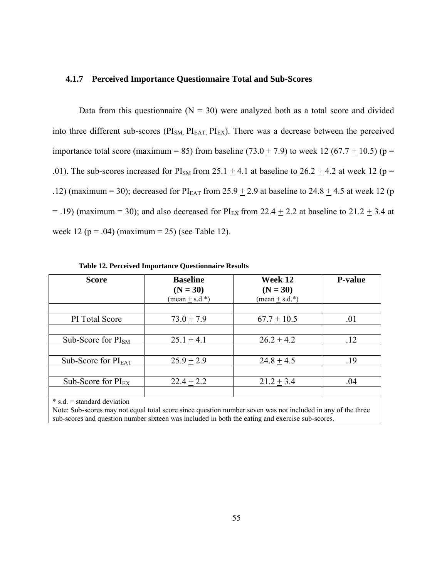### **4.1.7 Perceived Importance Questionnaire Total and Sub-Scores**

Data from this questionnaire  $(N = 30)$  were analyzed both as a total score and divided into three different sub-scores (PI<sub>SM,</sub> PI<sub>EAT,</sub> PI<sub>EX</sub>). There was a decrease between the perceived importance total score (maximum = 85) from baseline (73.0  $\pm$  7.9) to week 12 (67.7  $\pm$  10.5) (p = .01). The sub-scores increased for PI<sub>SM</sub> from 25.1  $\pm$  4.1 at baseline to 26.2  $\pm$  4.2 at week 12 (p = .12) (maximum = 30); decreased for  $PI<sub>EAT</sub>$  from 25.9  $\pm$  2.9 at baseline to 24.8  $\pm$  4.5 at week 12 (p = .19) (maximum = 30); and also decreased for  $PI_{EX}$  from 22.4  $\pm$  2.2 at baseline to 21.2  $\pm$  3.4 at week 12 ( $p = .04$ ) (maximum = 25) (see Table 12).

| <b>Score</b>             | <b>Baseline</b><br>$(N = 30)$<br>$(\text{mean} \pm \text{s.d.})$ | Week 12<br>$(N = 30)$<br>$(\text{mean} \pm \text{s.d.})$ | <b>P-value</b> |
|--------------------------|------------------------------------------------------------------|----------------------------------------------------------|----------------|
| PI Total Score           | $73.0 + 7.9$                                                     | $67.7 + 10.5$                                            | .01            |
| Sub-Score for $PI_{SM}$  | $25.1 + 4.1$                                                     | $26.2 + 4.2$                                             | .12            |
| Sub-Score for $PI_{EAT}$ | $25.9 \pm 2.9$                                                   | $24.8 + 4.5$                                             | .19            |
| Sub-Score for $PI_{EX}$  | $22.4 \pm 2.2$                                                   | $21.2 \pm 3.4$                                           | .04            |

**Table 12. Perceived Importance Questionnaire Results** 

\* s.d. = standard deviation

Note: Sub-scores may not equal total score since question number seven was not included in any of the three sub-scores and question number sixteen was included in both the eating and exercise sub-scores.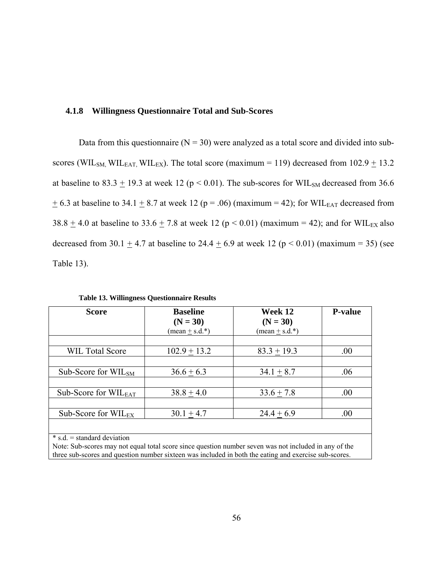## **4.1.8 Willingness Questionnaire Total and Sub-Scores**

Data from this questionnaire ( $N = 30$ ) were analyzed as a total score and divided into subscores (WIL<sub>SM,</sub> WIL<sub>EAT,</sub> WIL<sub>EX</sub>). The total score (maximum = 119) decreased from 102.9  $\pm$  13.2 at baseline to 83.3  $\pm$  19.3 at week 12 (p < 0.01). The sub-scores for WIL<sub>SM</sub> decreased from 36.6  $\pm$  6.3 at baseline to 34.1  $\pm$  8.7 at week 12 (p = .06) (maximum = 42); for WILEAT decreased from 38.8  $\pm$  4.0 at baseline to 33.6  $\pm$  7.8 at week 12 (p < 0.01) (maximum = 42); and for WIL $_{EX}$  also decreased from 30.1  $\pm$  4.7 at baseline to 24.4  $\pm$  6.9 at week 12 (p < 0.01) (maximum = 35) (see Table 13).

| <b>Score</b>                     | <b>Baseline</b><br>$(N = 30)$<br>$(\text{mean} \pm \text{s.d.})$ | Week 12<br>$(N = 30)$<br>$(\text{mean} \pm \text{s.d.})$ | <b>P-value</b> |
|----------------------------------|------------------------------------------------------------------|----------------------------------------------------------|----------------|
| <b>WIL Total Score</b>           | $102.9 + 13.2$                                                   | $83.3 + 19.3$                                            | .00            |
| Sub-Score for $WIL_{SM}$         | $36.6 + 6.3$                                                     | $34.1 + 8.7$                                             | .06            |
|                                  |                                                                  |                                                          |                |
| Sub-Score for $WIL_{EAT}$        | $38.8 \pm 4.0$                                                   | $33.6 + 7.8$                                             | .00            |
| Sub-Score for $WIL_{EX}$         | $30.1 \pm 4.7$                                                   | $24.4 \pm 6.9$                                           | .00            |
| $\ast$ s.d. = standard deviation |                                                                  |                                                          |                |

**Table 13. Willingness Questionnaire Results** 

Note: Sub-scores may not equal total score since question number seven was not included in any of the three sub-scores and question number sixteen was included in both the eating and exercise sub-scores.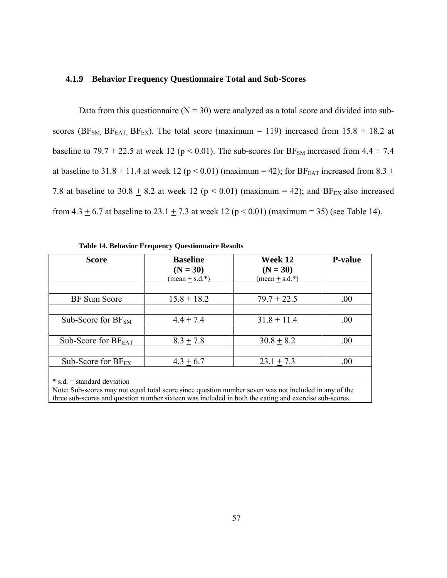# **4.1.9 Behavior Frequency Questionnaire Total and Sub-Scores**

Data from this questionnaire ( $N = 30$ ) were analyzed as a total score and divided into subscores (BF<sub>SM,</sub> BF<sub>EAT,</sub> BF<sub>EX</sub>). The total score (maximum = 119) increased from 15.8  $\pm$  18.2 at baseline to 79.7  $\pm$  22.5 at week 12 (p < 0.01). The sub-scores for BF<sub>SM</sub> increased from 4.4  $\pm$  7.4 at baseline to 31.8  $\pm$  11.4 at week 12 (p < 0.01) (maximum = 42); for BF<sub>EAT</sub> increased from 8.3  $\pm$ 7.8 at baseline to 30.8  $\pm$  8.2 at week 12 (p < 0.01) (maximum = 42); and BF<sub>EX</sub> also increased from 4.3  $\pm$  6.7 at baseline to 23.1  $\pm$  7.3 at week 12 (p < 0.01) (maximum = 35) (see Table 14).

| <b>Score</b>                     | <b>Baseline</b><br>$(N = 30)$<br>$(\text{mean} \pm \text{s.d.})$ | Week 12<br>$(N = 30)$<br>$(\text{mean} \pm \text{s.d.})$ | <b>P-value</b> |  |
|----------------------------------|------------------------------------------------------------------|----------------------------------------------------------|----------------|--|
| <b>BF</b> Sum Score              | $15.8 + 18.2$                                                    | $79.7 \pm 22.5$                                          | .00            |  |
| Sub-Score for $BF_{SM}$          | $4.4 + 7.4$                                                      | $31.8 + 11.4$                                            | .00            |  |
| Sub-Score for $BF_{EAT}$         | $8.3 + 7.8$                                                      | $30.8 + 8.2$                                             | .00            |  |
| Sub-Score for $BF_{EX}$          | $4.3 + 6.7$                                                      | $23.1 + 7.3$                                             | .00.           |  |
| $\ast$ s.d. = standard deviation |                                                                  |                                                          |                |  |

**Table 14. Behavior Frequency Questionnaire Results** 

Note: Sub-scores may not equal total score since question number seven was not included in any of the three sub-scores and question number sixteen was included in both the eating and exercise sub-scores.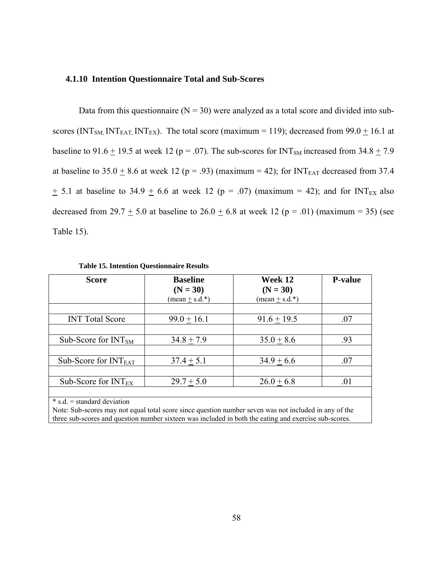### **4.1.10 Intention Questionnaire Total and Sub-Scores**

Data from this questionnaire ( $N = 30$ ) were analyzed as a total score and divided into subscores (INT<sub>SM,</sub> INT<sub>EAT,</sub> INT<sub>EX</sub>). The total score (maximum = 119); decreased from 99.0  $\pm$  16.1 at baseline to 91.6  $\pm$  19.5 at week 12 (p = .07). The sub-scores for INT<sub>SM</sub> increased from 34.8  $\pm$  7.9 at baseline to  $35.0 \pm 8.6$  at week 12 (p = .93) (maximum = 42); for INT<sub>EAT</sub> decreased from 37.4  $\pm$  5.1 at baseline to 34.9  $\pm$  6.6 at week 12 (p = .07) (maximum = 42); and for INT<sub>EX</sub> also decreased from 29.7  $\pm$  5.0 at baseline to 26.0  $\pm$  6.8 at week 12 (p = .01) (maximum = 35) (see Table 15).

| <b>Score</b>                                                                                                                                                                                                                                       | <b>Baseline</b><br>$(N = 30)$<br>$(\text{mean} \pm \text{s.d.})$ | Week 12<br>$(N = 30)$<br>$(\text{mean} \pm \text{s.d.})^*$ | <b>P-value</b> |
|----------------------------------------------------------------------------------------------------------------------------------------------------------------------------------------------------------------------------------------------------|------------------------------------------------------------------|------------------------------------------------------------|----------------|
| <b>INT</b> Total Score                                                                                                                                                                                                                             | $99.0 + 16.1$                                                    | $91.6 + 19.5$                                              | .07            |
|                                                                                                                                                                                                                                                    |                                                                  |                                                            |                |
| Sub-Score for $INTSM$                                                                                                                                                                                                                              | $34.8 + 7.9$                                                     | $35.0 + 8.6$                                               | .93            |
|                                                                                                                                                                                                                                                    |                                                                  |                                                            |                |
| Sub-Score for $INT_{EAT}$                                                                                                                                                                                                                          | $37.4 + 5.1$                                                     | $34.9 + 6.6$                                               | .07            |
| Sub-Score for $INT_{EX}$                                                                                                                                                                                                                           | $29.7 + 5.0$                                                     | $26.0 + 6.8$                                               | .01            |
| $\ast$ s.d. = standard deviation<br>Note: Sub-scores may not equal total score since question number seven was not included in any of the<br>three sub-scores and question number sixteen was included in both the eating and exercise sub-scores. |                                                                  |                                                            |                |

**Table 15. Intention Questionnaire Results**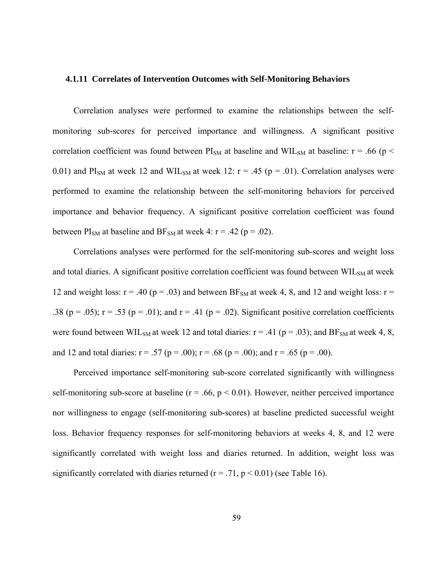#### **4.1.11 Correlates of Intervention Outcomes with Self-Monitoring Behaviors**

Correlation analyses were performed to examine the relationships between the selfmonitoring sub-scores for perceived importance and willingness. A significant positive correlation coefficient was found between  $PI_{SM}$  at baseline and WIL<sub>SM</sub> at baseline: r = .66 (p < 0.01) and  $PI_{SM}$  at week 12 and WIL<sub>SM</sub> at week 12:  $r = .45$  ( $p = .01$ ). Correlation analyses were performed to examine the relationship between the self-monitoring behaviors for perceived importance and behavior frequency. A significant positive correlation coefficient was found between  $PI_{SM}$  at baseline and  $BF_{SM}$  at week 4: r = .42 (p = .02).

Correlations analyses were performed for the self-monitoring sub-scores and weight loss and total diaries. A significant positive correlation coefficient was found between  $\text{WIL}_{\text{SM}}$  at week 12 and weight loss:  $r = .40$  ( $p = .03$ ) and between BF<sub>SM</sub> at week 4, 8, and 12 and weight loss:  $r =$ .38 (p = .05);  $r = .53$  (p = .01); and  $r = .41$  (p = .02). Significant positive correlation coefficients were found between WIL<sub>SM</sub> at week 12 and total diaries:  $r = .41$  ( $p = .03$ ); and BF<sub>SM</sub> at week 4, 8, and 12 and total diaries:  $r = .57$  ( $p = .00$ );  $r = .68$  ( $p = .00$ ); and  $r = .65$  ( $p = .00$ ).

Perceived importance self-monitoring sub-score correlated significantly with willingness self-monitoring sub-score at baseline ( $r = .66$ ,  $p < 0.01$ ). However, neither perceived importance nor willingness to engage (self-monitoring sub-scores) at baseline predicted successful weight loss. Behavior frequency responses for self-monitoring behaviors at weeks 4, 8, and 12 were significantly correlated with weight loss and diaries returned. In addition, weight loss was significantly correlated with diaries returned ( $r = .71$ ,  $p < 0.01$ ) (see Table 16).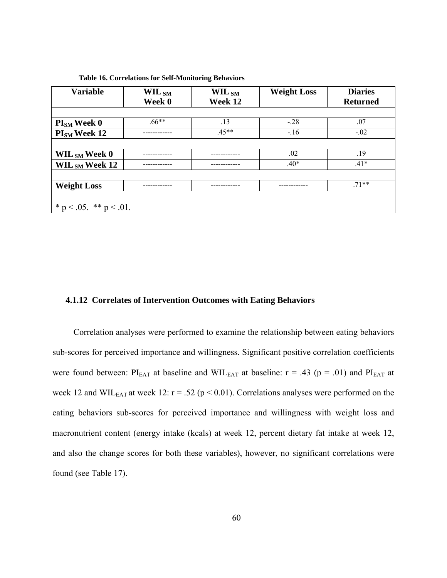| <b>Variable</b>              | WIL $_{\rm SM}$<br>Week 0 | WIL $_{\rm SM}$<br>Week 12 | <b>Weight Loss</b> | <b>Diaries</b><br><b>Returned</b> |
|------------------------------|---------------------------|----------------------------|--------------------|-----------------------------------|
|                              |                           |                            |                    |                                   |
| $PISM$ Week 0                | $66***$                   | .13                        | $-.28$             | .07                               |
| PI <sub>SM</sub> Week 12     |                           | $.45**$                    | $-.16$             | $-.02$                            |
|                              |                           |                            |                    |                                   |
| WIL $_{SM}$ Week 0           |                           |                            | .02                | .19                               |
| WIL $_{\rm SM}$ Week 12      |                           |                            | $.40*$             | $.41*$                            |
|                              |                           |                            |                    |                                   |
| <b>Weight Loss</b>           |                           |                            |                    | $71**$                            |
|                              |                           |                            |                    |                                   |
| * $p < .05$ . ** $p < .01$ . |                           |                            |                    |                                   |

**Table 16. Correlations for Self-Monitoring Behaviors** 

#### **4.1.12 Correlates of Intervention Outcomes with Eating Behaviors**

Correlation analyses were performed to examine the relationship between eating behaviors sub-scores for perceived importance and willingness. Significant positive correlation coefficients were found between:  $PI_{EAT}$  at baseline and WIL $_{EAT}$  at baseline: r = .43 (p = .01) and  $PI_{EAT}$  at week 12 and WIL $_{EAT}$  at week 12:  $r = .52$  ( $p < 0.01$ ). Correlations analyses were performed on the eating behaviors sub-scores for perceived importance and willingness with weight loss and macronutrient content (energy intake (kcals) at week 12, percent dietary fat intake at week 12, and also the change scores for both these variables), however, no significant correlations were found (see Table 17).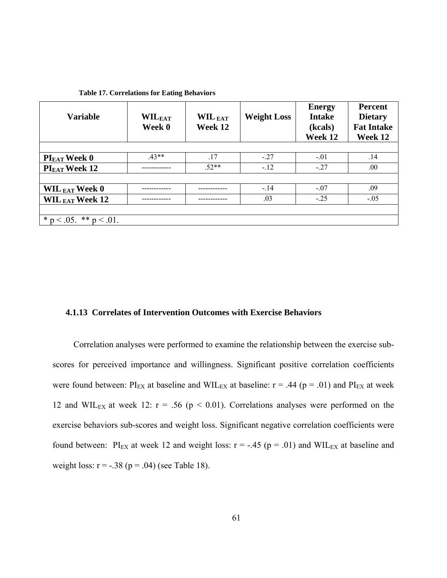| <b>Variable</b>              | $\mathbf{WIL}_{\text{EAT}}$<br>Week 0 | WIL EAT<br>Week 12 | <b>Weight Loss</b> | <b>Energy</b><br><b>Intake</b><br>(kcals)<br>Week 12 | Percent<br><b>Dietary</b><br><b>Fat Intake</b><br>Week 12 |
|------------------------------|---------------------------------------|--------------------|--------------------|------------------------------------------------------|-----------------------------------------------------------|
|                              |                                       |                    |                    |                                                      |                                                           |
| $PI_{EAT}$ Week 0            | $43**$                                | .17                | $-.27$             | $-.01$                                               | .14                                                       |
| PI <sub>EAT</sub> Week 12    |                                       | $.52**$            | $-.12$             | $-27$                                                | .00.                                                      |
|                              |                                       |                    |                    |                                                      |                                                           |
| WIL $_{EAT}$ Week 0          |                                       |                    | $-14$              | $-.07$                                               | .09                                                       |
| WIL $_{EAT}$ Week 12         |                                       |                    | .03                | $-25$                                                | $-.05$                                                    |
|                              |                                       |                    |                    |                                                      |                                                           |
| * $p < .05$ . ** $p < .01$ . |                                       |                    |                    |                                                      |                                                           |

**Table 17. Correlations for Eating Behaviors** 

# **4.1.13 Correlates of Intervention Outcomes with Exercise Behaviors**

Correlation analyses were performed to examine the relationship between the exercise subscores for perceived importance and willingness. Significant positive correlation coefficients were found between:  $PI_{EX}$  at baseline and WIL<sub>EX</sub> at baseline:  $r = .44$  ( $p = .01$ ) and  $PI_{EX}$  at week 12 and WIL<sub>EX</sub> at week 12:  $r = .56$  ( $p < 0.01$ ). Correlations analyses were performed on the exercise behaviors sub-scores and weight loss. Significant negative correlation coefficients were found between: PI<sub>EX</sub> at week 12 and weight loss:  $r = -.45$  ( $p = .01$ ) and WIL<sub>EX</sub> at baseline and weight loss:  $r = -.38$  ( $p = .04$ ) (see Table 18).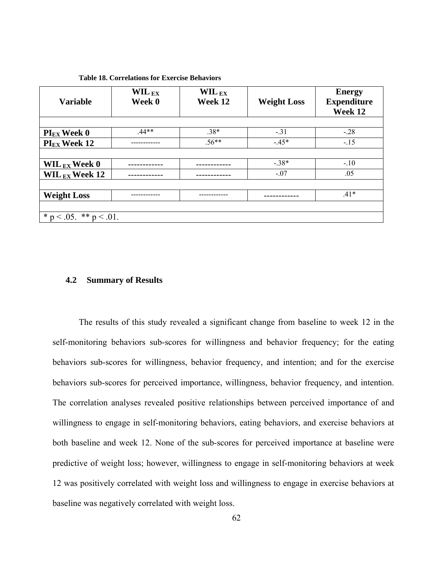| <b>Variable</b>              | $\mathbf{WIL}_{\mathbf{EX}}$<br>Week 0 | $\mathbf{WIL}_{\mathbf{EX}}$<br>Week 12 | <b>Weight Loss</b> | <b>Energy</b><br><b>Expenditure</b><br>Week 12 |
|------------------------------|----------------------------------------|-----------------------------------------|--------------------|------------------------------------------------|
|                              |                                        |                                         |                    |                                                |
| $PI_{EX}$ Week 0             | $.44**$                                | $.38*$                                  | $-.31$             | $-.28$                                         |
| $PI_{EX}$ Week 12            |                                        | 56**                                    | $-45*$             | $-.15$                                         |
|                              |                                        |                                         |                    |                                                |
| WIL $_{EX}$ Week 0           |                                        |                                         | $-.38*$            | $-.10$                                         |
| WIL $_{EX}$ Week 12          |                                        |                                         | $-.07$             | .05                                            |
|                              |                                        |                                         |                    |                                                |
| <b>Weight Loss</b>           |                                        |                                         |                    | $.41*$                                         |
|                              |                                        |                                         |                    |                                                |
| * $p < .05$ . ** $p < .01$ . |                                        |                                         |                    |                                                |

### **Table 18. Correlations for Exercise Behaviors**

### **4.2 Summary of Results**

 The results of this study revealed a significant change from baseline to week 12 in the self-monitoring behaviors sub-scores for willingness and behavior frequency; for the eating behaviors sub-scores for willingness, behavior frequency, and intention; and for the exercise behaviors sub-scores for perceived importance, willingness, behavior frequency, and intention. The correlation analyses revealed positive relationships between perceived importance of and willingness to engage in self-monitoring behaviors, eating behaviors, and exercise behaviors at both baseline and week 12. None of the sub-scores for perceived importance at baseline were predictive of weight loss; however, willingness to engage in self-monitoring behaviors at week 12 was positively correlated with weight loss and willingness to engage in exercise behaviors at baseline was negatively correlated with weight loss.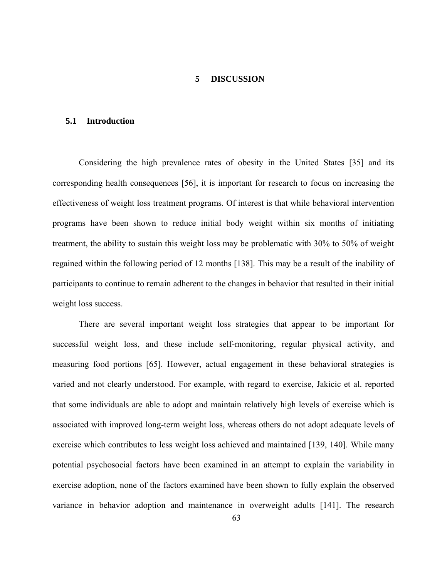#### **5 DISCUSSION**

#### **5.1 Introduction**

Considering the high prevalence rates of obesity in the United States [35] and its corresponding health consequences [56], it is important for research to focus on increasing the effectiveness of weight loss treatment programs. Of interest is that while behavioral intervention programs have been shown to reduce initial body weight within six months of initiating treatment, the ability to sustain this weight loss may be problematic with 30% to 50% of weight regained within the following period of 12 months [138]. This may be a result of the inability of participants to continue to remain adherent to the changes in behavior that resulted in their initial weight loss success.

There are several important weight loss strategies that appear to be important for successful weight loss, and these include self-monitoring, regular physical activity, and measuring food portions [65]. However, actual engagement in these behavioral strategies is varied and not clearly understood. For example, with regard to exercise, Jakicic et al. reported that some individuals are able to adopt and maintain relatively high levels of exercise which is associated with improved long-term weight loss, whereas others do not adopt adequate levels of exercise which contributes to less weight loss achieved and maintained [139, 140]. While many potential psychosocial factors have been examined in an attempt to explain the variability in exercise adoption, none of the factors examined have been shown to fully explain the observed variance in behavior adoption and maintenance in overweight adults [141]. The research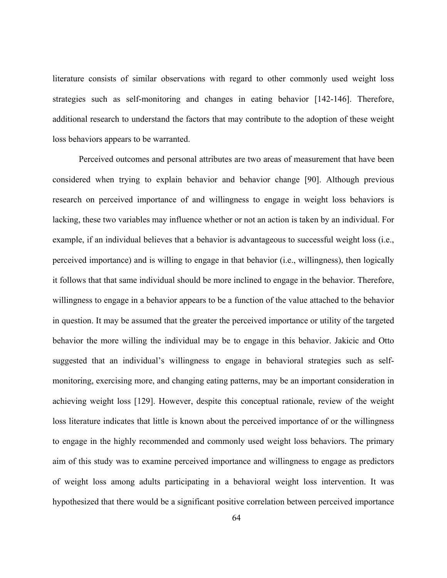literature consists of similar observations with regard to other commonly used weight loss strategies such as self-monitoring and changes in eating behavior [142-146]. Therefore, additional research to understand the factors that may contribute to the adoption of these weight loss behaviors appears to be warranted.

Perceived outcomes and personal attributes are two areas of measurement that have been considered when trying to explain behavior and behavior change [90]. Although previous research on perceived importance of and willingness to engage in weight loss behaviors is lacking, these two variables may influence whether or not an action is taken by an individual. For example, if an individual believes that a behavior is advantageous to successful weight loss (i.e., perceived importance) and is willing to engage in that behavior (i.e., willingness), then logically it follows that that same individual should be more inclined to engage in the behavior. Therefore, willingness to engage in a behavior appears to be a function of the value attached to the behavior in question. It may be assumed that the greater the perceived importance or utility of the targeted behavior the more willing the individual may be to engage in this behavior. Jakicic and Otto suggested that an individual's willingness to engage in behavioral strategies such as selfmonitoring, exercising more, and changing eating patterns, may be an important consideration in achieving weight loss [129]. However, despite this conceptual rationale, review of the weight loss literature indicates that little is known about the perceived importance of or the willingness to engage in the highly recommended and commonly used weight loss behaviors. The primary aim of this study was to examine perceived importance and willingness to engage as predictors of weight loss among adults participating in a behavioral weight loss intervention. It was hypothesized that there would be a significant positive correlation between perceived importance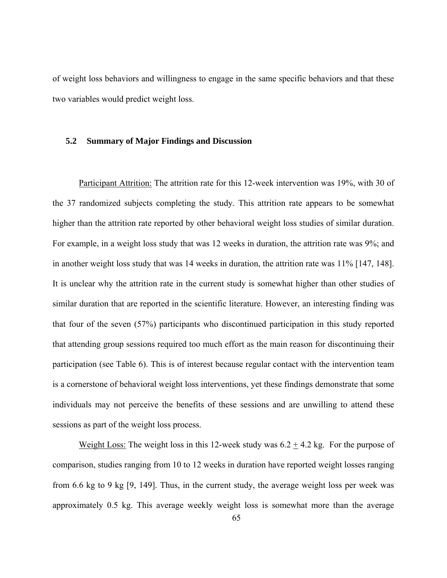of weight loss behaviors and willingness to engage in the same specific behaviors and that these two variables would predict weight loss.

#### **5.2 Summary of Major Findings and Discussion**

Participant Attrition: The attrition rate for this 12-week intervention was 19%, with 30 of the 37 randomized subjects completing the study. This attrition rate appears to be somewhat higher than the attrition rate reported by other behavioral weight loss studies of similar duration. For example, in a weight loss study that was 12 weeks in duration, the attrition rate was 9%; and in another weight loss study that was 14 weeks in duration, the attrition rate was 11% [147, 148]. It is unclear why the attrition rate in the current study is somewhat higher than other studies of similar duration that are reported in the scientific literature. However, an interesting finding was that four of the seven (57%) participants who discontinued participation in this study reported that attending group sessions required too much effort as the main reason for discontinuing their participation (see Table 6). This is of interest because regular contact with the intervention team is a cornerstone of behavioral weight loss interventions, yet these findings demonstrate that some individuals may not perceive the benefits of these sessions and are unwilling to attend these sessions as part of the weight loss process.

Weight Loss: The weight loss in this 12-week study was  $6.2 \pm 4.2$  kg. For the purpose of comparison, studies ranging from 10 to 12 weeks in duration have reported weight losses ranging from 6.6 kg to 9 kg [9, 149]. Thus, in the current study, the average weight loss per week was approximately 0.5 kg. This average weekly weight loss is somewhat more than the average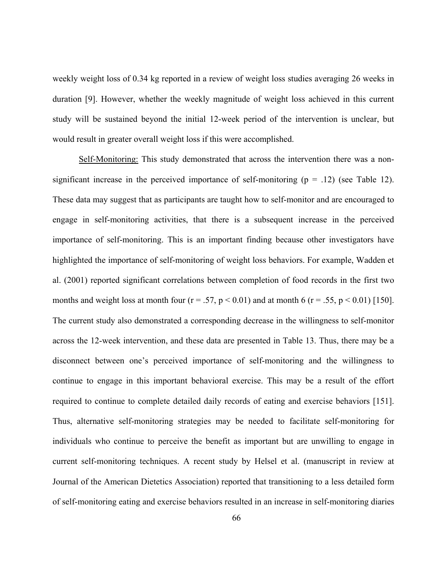weekly weight loss of 0.34 kg reported in a review of weight loss studies averaging 26 weeks in duration [9]. However, whether the weekly magnitude of weight loss achieved in this current study will be sustained beyond the initial 12-week period of the intervention is unclear, but would result in greater overall weight loss if this were accomplished.

Self-Monitoring: This study demonstrated that across the intervention there was a nonsignificant increase in the perceived importance of self-monitoring  $(p = .12)$  (see Table 12). These data may suggest that as participants are taught how to self-monitor and are encouraged to engage in self-monitoring activities, that there is a subsequent increase in the perceived importance of self-monitoring. This is an important finding because other investigators have highlighted the importance of self-monitoring of weight loss behaviors. For example, Wadden et al. (2001) reported significant correlations between completion of food records in the first two months and weight loss at month four ( $r = .57$ ,  $p < 0.01$ ) and at month 6 ( $r = .55$ ,  $p < 0.01$ ) [150]. The current study also demonstrated a corresponding decrease in the willingness to self-monitor across the 12-week intervention, and these data are presented in Table 13. Thus, there may be a disconnect between one's perceived importance of self-monitoring and the willingness to continue to engage in this important behavioral exercise. This may be a result of the effort required to continue to complete detailed daily records of eating and exercise behaviors [151]. Thus, alternative self-monitoring strategies may be needed to facilitate self-monitoring for individuals who continue to perceive the benefit as important but are unwilling to engage in current self-monitoring techniques. A recent study by Helsel et al. (manuscript in review at Journal of the American Dietetics Association) reported that transitioning to a less detailed form of self-monitoring eating and exercise behaviors resulted in an increase in self-monitoring diaries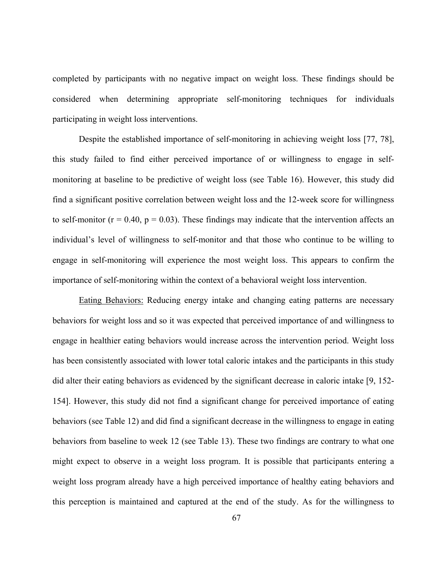completed by participants with no negative impact on weight loss. These findings should be considered when determining appropriate self-monitoring techniques for individuals participating in weight loss interventions.

Despite the established importance of self-monitoring in achieving weight loss [77, 78], this study failed to find either perceived importance of or willingness to engage in selfmonitoring at baseline to be predictive of weight loss (see Table 16). However, this study did find a significant positive correlation between weight loss and the 12-week score for willingness to self-monitor ( $r = 0.40$ ,  $p = 0.03$ ). These findings may indicate that the intervention affects an individual's level of willingness to self-monitor and that those who continue to be willing to engage in self-monitoring will experience the most weight loss. This appears to confirm the importance of self-monitoring within the context of a behavioral weight loss intervention.

Eating Behaviors: Reducing energy intake and changing eating patterns are necessary behaviors for weight loss and so it was expected that perceived importance of and willingness to engage in healthier eating behaviors would increase across the intervention period. Weight loss has been consistently associated with lower total caloric intakes and the participants in this study did alter their eating behaviors as evidenced by the significant decrease in caloric intake [9, 152- 154]. However, this study did not find a significant change for perceived importance of eating behaviors (see Table 12) and did find a significant decrease in the willingness to engage in eating behaviors from baseline to week 12 (see Table 13). These two findings are contrary to what one might expect to observe in a weight loss program. It is possible that participants entering a weight loss program already have a high perceived importance of healthy eating behaviors and this perception is maintained and captured at the end of the study. As for the willingness to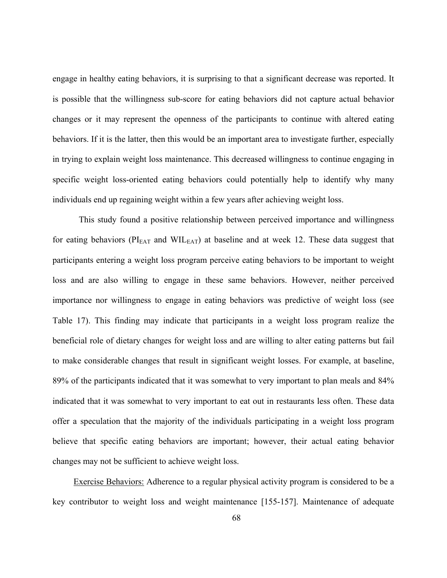engage in healthy eating behaviors, it is surprising to that a significant decrease was reported. It is possible that the willingness sub-score for eating behaviors did not capture actual behavior changes or it may represent the openness of the participants to continue with altered eating behaviors. If it is the latter, then this would be an important area to investigate further, especially in trying to explain weight loss maintenance. This decreased willingness to continue engaging in specific weight loss-oriented eating behaviors could potentially help to identify why many individuals end up regaining weight within a few years after achieving weight loss.

This study found a positive relationship between perceived importance and willingness for eating behaviors ( $PI<sub>EAT</sub>$  and  $WIL<sub>EAT</sub>$ ) at baseline and at week 12. These data suggest that participants entering a weight loss program perceive eating behaviors to be important to weight loss and are also willing to engage in these same behaviors. However, neither perceived importance nor willingness to engage in eating behaviors was predictive of weight loss (see Table 17). This finding may indicate that participants in a weight loss program realize the beneficial role of dietary changes for weight loss and are willing to alter eating patterns but fail to make considerable changes that result in significant weight losses. For example, at baseline, 89% of the participants indicated that it was somewhat to very important to plan meals and 84% indicated that it was somewhat to very important to eat out in restaurants less often. These data offer a speculation that the majority of the individuals participating in a weight loss program believe that specific eating behaviors are important; however, their actual eating behavior changes may not be sufficient to achieve weight loss.

Exercise Behaviors: Adherence to a regular physical activity program is considered to be a key contributor to weight loss and weight maintenance [155-157]. Maintenance of adequate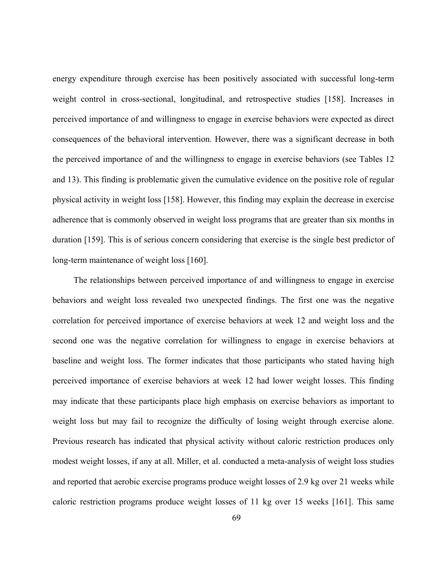energy expenditure through exercise has been positively associated with successful long-term weight control in cross-sectional, longitudinal, and retrospective studies [158]. Increases in perceived importance of and willingness to engage in exercise behaviors were expected as direct consequences of the behavioral intervention. However, there was a significant decrease in both the perceived importance of and the willingness to engage in exercise behaviors (see Tables 12 and 13). This finding is problematic given the cumulative evidence on the positive role of regular physical activity in weight loss [158]. However, this finding may explain the decrease in exercise adherence that is commonly observed in weight loss programs that are greater than six months in duration [159]. This is of serious concern considering that exercise is the single best predictor of long-term maintenance of weight loss [160].

The relationships between perceived importance of and willingness to engage in exercise behaviors and weight loss revealed two unexpected findings. The first one was the negative correlation for perceived importance of exercise behaviors at week 12 and weight loss and the second one was the negative correlation for willingness to engage in exercise behaviors at baseline and weight loss. The former indicates that those participants who stated having high perceived importance of exercise behaviors at week 12 had lower weight losses. This finding may indicate that these participants place high emphasis on exercise behaviors as important to weight loss but may fail to recognize the difficulty of losing weight through exercise alone. Previous research has indicated that physical activity without caloric restriction produces only modest weight losses, if any at all. Miller, et al. conducted a meta-analysis of weight loss studies and reported that aerobic exercise programs produce weight losses of 2.9 kg over 21 weeks while caloric restriction programs produce weight losses of 11 kg over 15 weeks [161]. This same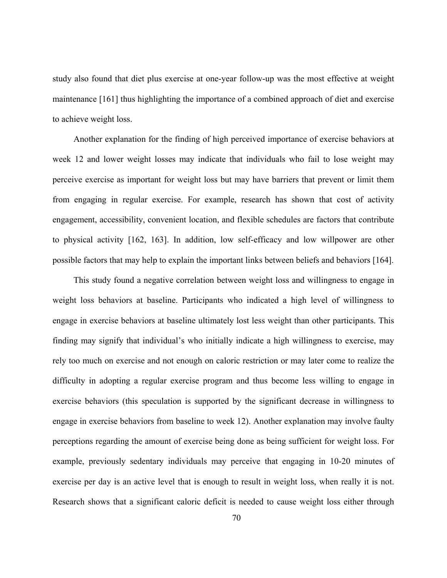study also found that diet plus exercise at one-year follow-up was the most effective at weight maintenance [161] thus highlighting the importance of a combined approach of diet and exercise to achieve weight loss.

Another explanation for the finding of high perceived importance of exercise behaviors at week 12 and lower weight losses may indicate that individuals who fail to lose weight may perceive exercise as important for weight loss but may have barriers that prevent or limit them from engaging in regular exercise. For example, research has shown that cost of activity engagement, accessibility, convenient location, and flexible schedules are factors that contribute to physical activity [162, 163]. In addition, low self-efficacy and low willpower are other possible factors that may help to explain the important links between beliefs and behaviors [164].

This study found a negative correlation between weight loss and willingness to engage in weight loss behaviors at baseline. Participants who indicated a high level of willingness to engage in exercise behaviors at baseline ultimately lost less weight than other participants. This finding may signify that individual's who initially indicate a high willingness to exercise, may rely too much on exercise and not enough on caloric restriction or may later come to realize the difficulty in adopting a regular exercise program and thus become less willing to engage in exercise behaviors (this speculation is supported by the significant decrease in willingness to engage in exercise behaviors from baseline to week 12). Another explanation may involve faulty perceptions regarding the amount of exercise being done as being sufficient for weight loss. For example, previously sedentary individuals may perceive that engaging in 10-20 minutes of exercise per day is an active level that is enough to result in weight loss, when really it is not. Research shows that a significant caloric deficit is needed to cause weight loss either through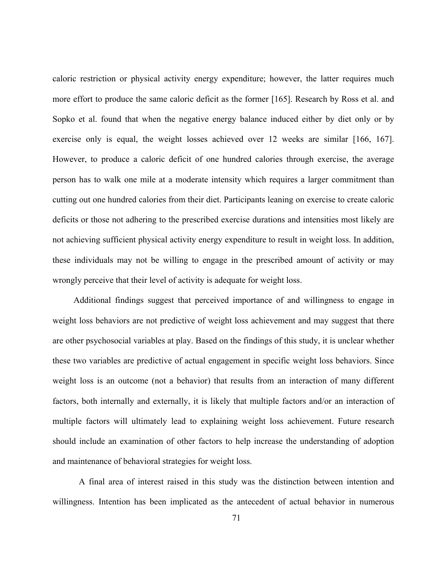caloric restriction or physical activity energy expenditure; however, the latter requires much more effort to produce the same caloric deficit as the former [165]. Research by Ross et al. and Sopko et al. found that when the negative energy balance induced either by diet only or by exercise only is equal, the weight losses achieved over 12 weeks are similar [166, 167]. However, to produce a caloric deficit of one hundred calories through exercise, the average person has to walk one mile at a moderate intensity which requires a larger commitment than cutting out one hundred calories from their diet. Participants leaning on exercise to create caloric deficits or those not adhering to the prescribed exercise durations and intensities most likely are not achieving sufficient physical activity energy expenditure to result in weight loss. In addition, these individuals may not be willing to engage in the prescribed amount of activity or may wrongly perceive that their level of activity is adequate for weight loss.

Additional findings suggest that perceived importance of and willingness to engage in weight loss behaviors are not predictive of weight loss achievement and may suggest that there are other psychosocial variables at play. Based on the findings of this study, it is unclear whether these two variables are predictive of actual engagement in specific weight loss behaviors. Since weight loss is an outcome (not a behavior) that results from an interaction of many different factors, both internally and externally, it is likely that multiple factors and/or an interaction of multiple factors will ultimately lead to explaining weight loss achievement. Future research should include an examination of other factors to help increase the understanding of adoption and maintenance of behavioral strategies for weight loss.

A final area of interest raised in this study was the distinction between intention and willingness. Intention has been implicated as the antecedent of actual behavior in numerous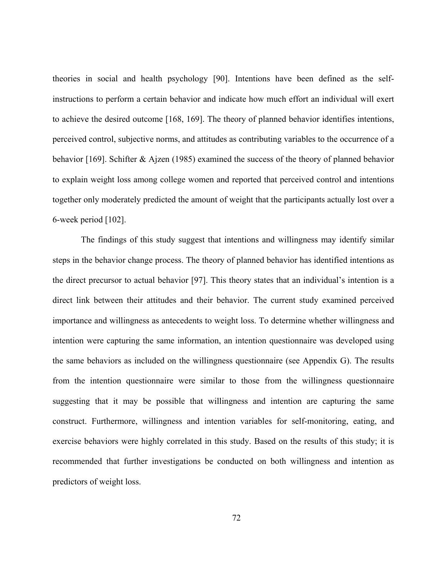theories in social and health psychology [90]. Intentions have been defined as the selfinstructions to perform a certain behavior and indicate how much effort an individual will exert to achieve the desired outcome [168, 169]. The theory of planned behavior identifies intentions, perceived control, subjective norms, and attitudes as contributing variables to the occurrence of a behavior [169]. Schifter & Ajzen (1985) examined the success of the theory of planned behavior to explain weight loss among college women and reported that perceived control and intentions together only moderately predicted the amount of weight that the participants actually lost over a 6-week period [102].

 The findings of this study suggest that intentions and willingness may identify similar steps in the behavior change process. The theory of planned behavior has identified intentions as the direct precursor to actual behavior [97]. This theory states that an individual's intention is a direct link between their attitudes and their behavior. The current study examined perceived importance and willingness as antecedents to weight loss. To determine whether willingness and intention were capturing the same information, an intention questionnaire was developed using the same behaviors as included on the willingness questionnaire (see Appendix G). The results from the intention questionnaire were similar to those from the willingness questionnaire suggesting that it may be possible that willingness and intention are capturing the same construct. Furthermore, willingness and intention variables for self-monitoring, eating, and exercise behaviors were highly correlated in this study. Based on the results of this study; it is recommended that further investigations be conducted on both willingness and intention as predictors of weight loss.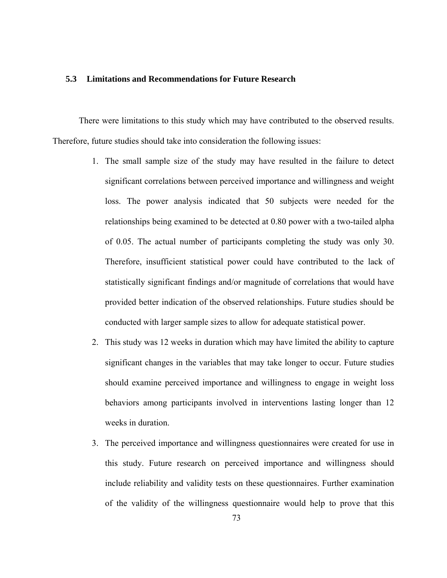#### **5.3 Limitations and Recommendations for Future Research**

There were limitations to this study which may have contributed to the observed results. Therefore, future studies should take into consideration the following issues:

- 1. The small sample size of the study may have resulted in the failure to detect significant correlations between perceived importance and willingness and weight loss. The power analysis indicated that 50 subjects were needed for the relationships being examined to be detected at 0.80 power with a two-tailed alpha of 0.05. The actual number of participants completing the study was only 30. Therefore, insufficient statistical power could have contributed to the lack of statistically significant findings and/or magnitude of correlations that would have provided better indication of the observed relationships. Future studies should be conducted with larger sample sizes to allow for adequate statistical power.
- 2. This study was 12 weeks in duration which may have limited the ability to capture significant changes in the variables that may take longer to occur. Future studies should examine perceived importance and willingness to engage in weight loss behaviors among participants involved in interventions lasting longer than 12 weeks in duration.
- 3. The perceived importance and willingness questionnaires were created for use in this study. Future research on perceived importance and willingness should include reliability and validity tests on these questionnaires. Further examination of the validity of the willingness questionnaire would help to prove that this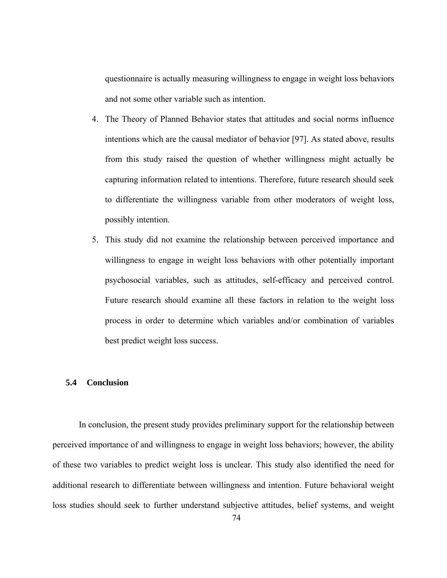questionnaire is actually measuring willingness to engage in weight loss behaviors and not some other variable such as intention.

- 4. The Theory of Planned Behavior states that attitudes and social norms influence intentions which are the causal mediator of behavior [97]. As stated above, results from this study raised the question of whether willingness might actually be capturing information related to intentions. Therefore, future research should seek to differentiate the willingness variable from other moderators of weight loss, possibly intention.
- 5. This study did not examine the relationship between perceived importance and willingness to engage in weight loss behaviors with other potentially important psychosocial variables, such as attitudes, self-efficacy and perceived control. Future research should examine all these factors in relation to the weight loss process in order to determine which variables and/or combination of variables best predict weight loss success.

### **5.4 Conclusion**

In conclusion, the present study provides preliminary support for the relationship between perceived importance of and willingness to engage in weight loss behaviors; however, the ability of these two variables to predict weight loss is unclear. This study also identified the need for additional research to differentiate between willingness and intention. Future behavioral weight loss studies should seek to further understand subjective attitudes, belief systems, and weight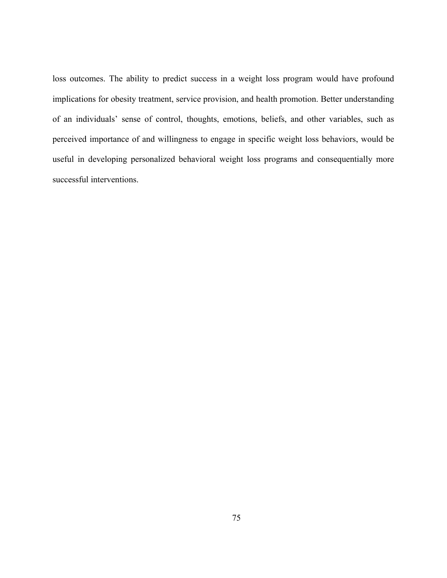loss outcomes. The ability to predict success in a weight loss program would have profound implications for obesity treatment, service provision, and health promotion. Better understanding of an individuals' sense of control, thoughts, emotions, beliefs, and other variables, such as perceived importance of and willingness to engage in specific weight loss behaviors, would be useful in developing personalized behavioral weight loss programs and consequentially more successful interventions.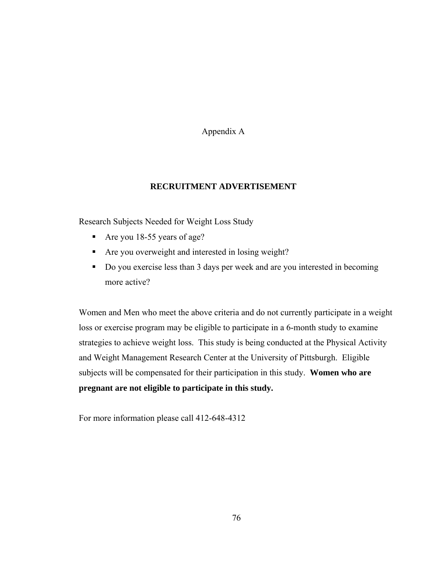Appendix A

## **RECRUITMENT ADVERTISEMENT**

Research Subjects Needed for Weight Loss Study

- Are you 18-55 years of age?
- Are you overweight and interested in losing weight?
- Do you exercise less than 3 days per week and are you interested in becoming more active?

Women and Men who meet the above criteria and do not currently participate in a weight loss or exercise program may be eligible to participate in a 6-month study to examine strategies to achieve weight loss. This study is being conducted at the Physical Activity and Weight Management Research Center at the University of Pittsburgh. Eligible subjects will be compensated for their participation in this study. **Women who are pregnant are not eligible to participate in this study.**

For more information please call 412-648-4312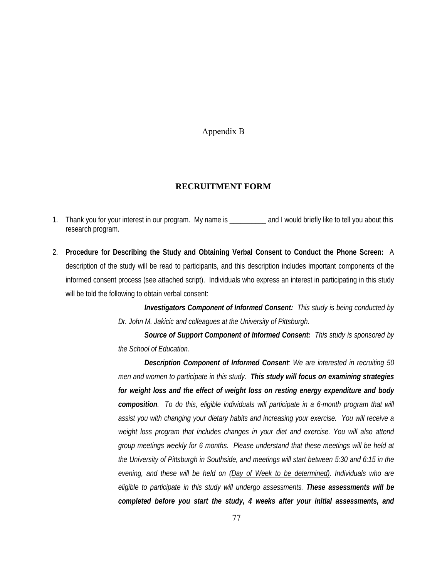Appendix B

#### **RECRUITMENT FORM**

- 1. Thank you for your interest in our program. My name is \_\_\_\_\_\_\_\_\_\_ and I would briefly like to tell you about this research program.
- 2. **Procedure for Describing the Study and Obtaining Verbal Consent to Conduct the Phone Screen:** A description of the study will be read to participants, and this description includes important components of the informed consent process (see attached script). Individuals who express an interest in participating in this study will be told the following to obtain verbal consent:

*Investigators Component of Informed Consent: This study is being conducted by Dr. John M. Jakicic and colleagues at the University of Pittsburgh.* 

*Source of Support Component of Informed Consent: This study is sponsored by the School of Education.* 

*Description Component of Informed Consent: We are interested in recruiting 50 men and women to participate in this study. This study will focus on examining strategies for weight loss and the effect of weight loss on resting energy expenditure and body composition. To do this, eligible individuals will participate in a 6-month program that will assist you with changing your dietary habits and increasing your exercise. You will receive a weight loss program that includes changes in your diet and exercise. You will also attend group meetings weekly for 6 months. Please understand that these meetings will be held at the University of Pittsburgh in Southside, and meetings will start between 5:30 and 6:15 in the evening, and these will be held on (Day of Week to be determined). Individuals who are eligible to participate in this study will undergo assessments. These assessments will be completed before you start the study, 4 weeks after your initial assessments, and*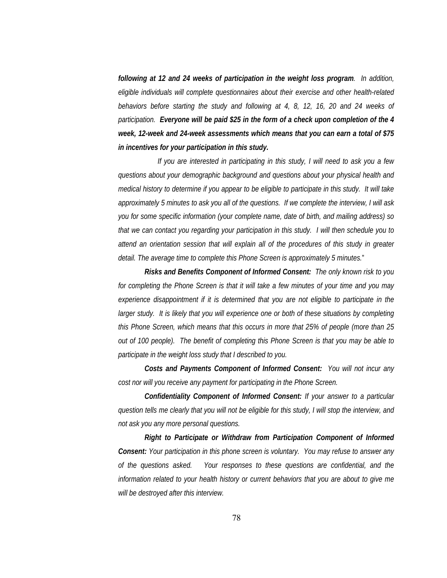*following at 12 and 24 weeks of participation in the weight loss program. In addition, eligible individuals will complete questionnaires about their exercise and other health-related behaviors before starting the study and following at 4, 8, 12, 16, 20 and 24 weeks of participation. Everyone will be paid \$25 in the form of a check upon completion of the 4 week, 12-week and 24-week assessments which means that you can earn a total of \$75 in incentives for your participation in this study.* 

*If you are interested in participating in this study, I will need to ask you a few questions about your demographic background and questions about your physical health and medical history to determine if you appear to be eligible to participate in this study. It will take approximately 5 minutes to ask you all of the questions. If we complete the interview, I will ask you for some specific information (your complete name, date of birth, and mailing address) so that we can contact you regarding your participation in this study. I will then schedule you to attend an orientation session that will explain all of the procedures of this study in greater detail. The average time to complete this Phone Screen is approximately 5 minutes.*"

*Risks and Benefits Component of Informed Consent: The only known risk to you for completing the Phone Screen is that it will take a few minutes of your time and you may experience disappointment if it is determined that you are not eligible to participate in the larger study.* It is likely that you will experience one or both of these situations by completing *this Phone Screen, which means that this occurs in more that 25% of people (more than 25 out of 100 people). The benefit of completing this Phone Screen is that you may be able to participate in the weight loss study that I described to you.* 

*Costs and Payments Component of Informed Consent: You will not incur any cost nor will you receive any payment for participating in the Phone Screen.* 

*Confidentiality Component of Informed Consent: If your answer to a particular question tells me clearly that you will not be eligible for this study, I will stop the interview, and not ask you any more personal questions.* 

*Right to Participate or Withdraw from Participation Component of Informed Consent: Your participation in this phone screen is voluntary. You may refuse to answer any of the questions asked. Your responses to these questions are confidential, and the information related to your health history or current behaviors that you are about to give me will be destroyed after this interview.*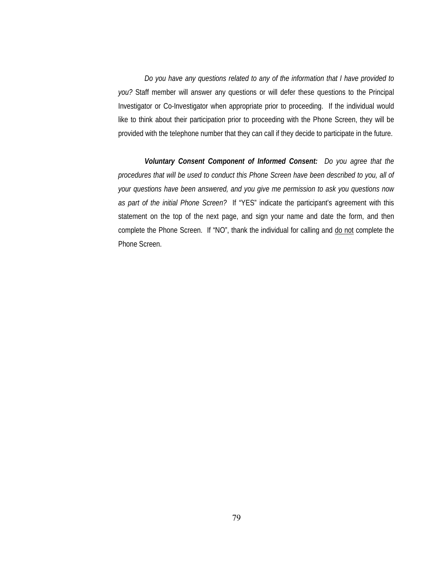*Do you have any questions related to any of the information that I have provided to you?* Staff member will answer any questions or will defer these questions to the Principal Investigator or Co-Investigator when appropriate prior to proceeding. If the individual would like to think about their participation prior to proceeding with the Phone Screen, they will be provided with the telephone number that they can call if they decide to participate in the future.

*Voluntary Consent Component of Informed Consent: Do you agree that the procedures that will be used to conduct this Phone Screen have been described to you, all of your questions have been answered, and you give me permission to ask you questions now as part of the initial Phone Screen?* If "YES" indicate the participant's agreement with this statement on the top of the next page, and sign your name and date the form, and then complete the Phone Screen. If "NO", thank the individual for calling and do not complete the Phone Screen.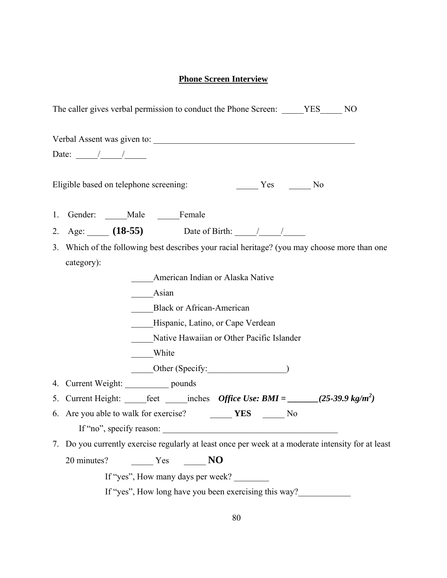# **Phone Screen Interview**

| The caller gives verbal permission to conduct the Phone Screen: _____YES______NO                                   |
|--------------------------------------------------------------------------------------------------------------------|
|                                                                                                                    |
| Date: $\frac{1}{\sqrt{1-\frac{1}{2}}}$                                                                             |
| $\frac{1}{\sqrt{1-\frac{1}{2}}}$ Yes $\frac{1}{\sqrt{1-\frac{1}{2}}}$ No<br>Eligible based on telephone screening: |
| 1. Gender: _____Male _____Female                                                                                   |
| 2. Age: $(18-55)$ Date of Birth: $\frac{1}{2}$                                                                     |
| 3. Which of the following best describes your racial heritage? (you may choose more than one<br>category):         |
| American Indian or Alaska Native                                                                                   |
| Asian                                                                                                              |
| <b>Black or African-American</b>                                                                                   |
| Hispanic, Latino, or Cape Verdean                                                                                  |
| Native Hawaiian or Other Pacific Islander                                                                          |
| ____White                                                                                                          |
| Other (Specify: 1997)                                                                                              |
| 4. Current Weight: ___________ pounds                                                                              |
| 5. Current Height: _____feet ______inches Office Use: BMI = ______(25-39.9 kg/m <sup>2</sup> )                     |
| 6. Are you able to walk for exercise? THES THES No                                                                 |
| If "no", specify reason:                                                                                           |
| 7. Do you currently exercise regularly at least once per week at a moderate intensity for at least                 |
| 20 minutes? Mo No No No                                                                                            |
| If "yes", How many days per week?                                                                                  |
| If "yes", How long have you been exercising this way?                                                              |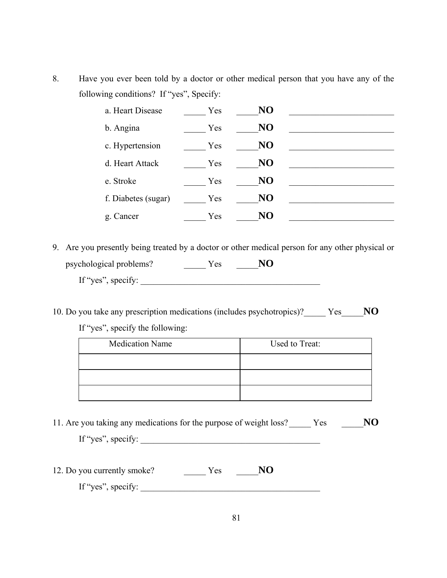8. Have you ever been told by a doctor or other medical person that you have any of the following conditions? If "yes", Specify:

| a. Heart Disease    | Yes | NO        |  |
|---------------------|-----|-----------|--|
| b. Angina           | Yes | NO        |  |
| c. Hypertension     | Yes | <b>NO</b> |  |
| d. Heart Attack     | Yes | <b>NO</b> |  |
| e. Stroke           | Yes | NO        |  |
| f. Diabetes (sugar) | Yes | NO        |  |
| g. Cancer           | Yes | NO        |  |

- 9. Are you presently being treated by a doctor or other medical person for any other physical or psychological problems? \_\_\_\_\_ Yes \_\_\_\_\_**NO** If "yes", specify:  $\overline{\phantom{a}}$
- 10. Do you take any prescription medications (includes psychotropics)?\_\_\_\_\_ Yes \_\_\_\_\_**NO**

If "yes", specify the following:

| <b>Medication Name</b> | Used to Treat: |
|------------------------|----------------|
|                        |                |
|                        |                |
|                        |                |

11. Are you taking any medications for the purpose of weight loss? \_\_\_\_\_ Yes \_\_\_\_\_**NO**

| If "yes", specify: |  |  |  |
|--------------------|--|--|--|
|                    |  |  |  |
|                    |  |  |  |

12. Do you currently smoke? \_\_\_\_\_ Yes \_\_\_\_\_**NO** If "yes", specify:  $\sqrt{\frac{2}{\pi}}$  =  $\frac{2}{\pi}$  =  $\frac{2}{\pi}$  =  $\frac{2}{\pi}$  =  $\frac{2}{\pi}$  =  $\frac{2}{\pi}$  =  $\frac{2}{\pi}$  =  $\frac{2}{\pi}$  =  $\frac{2}{\pi}$  =  $\frac{2}{\pi}$  =  $\frac{2}{\pi}$  =  $\frac{2}{\pi}$  =  $\frac{2}{\pi}$  =  $\frac{2}{\pi}$  =  $\frac{2}{\pi}$  =  $\frac{2$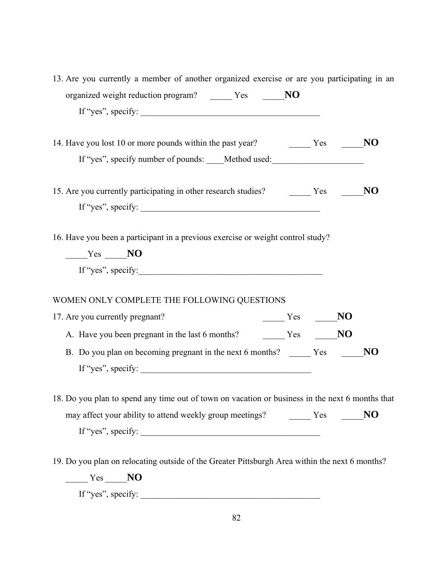| 13. Are you currently a member of another organized exercise or are you participating in an<br>organized weight reduction program? _______ Yes _______ NO |    |
|-----------------------------------------------------------------------------------------------------------------------------------------------------------|----|
| If "yes", specify: $\qquad \qquad$                                                                                                                        |    |
|                                                                                                                                                           |    |
| If "yes", specify number of pounds: ____Method used: ___________________________                                                                          |    |
| 15. Are you currently participating in other research studies? The Yes Theory                                                                             | NO |
| If "yes", specify: $\qquad \qquad$                                                                                                                        |    |
| 16. Have you been a participant in a previous exercise or weight control study?                                                                           |    |
| $Y$ es $N0$                                                                                                                                               |    |
| If "yes", specify:                                                                                                                                        |    |
| WOMEN ONLY COMPLETE THE FOLLOWING QUESTIONS                                                                                                               |    |
| $\frac{1}{\sqrt{1-\frac{1}{2}}}$ Yes $\frac{1}{\sqrt{1-\frac{1}{2}}}$ NO<br>17. Are you currently pregnant?                                               |    |
|                                                                                                                                                           |    |
| B. Do you plan on becoming pregnant in the next 6 months? ________ Yes<br>If "yes", specify: $\qquad \qquad$                                              | NO |
|                                                                                                                                                           |    |
| 18. Do you plan to spend any time out of town on vacation or business in the next 6 months that                                                           |    |
| may affect your ability to attend weekly group meetings? The MO                                                                                           |    |
| If "yes", specify: $\_\_\_\_\_\_\_\_\_\_\_\_\_$                                                                                                           |    |
| 19. Do you plan on relocating outside of the Greater Pittsburgh Area within the next 6 months?                                                            |    |
| $\frac{Y_{\text{cs}}}{Y_{\text{cs}}}$ NO                                                                                                                  |    |

If "yes", specify:  $\overline{\phantom{a}}$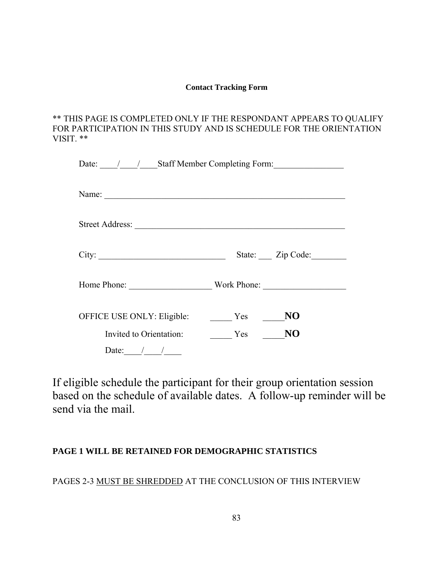### **Contact Tracking Form**

\*\* THIS PAGE IS COMPLETED ONLY IF THE RESPONDANT APPEARS TO QUALIFY FOR PARTICIPATION IN THIS STUDY AND IS SCHEDULE FOR THE ORIENTATION VISIT. \*\*

|                            | Date: / / Staff Member Completing Form: |
|----------------------------|-----------------------------------------|
|                            |                                         |
|                            |                                         |
| City:                      | State: Zip Code:                        |
|                            | Home Phone: Work Phone:                 |
| OFFICE USE ONLY: Eligible: | NO<br>Yes                               |
| Invited to Orientation:    | N <sub>O</sub><br>Yes                   |
| Date: $/$ /                |                                         |

If eligible schedule the participant for their group orientation session based on the schedule of available dates. A follow-up reminder will be send via the mail.

## **PAGE 1 WILL BE RETAINED FOR DEMOGRAPHIC STATISTICS**

PAGES 2-3 MUST BE SHREDDED AT THE CONCLUSION OF THIS INTERVIEW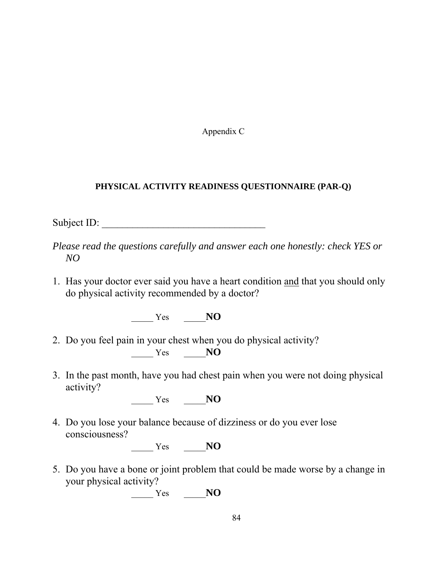Appendix C

## **PHYSICAL ACTIVITY READINESS QUESTIONNAIRE (PAR-Q)**

Subject ID:

- *Please read the questions carefully and answer each one honestly: check YES or NO*
- 1. Has your doctor ever said you have a heart condition and that you should only do physical activity recommended by a doctor?

\_\_\_\_\_ Yes \_\_\_\_\_**NO**

- 2. Do you feel pain in your chest when you do physical activity? \_\_\_\_\_ Yes \_\_\_\_\_**NO**
- 3. In the past month, have you had chest pain when you were not doing physical activity?

\_\_\_\_\_ Yes \_\_\_\_\_**NO**

4. Do you lose your balance because of dizziness or do you ever lose consciousness?

\_\_\_\_\_ Yes \_\_\_\_\_**NO**

5. Do you have a bone or joint problem that could be made worse by a change in your physical activity?

\_\_\_\_\_ Yes \_\_\_\_\_**NO**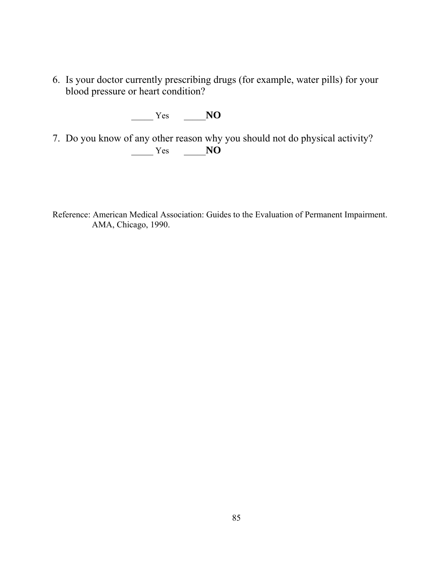6. Is your doctor currently prescribing drugs (for example, water pills) for your blood pressure or heart condition?

\_\_\_\_\_ Yes \_\_\_\_\_**NO**

7. Do you know of any other reason why you should not do physical activity? \_\_\_\_\_ Yes \_\_\_\_\_**NO**

Reference: American Medical Association: Guides to the Evaluation of Permanent Impairment. AMA, Chicago, 1990.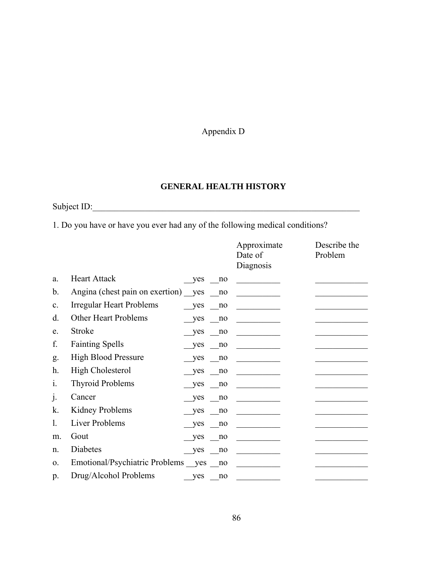Appendix D

# **GENERAL HEALTH HISTORY**

Subject ID:\_\_\_\_\_\_\_\_\_\_\_\_\_\_\_\_\_\_\_\_\_\_\_\_\_\_\_\_\_\_\_\_\_\_\_\_\_\_\_\_\_\_\_\_\_\_\_\_\_\_\_\_\_\_\_\_\_\_\_\_\_

1. Do you have or have you ever had any of the following medical conditions?

|                |                                     |            |    | Approximate<br>Date of<br>Diagnosis | Describe the<br>Problem |
|----------------|-------------------------------------|------------|----|-------------------------------------|-------------------------|
| a.             | <b>Heart Attack</b>                 | <b>ves</b> | no |                                     |                         |
| b.             | Angina (chest pain on exertion) yes |            | no |                                     |                         |
| $\mathbf{c}$ . | <b>Irregular Heart Problems</b>     | yes        | no |                                     |                         |
| d.             | Other Heart Problems                | yes        | no |                                     |                         |
| e.             | Stroke                              | yes        | no |                                     |                         |
| f.             | <b>Fainting Spells</b>              | yes        | no |                                     |                         |
| g.             | <b>High Blood Pressure</b>          | yes        | no |                                     |                         |
| h.             | <b>High Cholesterol</b>             | yes        | no |                                     |                         |
| $\mathbf{1}$ . | <b>Thyroid Problems</b>             | yes        | no |                                     |                         |
| $\cdot$        | Cancer                              | yes        | no |                                     |                         |
| k.             | Kidney Problems                     | yes        | no |                                     |                         |
| 1.             | <b>Liver Problems</b>               | yes        | no |                                     |                         |
| m.             | Gout                                | yes        | no |                                     |                         |
| n.             | Diabetes                            | yes        | no |                                     |                         |
| $\Omega$ .     | Emotional/Psychiatric Problems yes  |            | no |                                     |                         |
| p.             | Drug/Alcohol Problems               | yes        | no |                                     |                         |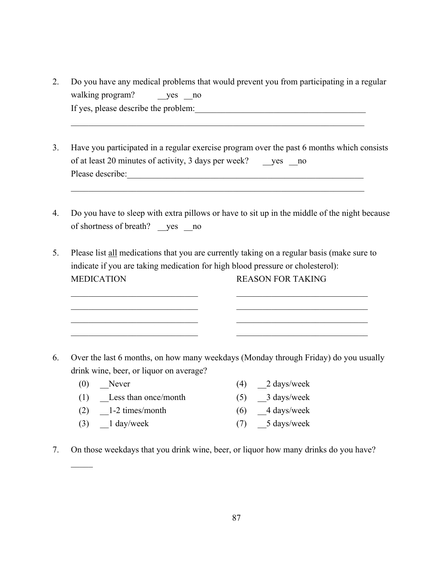| Do you have any medical problems that would prevent you from participating in a regular |
|-----------------------------------------------------------------------------------------|
| walking program?<br>yes no                                                              |
| If yes, please describe the problem:                                                    |

 $\mathcal{L}_\text{max} = \mathcal{L}_\text{max} = \mathcal{L}_\text{max} = \mathcal{L}_\text{max} = \mathcal{L}_\text{max} = \mathcal{L}_\text{max} = \mathcal{L}_\text{max} = \mathcal{L}_\text{max} = \mathcal{L}_\text{max} = \mathcal{L}_\text{max} = \mathcal{L}_\text{max} = \mathcal{L}_\text{max} = \mathcal{L}_\text{max} = \mathcal{L}_\text{max} = \mathcal{L}_\text{max} = \mathcal{L}_\text{max} = \mathcal{L}_\text{max} = \mathcal{L}_\text{max} = \mathcal{$ 

 $\mathcal{L}_\text{max} = \mathcal{L}_\text{max} = \mathcal{L}_\text{max} = \mathcal{L}_\text{max} = \mathcal{L}_\text{max} = \mathcal{L}_\text{max} = \mathcal{L}_\text{max} = \mathcal{L}_\text{max} = \mathcal{L}_\text{max} = \mathcal{L}_\text{max} = \mathcal{L}_\text{max} = \mathcal{L}_\text{max} = \mathcal{L}_\text{max} = \mathcal{L}_\text{max} = \mathcal{L}_\text{max} = \mathcal{L}_\text{max} = \mathcal{L}_\text{max} = \mathcal{L}_\text{max} = \mathcal{$ 

- 3. Have you participated in a regular exercise program over the past 6 months which consists of at least 20 minutes of activity, 3 days per week? \_\_\_yes \_\_no Please describe:
- 4. Do you have to sleep with extra pillows or have to sit up in the middle of the night because of shortness of breath? \_\_yes \_\_no
- 5. Please list all medications that you are currently taking on a regular basis (make sure to indicate if you are taking medication for high blood pressure or cholesterol): MEDICATION REASON FOR TAKING

 $\mathcal{L}_\text{max}$  and the contract of the contract of the contract of the contract of the contract of the contract of  $\mathcal{L}_\text{max}$  and the contract of the contract of the contract of the contract of the contract of the contract of  $\mathcal{L}_\text{max}$  and the contract of the contract of the contract of the contract of the contract of the contract of  $\mathcal{L}_\text{max}$  and the contract of the contract of the contract of the contract of the contract of the contract of

- 6. Over the last 6 months, on how many weekdays (Monday through Friday) do you usually drink wine, beer, or liquor on average?
	- (0) Never  $(4)$  2 days/week (1) \_\_Less than once/month (5) \_\_3 days/week (2)  $\qquad$  1-2 times/month (6)  $\qquad$  4 days/week (3)  $\qquad$  1 day/week (7)  $\qquad$  5 days/week

 $\mathcal{L}_\mathcal{L}$ 

7. On those weekdays that you drink wine, beer, or liquor how many drinks do you have?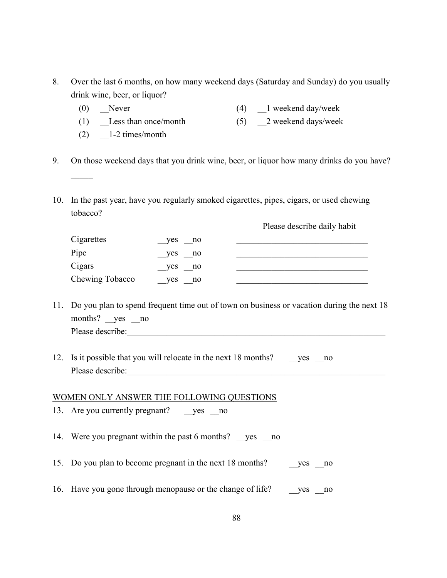- 8. Over the last 6 months, on how many weekend days (Saturday and Sunday) do you usually drink wine, beer, or liquor?
	- (0) Never (4) 1 weekend day/week
	- (1) Less than once/month  $(5)$  2 weekend days/week
	- $(2)$   $\qquad$  1-2 times/month

 $\mathcal{L}_\mathcal{L}$ 

Please describe daily habit

- 9. On those weekend days that you drink wine, beer, or liquor how many drinks do you have?
- 10. In the past year, have you regularly smoked cigarettes, pipes, cigars, or used chewing tobacco?

|                 |                    | $1.0000$ associated and $1.0001$ |
|-----------------|--------------------|----------------------------------|
| Cigarettes      | yes<br>$\sqrt{10}$ |                                  |
| Pipe            | yes no             |                                  |
| Cigars          | yes no             |                                  |
| Chewing Tobacco | yes<br>$\sqrt{10}$ |                                  |

- 11. Do you plan to spend frequent time out of town on business or vacation during the next 18 months? yes no Please describe:\_\_\_\_\_\_\_\_\_\_\_\_\_\_\_\_\_\_\_\_\_\_\_\_\_\_\_\_\_\_\_\_\_\_\_\_\_\_\_\_\_\_\_\_\_\_\_\_\_\_\_\_\_\_\_\_\_\_\_
- 12. Is it possible that you will relocate in the next 18 months? \_\_\_\_yes \_\_\_\_no Please describe:\_\_\_\_\_\_\_\_\_\_\_\_\_\_\_\_\_\_\_\_\_\_\_\_\_\_\_\_\_\_\_\_\_\_\_\_\_\_\_\_\_\_\_\_\_\_\_\_\_\_\_\_\_\_\_\_\_\_\_

#### WOMEN ONLY ANSWER THE FOLLOWING QUESTIONS

13. Are you currently pregnant? \_\_yes \_\_no 14. Were you pregnant within the past 6 months? yes no 15. Do you plan to become pregnant in the next 18 months? yes no 16. Have you gone through menopause or the change of life? \_\_yes \_\_no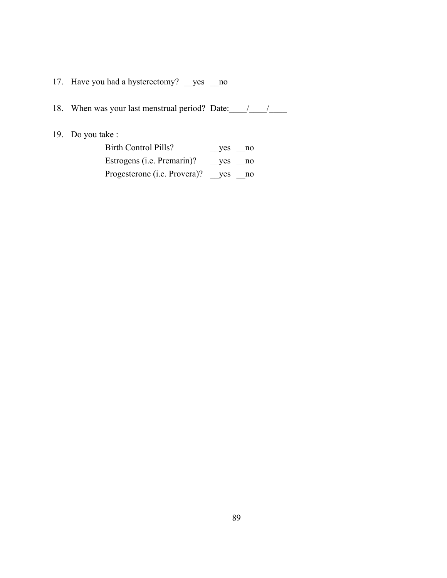17. Have you had a hysterectomy? \_\_yes \_\_no

| 18. | When was your last menstrual period? Date: |  |  |
|-----|--------------------------------------------|--|--|
|     |                                            |  |  |

19. Do you take :

| Birth Control Pills?                 | yes no |    |
|--------------------------------------|--------|----|
| Estrogens ( <i>i.e.</i> Premarin)?   | yes no |    |
| Progesterone ( <i>i.e.</i> Provera)? | ves    | no |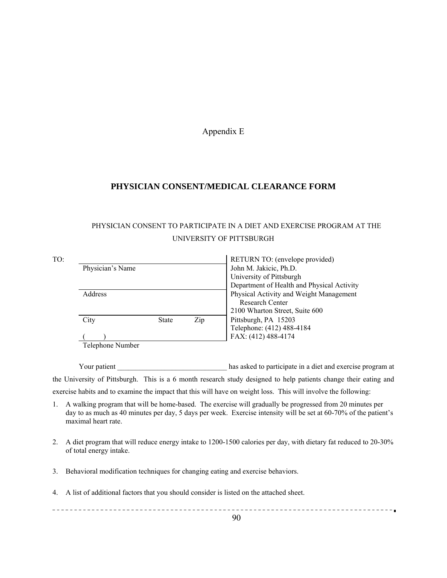#### Appendix E

## **PHYSICIAN CONSENT/MEDICAL CLEARANCE FORM**

# PHYSICIAN CONSENT TO PARTICIPATE IN A DIET AND EXERCISE PROGRAM AT THE UNIVERSITY OF PITTSBURGH

| TO: |                  |              |     | RETURN TO: (envelope provided)             |  |  |
|-----|------------------|--------------|-----|--------------------------------------------|--|--|
|     | Physician's Name |              |     | John M. Jakicic, Ph.D.                     |  |  |
|     |                  |              |     | University of Pittsburgh                   |  |  |
|     |                  |              |     | Department of Health and Physical Activity |  |  |
|     | <b>Address</b>   |              |     | Physical Activity and Weight Management    |  |  |
|     |                  |              |     | <b>Research Center</b>                     |  |  |
|     |                  |              |     | 2100 Wharton Street, Suite 600             |  |  |
|     | City             | <b>State</b> | Zip | Pittsburgh, PA 15203                       |  |  |
|     |                  |              |     | Telephone: (412) 488-4184                  |  |  |
|     |                  |              |     | FAX: (412) 488-4174                        |  |  |
|     | Telephone Number |              |     |                                            |  |  |

Your patient The Left Left and Exercise program at the same share has asked to participate in a diet and exercise program at the University of Pittsburgh. This is a 6 month research study designed to help patients change their eating and exercise habits and to examine the impact that this will have on weight loss. This will involve the following:

- 1. A walking program that will be home-based. The exercise will gradually be progressed from 20 minutes per day to as much as 40 minutes per day, 5 days per week. Exercise intensity will be set at 60-70% of the patient's maximal heart rate.
- 2. A diet program that will reduce energy intake to 1200-1500 calories per day, with dietary fat reduced to 20-30% of total energy intake.
- 3. Behavioral modification techniques for changing eating and exercise behaviors.
- 4. A list of additional factors that you should consider is listed on the attached sheet.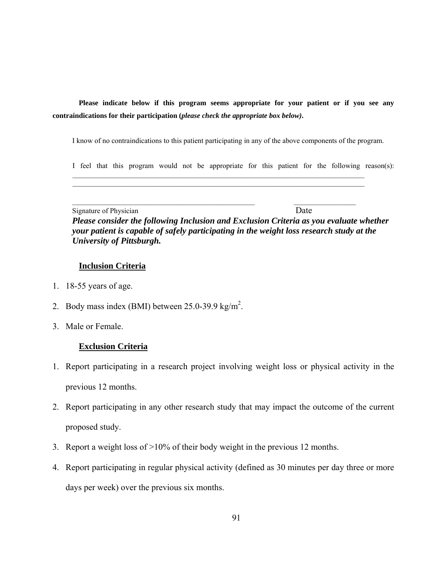**Please indicate below if this program seems appropriate for your patient or if you see any contraindications for their participation (***please check the appropriate box below)***.** 

I know of no contraindications to this patient participating in any of the above components of the program.

 $\_$  , and the set of the set of the set of the set of the set of the set of the set of the set of the set of the set of the set of the set of the set of the set of the set of the set of the set of the set of the set of th  $\mathcal{L}_\text{max}$ 

 $\mathcal{L}_\text{max} = \frac{1}{2} \sum_{i=1}^{n} \frac{1}{2} \sum_{i=1}^{n} \frac{1}{2} \sum_{i=1}^{n} \frac{1}{2} \sum_{i=1}^{n} \frac{1}{2} \sum_{i=1}^{n} \frac{1}{2} \sum_{i=1}^{n} \frac{1}{2} \sum_{i=1}^{n} \frac{1}{2} \sum_{i=1}^{n} \frac{1}{2} \sum_{i=1}^{n} \frac{1}{2} \sum_{i=1}^{n} \frac{1}{2} \sum_{i=1}^{n} \frac{1}{2} \sum_{i=1}^{n} \frac{1$ 

I feel that this program would not be appropriate for this patient for the following reason(s):

Signature of Physician Date  *Please consider the following Inclusion and Exclusion Criteria as you evaluate whether your patient is capable of safely participating in the weight loss research study at the University of Pittsburgh.*

### **Inclusion Criteria**

- 1. 18-55 years of age.
- 2. Body mass index (BMI) between  $25.0$ -39.9 kg/m<sup>2</sup>.
- 3. Male or Female.

## **Exclusion Criteria**

- 1. Report participating in a research project involving weight loss or physical activity in the previous 12 months.
- 2. Report participating in any other research study that may impact the outcome of the current proposed study.
- 3. Report a weight loss of >10% of their body weight in the previous 12 months.
- 4. Report participating in regular physical activity (defined as 30 minutes per day three or more days per week) over the previous six months.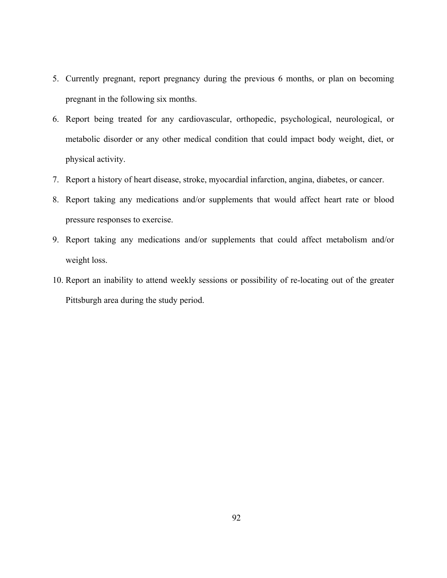- 5. Currently pregnant, report pregnancy during the previous 6 months, or plan on becoming pregnant in the following six months.
- 6. Report being treated for any cardiovascular, orthopedic, psychological, neurological, or metabolic disorder or any other medical condition that could impact body weight, diet, or physical activity.
- 7. Report a history of heart disease, stroke, myocardial infarction, angina, diabetes, or cancer.
- 8. Report taking any medications and/or supplements that would affect heart rate or blood pressure responses to exercise.
- 9. Report taking any medications and/or supplements that could affect metabolism and/or weight loss.
- 10. Report an inability to attend weekly sessions or possibility of re-locating out of the greater Pittsburgh area during the study period.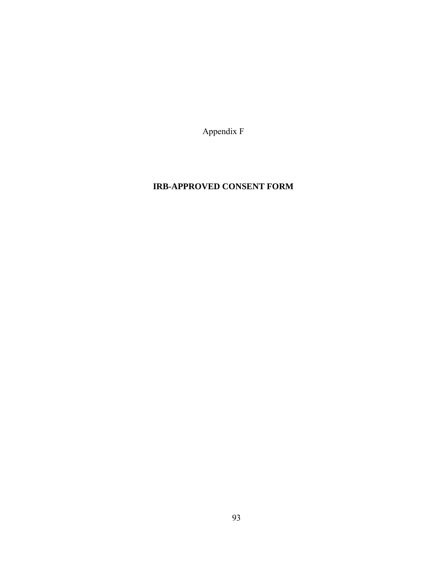Appendix F

# **IRB-APPROVED CONSENT FORM**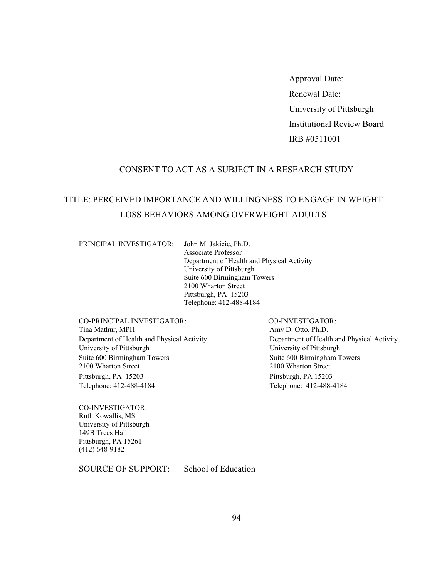Approval Date: Renewal Date: University of Pittsburgh Institutional Review Board IRB #0511001

## CONSENT TO ACT AS A SUBJECT IN A RESEARCH STUDY

# TITLE: PERCEIVED IMPORTANCE AND WILLINGNESS TO ENGAGE IN WEIGHT LOSS BEHAVIORS AMONG OVERWEIGHT ADULTS

PRINCIPAL INVESTIGATOR: John M. Jakicic, Ph.D.

Associate Professor Department of Health and Physical Activity University of Pittsburgh Suite 600 Birmingham Towers 2100 Wharton Street Pittsburgh, PA 15203 Telephone: 412-488-4184

CO-PRINCIPAL INVESTIGATOR: CO-INVESTIGATOR: Tina Mathur, MPH Amy D. Otto, Ph.D. University of Pittsburgh University of Pittsburgh Suite 600 Birmingham Towers 2100 Wharton Street Pittsburgh, PA 15203 Pittsburgh, PA 15203 Telephone: 412-488-4184 Telephone: 412-488-4184

Department of Health and Physical Activity Department of Health and Physical Activity Suite 600 Birmingham Towers 2100 Wharton Street

CO-INVESTIGATOR: Ruth Kowallis, MS University of Pittsburgh 149B Trees Hall Pittsburgh, PA 15261 (412) 648-9182

SOURCE OF SUPPORT: School of Education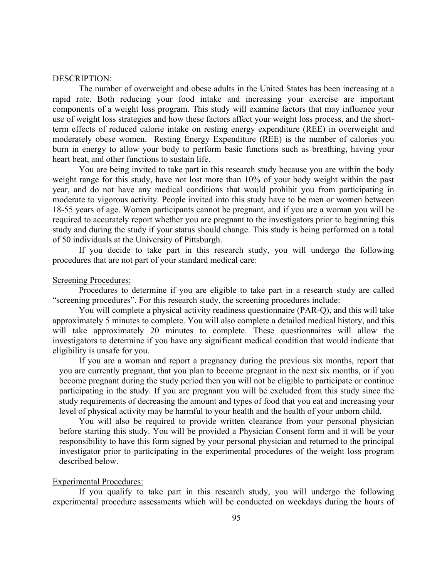#### DESCRIPTION:

The number of overweight and obese adults in the United States has been increasing at a rapid rate. Both reducing your food intake and increasing your exercise are important components of a weight loss program. This study will examine factors that may influence your use of weight loss strategies and how these factors affect your weight loss process, and the shortterm effects of reduced calorie intake on resting energy expenditure (REE) in overweight and moderately obese women. Resting Energy Expenditure (REE) is the number of calories you burn in energy to allow your body to perform basic functions such as breathing, having your heart beat, and other functions to sustain life.

You are being invited to take part in this research study because you are within the body weight range for this study, have not lost more than 10% of your body weight within the past year, and do not have any medical conditions that would prohibit you from participating in moderate to vigorous activity. People invited into this study have to be men or women between 18-55 years of age. Women participants cannot be pregnant, and if you are a woman you will be required to accurately report whether you are pregnant to the investigators prior to beginning this study and during the study if your status should change. This study is being performed on a total of 50 individuals at the University of Pittsburgh.

If you decide to take part in this research study, you will undergo the following procedures that are not part of your standard medical care:

#### Screening Procedures:

Procedures to determine if you are eligible to take part in a research study are called "screening procedures". For this research study, the screening procedures include:

You will complete a physical activity readiness questionnaire (PAR-Q), and this will take approximately 5 minutes to complete. You will also complete a detailed medical history, and this will take approximately 20 minutes to complete. These questionnaires will allow the investigators to determine if you have any significant medical condition that would indicate that eligibility is unsafe for you.

If you are a woman and report a pregnancy during the previous six months, report that you are currently pregnant, that you plan to become pregnant in the next six months, or if you become pregnant during the study period then you will not be eligible to participate or continue participating in the study. If you are pregnant you will be excluded from this study since the study requirements of decreasing the amount and types of food that you eat and increasing your level of physical activity may be harmful to your health and the health of your unborn child.

You will also be required to provide written clearance from your personal physician before starting this study. You will be provided a Physician Consent form and it will be your responsibility to have this form signed by your personal physician and returned to the principal investigator prior to participating in the experimental procedures of the weight loss program described below.

#### Experimental Procedures:

If you qualify to take part in this research study, you will undergo the following experimental procedure assessments which will be conducted on weekdays during the hours of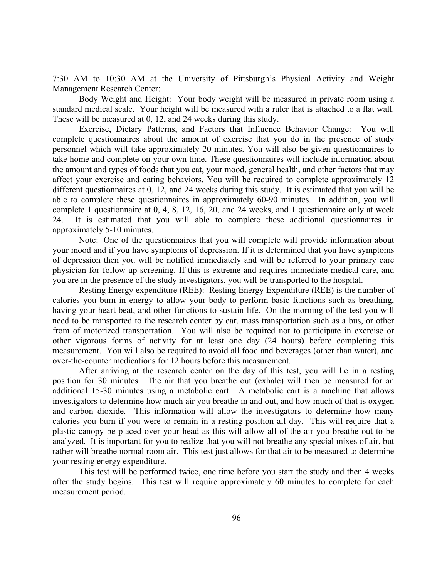7:30 AM to 10:30 AM at the University of Pittsburgh's Physical Activity and Weight Management Research Center:

Body Weight and Height: Your body weight will be measured in private room using a standard medical scale. Your height will be measured with a ruler that is attached to a flat wall. These will be measured at 0, 12, and 24 weeks during this study.

Exercise, Dietary Patterns, and Factors that Influence Behavior Change: You will complete questionnaires about the amount of exercise that you do in the presence of study personnel which will take approximately 20 minutes. You will also be given questionnaires to take home and complete on your own time. These questionnaires will include information about the amount and types of foods that you eat, your mood, general health, and other factors that may affect your exercise and eating behaviors. You will be required to complete approximately 12 different questionnaires at 0, 12, and 24 weeks during this study. It is estimated that you will be able to complete these questionnaires in approximately 60-90 minutes. In addition, you will complete 1 questionnaire at 0, 4, 8, 12, 16, 20, and 24 weeks, and 1 questionnaire only at week 24. It is estimated that you will able to complete these additional questionnaires in approximately 5-10 minutes.

Note: One of the questionnaires that you will complete will provide information about your mood and if you have symptoms of depression. If it is determined that you have symptoms of depression then you will be notified immediately and will be referred to your primary care physician for follow-up screening. If this is extreme and requires immediate medical care, and you are in the presence of the study investigators, you will be transported to the hospital.

Resting Energy expenditure (REE): Resting Energy Expenditure (REE) is the number of calories you burn in energy to allow your body to perform basic functions such as breathing, having your heart beat, and other functions to sustain life. On the morning of the test you will need to be transported to the research center by car, mass transportation such as a bus, or other from of motorized transportation. You will also be required not to participate in exercise or other vigorous forms of activity for at least one day (24 hours) before completing this measurement. You will also be required to avoid all food and beverages (other than water), and over-the-counter medications for 12 hours before this measurement.

After arriving at the research center on the day of this test, you will lie in a resting position for 30 minutes. The air that you breathe out (exhale) will then be measured for an additional 15-30 minutes using a metabolic cart. A metabolic cart is a machine that allows investigators to determine how much air you breathe in and out, and how much of that is oxygen and carbon dioxide. This information will allow the investigators to determine how many calories you burn if you were to remain in a resting position all day. This will require that a plastic canopy be placed over your head as this will allow all of the air you breathe out to be analyzed. It is important for you to realize that you will not breathe any special mixes of air, but rather will breathe normal room air. This test just allows for that air to be measured to determine your resting energy expenditure.

This test will be performed twice, one time before you start the study and then 4 weeks after the study begins. This test will require approximately 60 minutes to complete for each measurement period.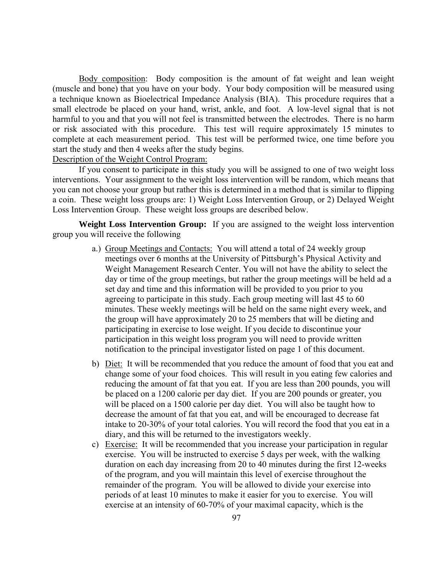Body composition: Body composition is the amount of fat weight and lean weight (muscle and bone) that you have on your body. Your body composition will be measured using a technique known as Bioelectrical Impedance Analysis (BIA). This procedure requires that a small electrode be placed on your hand, wrist, ankle, and foot. A low-level signal that is not harmful to you and that you will not feel is transmitted between the electrodes. There is no harm or risk associated with this procedure. This test will require approximately 15 minutes to complete at each measurement period. This test will be performed twice, one time before you start the study and then 4 weeks after the study begins.

Description of the Weight Control Program:

If you consent to participate in this study you will be assigned to one of two weight loss interventions. Your assignment to the weight loss intervention will be random, which means that you can not choose your group but rather this is determined in a method that is similar to flipping a coin. These weight loss groups are: 1) Weight Loss Intervention Group, or 2) Delayed Weight Loss Intervention Group. These weight loss groups are described below.

**Weight Loss Intervention Group:** If you are assigned to the weight loss intervention group you will receive the following

- a.) Group Meetings and Contacts: You will attend a total of 24 weekly group meetings over 6 months at the University of Pittsburgh's Physical Activity and Weight Management Research Center. You will not have the ability to select the day or time of the group meetings, but rather the group meetings will be held ad a set day and time and this information will be provided to you prior to you agreeing to participate in this study. Each group meeting will last 45 to 60 minutes. These weekly meetings will be held on the same night every week, and the group will have approximately 20 to 25 members that will be dieting and participating in exercise to lose weight. If you decide to discontinue your participation in this weight loss program you will need to provide written notification to the principal investigator listed on page 1 of this document.
- b) Diet: It will be recommended that you reduce the amount of food that you eat and change some of your food choices. This will result in you eating few calories and reducing the amount of fat that you eat. If you are less than 200 pounds, you will be placed on a 1200 calorie per day diet. If you are 200 pounds or greater, you will be placed on a 1500 calorie per day diet. You will also be taught how to decrease the amount of fat that you eat, and will be encouraged to decrease fat intake to 20-30% of your total calories. You will record the food that you eat in a diary, and this will be returned to the investigators weekly.
- c) Exercise: It will be recommended that you increase your participation in regular exercise. You will be instructed to exercise 5 days per week, with the walking duration on each day increasing from 20 to 40 minutes during the first 12-weeks of the program, and you will maintain this level of exercise throughout the remainder of the program. You will be allowed to divide your exercise into periods of at least 10 minutes to make it easier for you to exercise. You will exercise at an intensity of 60-70% of your maximal capacity, which is the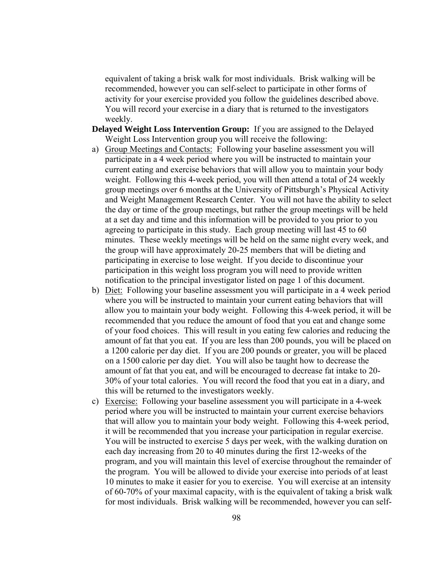equivalent of taking a brisk walk for most individuals. Brisk walking will be recommended, however you can self-select to participate in other forms of activity for your exercise provided you follow the guidelines described above. You will record your exercise in a diary that is returned to the investigators weekly.

- **Delayed Weight Loss Intervention Group:** If you are assigned to the Delayed Weight Loss Intervention group you will receive the following:
- a) Group Meetings and Contacts: Following your baseline assessment you will participate in a 4 week period where you will be instructed to maintain your current eating and exercise behaviors that will allow you to maintain your body weight. Following this 4-week period, you will then attend a total of 24 weekly group meetings over 6 months at the University of Pittsburgh's Physical Activity and Weight Management Research Center. You will not have the ability to select the day or time of the group meetings, but rather the group meetings will be held at a set day and time and this information will be provided to you prior to you agreeing to participate in this study. Each group meeting will last 45 to 60 minutes. These weekly meetings will be held on the same night every week, and the group will have approximately 20-25 members that will be dieting and participating in exercise to lose weight. If you decide to discontinue your participation in this weight loss program you will need to provide written notification to the principal investigator listed on page 1 of this document.
- b) Diet: Following your baseline assessment you will participate in a 4 week period where you will be instructed to maintain your current eating behaviors that will allow you to maintain your body weight. Following this 4-week period, it will be recommended that you reduce the amount of food that you eat and change some of your food choices. This will result in you eating few calories and reducing the amount of fat that you eat. If you are less than 200 pounds, you will be placed on a 1200 calorie per day diet. If you are 200 pounds or greater, you will be placed on a 1500 calorie per day diet. You will also be taught how to decrease the amount of fat that you eat, and will be encouraged to decrease fat intake to 20- 30% of your total calories. You will record the food that you eat in a diary, and this will be returned to the investigators weekly.
- c) Exercise: Following your baseline assessment you will participate in a 4-week period where you will be instructed to maintain your current exercise behaviors that will allow you to maintain your body weight. Following this 4-week period, it will be recommended that you increase your participation in regular exercise. You will be instructed to exercise 5 days per week, with the walking duration on each day increasing from 20 to 40 minutes during the first 12-weeks of the program, and you will maintain this level of exercise throughout the remainder of the program. You will be allowed to divide your exercise into periods of at least 10 minutes to make it easier for you to exercise. You will exercise at an intensity of 60-70% of your maximal capacity, with is the equivalent of taking a brisk walk for most individuals. Brisk walking will be recommended, however you can self-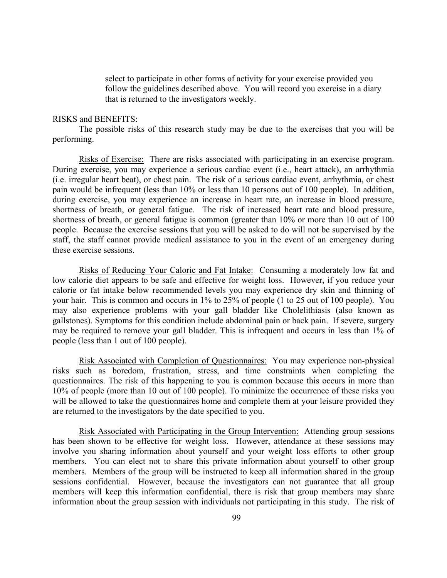select to participate in other forms of activity for your exercise provided you follow the guidelines described above. You will record you exercise in a diary that is returned to the investigators weekly.

### RISKS and BENEFITS:

The possible risks of this research study may be due to the exercises that you will be performing.

Risks of Exercise: There are risks associated with participating in an exercise program. During exercise, you may experience a serious cardiac event (i.e., heart attack), an arrhythmia (i.e. irregular heart beat), or chest pain. The risk of a serious cardiac event, arrhythmia, or chest pain would be infrequent (less than 10% or less than 10 persons out of 100 people). In addition, during exercise, you may experience an increase in heart rate, an increase in blood pressure, shortness of breath, or general fatigue. The risk of increased heart rate and blood pressure, shortness of breath, or general fatigue is common (greater than 10% or more than 10 out of 100 people. Because the exercise sessions that you will be asked to do will not be supervised by the staff, the staff cannot provide medical assistance to you in the event of an emergency during these exercise sessions.

Risks of Reducing Your Caloric and Fat Intake: Consuming a moderately low fat and low calorie diet appears to be safe and effective for weight loss. However, if you reduce your calorie or fat intake below recommended levels you may experience dry skin and thinning of your hair. This is common and occurs in 1% to 25% of people (1 to 25 out of 100 people). You may also experience problems with your gall bladder like Cholelithiasis (also known as gallstones). Symptoms for this condition include abdominal pain or back pain. If severe, surgery may be required to remove your gall bladder. This is infrequent and occurs in less than 1% of people (less than 1 out of 100 people).

Risk Associated with Completion of Questionnaires: You may experience non-physical risks such as boredom, frustration, stress, and time constraints when completing the questionnaires. The risk of this happening to you is common because this occurs in more than 10% of people (more than 10 out of 100 people). To minimize the occurrence of these risks you will be allowed to take the questionnaires home and complete them at your leisure provided they are returned to the investigators by the date specified to you.

Risk Associated with Participating in the Group Intervention: Attending group sessions has been shown to be effective for weight loss. However, attendance at these sessions may involve you sharing information about yourself and your weight loss efforts to other group members. You can elect not to share this private information about yourself to other group members. Members of the group will be instructed to keep all information shared in the group sessions confidential. However, because the investigators can not guarantee that all group members will keep this information confidential, there is risk that group members may share information about the group session with individuals not participating in this study. The risk of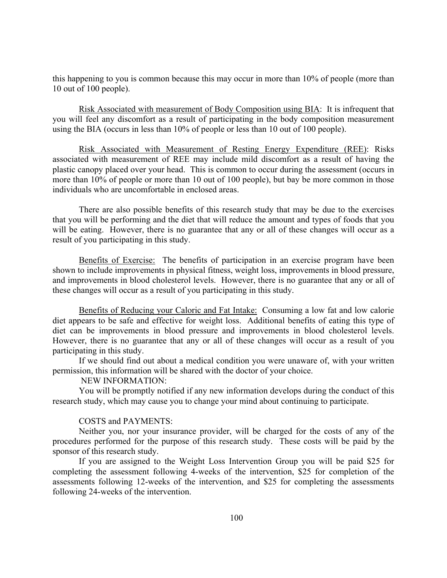this happening to you is common because this may occur in more than 10% of people (more than 10 out of 100 people).

Risk Associated with measurement of Body Composition using BIA: It is infrequent that you will feel any discomfort as a result of participating in the body composition measurement using the BIA (occurs in less than 10% of people or less than 10 out of 100 people).

Risk Associated with Measurement of Resting Energy Expenditure (REE): Risks associated with measurement of REE may include mild discomfort as a result of having the plastic canopy placed over your head. This is common to occur during the assessment (occurs in more than 10% of people or more than 10 out of 100 people), but bay be more common in those individuals who are uncomfortable in enclosed areas.

There are also possible benefits of this research study that may be due to the exercises that you will be performing and the diet that will reduce the amount and types of foods that you will be eating. However, there is no guarantee that any or all of these changes will occur as a result of you participating in this study.

Benefits of Exercise: The benefits of participation in an exercise program have been shown to include improvements in physical fitness, weight loss, improvements in blood pressure, and improvements in blood cholesterol levels. However, there is no guarantee that any or all of these changes will occur as a result of you participating in this study.

Benefits of Reducing your Caloric and Fat Intake: Consuming a low fat and low calorie diet appears to be safe and effective for weight loss. Additional benefits of eating this type of diet can be improvements in blood pressure and improvements in blood cholesterol levels. However, there is no guarantee that any or all of these changes will occur as a result of you participating in this study.

If we should find out about a medical condition you were unaware of, with your written permission, this information will be shared with the doctor of your choice.

# NEW INFORMATION:

You will be promptly notified if any new information develops during the conduct of this research study, which may cause you to change your mind about continuing to participate.

### COSTS and PAYMENTS:

Neither you, nor your insurance provider, will be charged for the costs of any of the procedures performed for the purpose of this research study. These costs will be paid by the sponsor of this research study.

If you are assigned to the Weight Loss Intervention Group you will be paid \$25 for completing the assessment following 4-weeks of the intervention, \$25 for completion of the assessments following 12-weeks of the intervention, and \$25 for completing the assessments following 24-weeks of the intervention.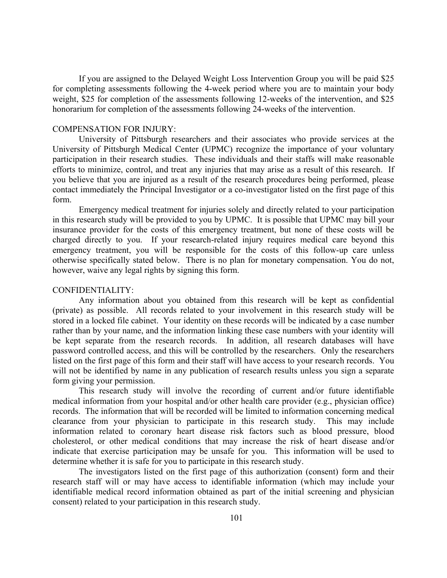If you are assigned to the Delayed Weight Loss Intervention Group you will be paid \$25 for completing assessments following the 4-week period where you are to maintain your body weight, \$25 for completion of the assessments following 12-weeks of the intervention, and \$25 honorarium for completion of the assessments following 24-weeks of the intervention.

#### COMPENSATION FOR INJURY:

University of Pittsburgh researchers and their associates who provide services at the University of Pittsburgh Medical Center (UPMC) recognize the importance of your voluntary participation in their research studies. These individuals and their staffs will make reasonable efforts to minimize, control, and treat any injuries that may arise as a result of this research. If you believe that you are injured as a result of the research procedures being performed, please contact immediately the Principal Investigator or a co-investigator listed on the first page of this form.

Emergency medical treatment for injuries solely and directly related to your participation in this research study will be provided to you by UPMC. It is possible that UPMC may bill your insurance provider for the costs of this emergency treatment, but none of these costs will be charged directly to you. If your research-related injury requires medical care beyond this emergency treatment, you will be responsible for the costs of this follow-up care unless otherwise specifically stated below. There is no plan for monetary compensation. You do not, however, waive any legal rights by signing this form.

### CONFIDENTIALITY:

Any information about you obtained from this research will be kept as confidential (private) as possible. All records related to your involvement in this research study will be stored in a locked file cabinet. Your identity on these records will be indicated by a case number rather than by your name, and the information linking these case numbers with your identity will be kept separate from the research records. In addition, all research databases will have password controlled access, and this will be controlled by the researchers. Only the researchers listed on the first page of this form and their staff will have access to your research records. You will not be identified by name in any publication of research results unless you sign a separate form giving your permission.

This research study will involve the recording of current and/or future identifiable medical information from your hospital and/or other health care provider (e.g., physician office) records. The information that will be recorded will be limited to information concerning medical clearance from your physician to participate in this research study. This may include information related to coronary heart disease risk factors such as blood pressure, blood cholesterol, or other medical conditions that may increase the risk of heart disease and/or indicate that exercise participation may be unsafe for you. This information will be used to determine whether it is safe for you to participate in this research study.

The investigators listed on the first page of this authorization (consent) form and their research staff will or may have access to identifiable information (which may include your identifiable medical record information obtained as part of the initial screening and physician consent) related to your participation in this research study.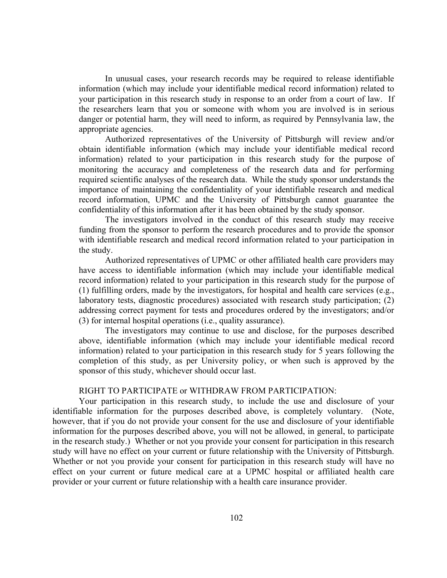In unusual cases, your research records may be required to release identifiable information (which may include your identifiable medical record information) related to your participation in this research study in response to an order from a court of law. If the researchers learn that you or someone with whom you are involved is in serious danger or potential harm, they will need to inform, as required by Pennsylvania law, the appropriate agencies.

Authorized representatives of the University of Pittsburgh will review and/or obtain identifiable information (which may include your identifiable medical record information) related to your participation in this research study for the purpose of monitoring the accuracy and completeness of the research data and for performing required scientific analyses of the research data. While the study sponsor understands the importance of maintaining the confidentiality of your identifiable research and medical record information, UPMC and the University of Pittsburgh cannot guarantee the confidentiality of this information after it has been obtained by the study sponsor.

The investigators involved in the conduct of this research study may receive funding from the sponsor to perform the research procedures and to provide the sponsor with identifiable research and medical record information related to your participation in the study.

Authorized representatives of UPMC or other affiliated health care providers may have access to identifiable information (which may include your identifiable medical record information) related to your participation in this research study for the purpose of (1) fulfilling orders, made by the investigators, for hospital and health care services (e.g., laboratory tests, diagnostic procedures) associated with research study participation; (2) addressing correct payment for tests and procedures ordered by the investigators; and/or (3) for internal hospital operations (i.e., quality assurance).

The investigators may continue to use and disclose, for the purposes described above, identifiable information (which may include your identifiable medical record information) related to your participation in this research study for 5 years following the completion of this study, as per University policy, or when such is approved by the sponsor of this study, whichever should occur last.

# RIGHT TO PARTICIPATE or WITHDRAW FROM PARTICIPATION:

Your participation in this research study, to include the use and disclosure of your identifiable information for the purposes described above, is completely voluntary. (Note, however, that if you do not provide your consent for the use and disclosure of your identifiable information for the purposes described above, you will not be allowed, in general, to participate in the research study.) Whether or not you provide your consent for participation in this research study will have no effect on your current or future relationship with the University of Pittsburgh. Whether or not you provide your consent for participation in this research study will have no effect on your current or future medical care at a UPMC hospital or affiliated health care provider or your current or future relationship with a health care insurance provider.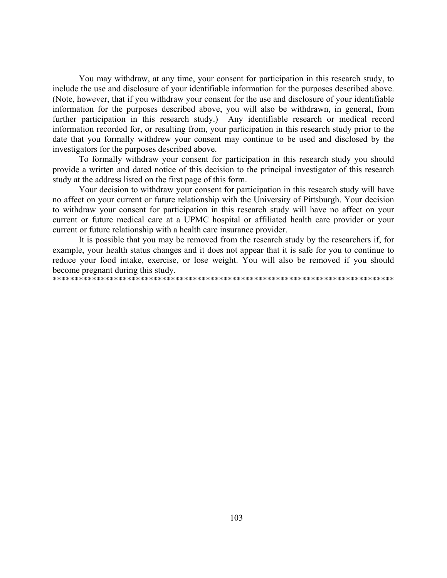You may withdraw, at any time, your consent for participation in this research study, to include the use and disclosure of your identifiable information for the purposes described above. (Note, however, that if you withdraw your consent for the use and disclosure of your identifiable information for the purposes described above, you will also be withdrawn, in general, from further participation in this research study.) Any identifiable research or medical record information recorded for, or resulting from, your participation in this research study prior to the date that you formally withdrew your consent may continue to be used and disclosed by the investigators for the purposes described above.

To formally withdraw your consent for participation in this research study you should provide a written and dated notice of this decision to the principal investigator of this research study at the address listed on the first page of this form.

Your decision to withdraw your consent for participation in this research study will have no affect on your current or future relationship with the University of Pittsburgh. Your decision to withdraw your consent for participation in this research study will have no affect on your current or future medical care at a UPMC hospital or affiliated health care provider or your current or future relationship with a health care insurance provider.

It is possible that you may be removed from the research study by the researchers if, for example, your health status changes and it does not appear that it is safe for you to continue to reduce your food intake, exercise, or lose weight. You will also be removed if you should become pregnant during this study.

\*\*\*\*\*\*\*\*\*\*\*\*\*\*\*\*\*\*\*\*\*\*\*\*\*\*\*\*\*\*\*\*\*\*\*\*\*\*\*\*\*\*\*\*\*\*\*\*\*\*\*\*\*\*\*\*\*\*\*\*\*\*\*\*\*\*\*\*\*\*\*\*\*\*\*\*\*\*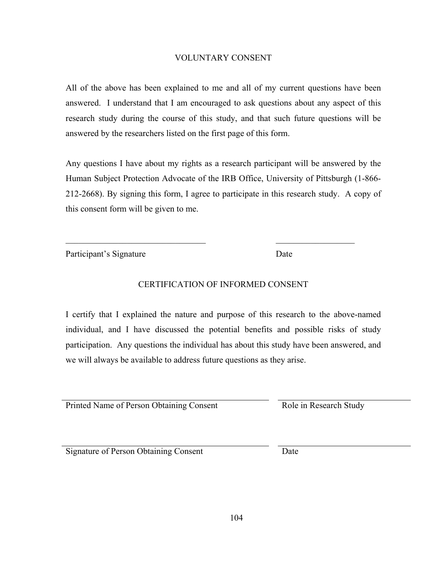# VOLUNTARY CONSENT

All of the above has been explained to me and all of my current questions have been answered. I understand that I am encouraged to ask questions about any aspect of this research study during the course of this study, and that such future questions will be answered by the researchers listed on the first page of this form.

Any questions I have about my rights as a research participant will be answered by the Human Subject Protection Advocate of the IRB Office, University of Pittsburgh (1-866- 212-2668). By signing this form, I agree to participate in this research study. A copy of this consent form will be given to me.

Participant's Signature Date

# CERTIFICATION OF INFORMED CONSENT

 $\mathcal{L}_\text{max}$  , and the contract of the contract of the contract of the contract of the contract of the contract of the contract of the contract of the contract of the contract of the contract of the contract of the contr

I certify that I explained the nature and purpose of this research to the above-named individual, and I have discussed the potential benefits and possible risks of study participation. Any questions the individual has about this study have been answered, and we will always be available to address future questions as they arise.

Printed Name of Person Obtaining Consent Role in Research Study

Signature of Person Obtaining Consent Date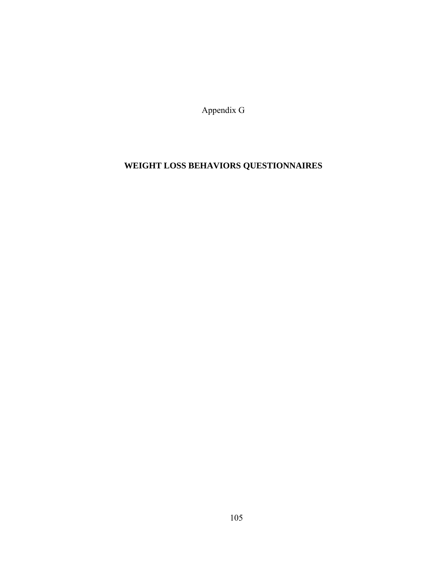Appendix G

# **WEIGHT LOSS BEHAVIORS QUESTIONNAIRES**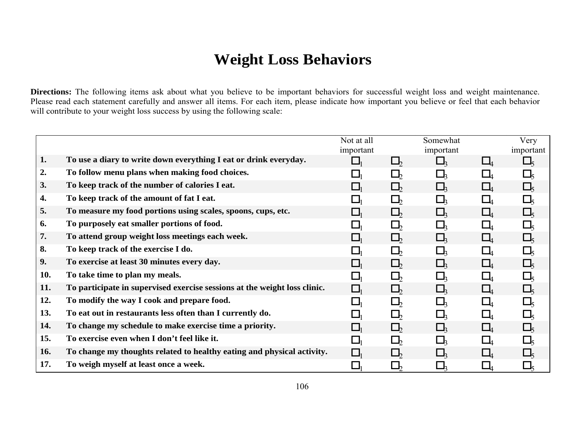# **Weight Loss Behaviors**

Directions: The following items ask about what you believe to be important behaviors for successful weight loss and weight maintenance. Please read each statement carefully and answer all items. For each item, please indicate how important you believe or feel that each behavior will contribute to your weight loss success by using the following scale:

|            |                                                                           | Not at all |          | Somewhat  |              | Very               |
|------------|---------------------------------------------------------------------------|------------|----------|-----------|--------------|--------------------|
|            |                                                                           | important  |          | important |              | important          |
| 1.         | To use a diary to write down everything I eat or drink everyday.          |            | $\Box$   |           | $\Box$       | $\Box_{\varsigma}$ |
| 2.         | To follow menu plans when making food choices.                            |            | $\Box$   |           |              |                    |
| 3.         | To keep track of the number of calories I eat.                            |            | $\Box$   |           | $\Box_4$     | $\Box$             |
| 4.         | To keep track of the amount of fat I eat.                                 |            | Ш        |           | $\Box$       | Ц                  |
| 5.         | To measure my food portions using scales, spoons, cups, etc.              |            | $\Box$   |           | $\Box_4$     | $\Box$             |
| 6.         | To purposely eat smaller portions of food.                                |            | Ш        |           | $\mathsf{L}$ | $\Box_{\varsigma}$ |
| 7.         | To attend group weight loss meetings each week.                           |            | $\Box$   |           | $\Box$       | $\Box$             |
| 8.         | To keep track of the exercise I do.                                       |            | Lh       |           | $\Box_4$     | $\Box_{\varsigma}$ |
| 9.         | To exercise at least 30 minutes every day.                                |            | $\Box$   |           | $\Box$       | $\Box$             |
| 10.        | To take time to plan my meals.                                            |            | $\Box_b$ |           |              |                    |
| 11.        | To participate in supervised exercise sessions at the weight loss clinic. |            | $\Box$   |           |              | $\Box$             |
| 12.        | To modify the way I cook and prepare food.                                |            | $\Box$   |           |              |                    |
| 13.        | To eat out in restaurants less often than I currently do.                 |            | $\Box$   |           |              |                    |
| 14.        | To change my schedule to make exercise time a priority.                   |            | $\Box$   |           | $\Box$       | $\square$          |
| 15.        | To exercise even when I don't feel like it.                               |            | $\Box$   |           |              |                    |
| <b>16.</b> | To change my thoughts related to healthy eating and physical activity.    |            |          |           |              |                    |
| 17.        | To weigh myself at least once a week.                                     |            | $\Box_b$ |           |              |                    |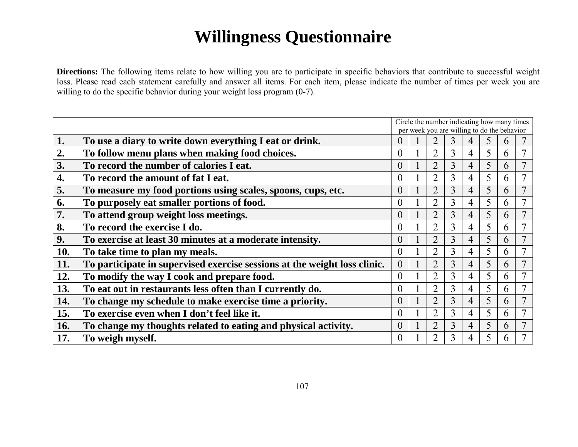# **Willingness Questionnaire**

**Directions:** The following items relate to how willing you are to participate in specific behaviors that contribute to successful weight loss. Please read each statement carefully and answer all items. For each item, please indicate the number of times per week you are willing to do the specific behavior during your weight loss program  $(0-7)$ .

|     |                                                                           | Circle the number indicating how many times<br>per week you are willing to do the behavior |  |                |   |   |   |                |  |  |
|-----|---------------------------------------------------------------------------|--------------------------------------------------------------------------------------------|--|----------------|---|---|---|----------------|--|--|
| 1.  | To use a diary to write down everything I eat or drink.                   | 0                                                                                          |  |                | 3 |   |   | h              |  |  |
| 2.  | To follow menu plans when making food choices.                            | $\theta$                                                                                   |  | C              | 3 | 4 | 5 | $\mathfrak b$  |  |  |
| 3.  | To record the number of calories I eat.                                   | 0                                                                                          |  | $\overline{2}$ | 3 | 4 | 5 | $\mathfrak h$  |  |  |
| 4.  | To record the amount of fat I eat.                                        | $\theta$                                                                                   |  | $\mathcal{D}$  | 3 | 4 | 5 | 6              |  |  |
| 5.  | To measure my food portions using scales, spoons, cups, etc.              | 0                                                                                          |  | $\overline{2}$ | 3 | 4 | 5 | $\mathfrak b$  |  |  |
| 6.  | To purposely eat smaller portions of food.                                | $\theta$                                                                                   |  | $\overline{2}$ | 3 | 4 | 5 | <sub>b</sub>   |  |  |
| 7.  | To attend group weight loss meetings.                                     | 0                                                                                          |  | $\overline{2}$ | 3 | 4 | 5 | $\mathfrak b$  |  |  |
| 8.  | To record the exercise I do.                                              | $\theta$                                                                                   |  | $\overline{2}$ | 3 | 4 | 5 | <sub>b</sub>   |  |  |
| 9.  | To exercise at least 30 minutes at a moderate intensity.                  | 0                                                                                          |  | $\overline{2}$ | 3 | 4 | 5 | $\mathfrak b$  |  |  |
| 10. | To take time to plan my meals.                                            | $\theta$                                                                                   |  | $\overline{2}$ | 3 | 4 | 5 | <sub>b</sub>   |  |  |
| 11. | To participate in supervised exercise sessions at the weight loss clinic. | $\theta$                                                                                   |  | $\overline{2}$ | 3 | 4 | 5 | $\mathfrak b$  |  |  |
| 12. | To modify the way I cook and prepare food.                                | $\theta$                                                                                   |  | $\overline{2}$ | 3 | 4 | 5 | <sub>(b)</sub> |  |  |
| 13. | To eat out in restaurants less often than I currently do.                 | $\theta$                                                                                   |  | $\overline{2}$ | 3 | 4 | 5 | <sub>(b)</sub> |  |  |
| 14. | To change my schedule to make exercise time a priority.                   | 0                                                                                          |  | $\overline{2}$ | 3 | 4 | 5 | $\mathfrak h$  |  |  |
| 15. | To exercise even when I don't feel like it.                               | $\theta$                                                                                   |  | $\overline{2}$ | 3 | 4 | 5 | <sub>(b)</sub> |  |  |
| 16. | To change my thoughts related to eating and physical activity.            | $\overline{0}$                                                                             |  | $\overline{2}$ | 3 | 4 | 5 | $\mathfrak h$  |  |  |
| 17. | To weigh myself.                                                          | $\theta$                                                                                   |  | っ              | 3 |   |   | n              |  |  |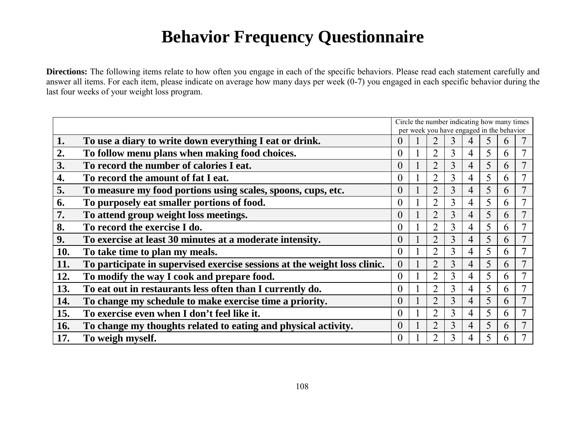# **Behavior Frequency Questionnaire**

**Directions:** The following items relate to how often you engage in each of the specific behaviors. Please read each statement carefully and answer all items. For each item, please indicate on average how many days per week (0-7) you engaged in each specific behavior during the last four weeks of your weight loss program.

|     |                                                                           | Circle the number indicating how many times<br>per week you have engaged in the behavior |  |                |   |   |   |               |  |  |
|-----|---------------------------------------------------------------------------|------------------------------------------------------------------------------------------|--|----------------|---|---|---|---------------|--|--|
| 1.  | To use a diary to write down everything I eat or drink.                   | $\theta$                                                                                 |  |                | 3 |   |   | h             |  |  |
| 2.  | To follow menu plans when making food choices.                            | $\theta$                                                                                 |  | $\mathcal{D}$  | 3 | 4 | 5 | $\mathfrak b$ |  |  |
| 3.  | To record the number of calories I eat.                                   | $\Omega$                                                                                 |  | $\overline{2}$ | 3 | 4 | 5 | $\mathfrak b$ |  |  |
| 4.  | To record the amount of fat I eat.                                        | $\Omega$                                                                                 |  | ာ              | 3 | 4 | 5 | $\mathfrak b$ |  |  |
| 5.  | To measure my food portions using scales, spoons, cups, etc.              | $\overline{0}$                                                                           |  | $\overline{2}$ | 3 | 4 | 5 | $\mathfrak b$ |  |  |
| 6.  | To purposely eat smaller portions of food.                                | $\theta$                                                                                 |  | $\overline{2}$ | 3 | 4 | 5 | $\mathfrak b$ |  |  |
| 7.  | To attend group weight loss meetings.                                     | $\theta$                                                                                 |  | $\overline{2}$ | 3 | 4 | 5 | $\mathfrak b$ |  |  |
| 8.  | To record the exercise I do.                                              | $\Omega$                                                                                 |  | ာ              | 3 | 4 | 5 | $\mathfrak b$ |  |  |
| 9.  | To exercise at least 30 minutes at a moderate intensity.                  | $\theta$                                                                                 |  | $\overline{2}$ | 3 | 4 | 5 | $\mathfrak b$ |  |  |
| 10. | To take time to plan my meals.                                            | $\theta$                                                                                 |  | ာ              | 3 | 4 |   | $\mathfrak b$ |  |  |
| 11. | To participate in supervised exercise sessions at the weight loss clinic. | $\theta$                                                                                 |  | $\overline{2}$ | 3 | 4 |   | 6             |  |  |
| 12. | To modify the way I cook and prepare food.                                | $\theta$                                                                                 |  | $\overline{2}$ | 3 | 4 |   | $\mathfrak b$ |  |  |
| 13. | To eat out in restaurants less often than I currently do.                 | $\Omega$                                                                                 |  | $\overline{2}$ | 3 | 4 |   | $\mathfrak b$ |  |  |
| 14. | To change my schedule to make exercise time a priority.                   | $\theta$                                                                                 |  | $\overline{2}$ | 3 | 4 |   | $\mathfrak b$ |  |  |
| 15. | To exercise even when I don't feel like it.                               | $\Omega$                                                                                 |  | $\overline{2}$ | 3 | 4 |   | 6             |  |  |
| 16. | To change my thoughts related to eating and physical activity.            | $\theta$                                                                                 |  | $\overline{2}$ | 3 | 4 |   | h             |  |  |
| 17. | To weigh myself.                                                          | $\theta$                                                                                 |  |                | 3 |   |   | h             |  |  |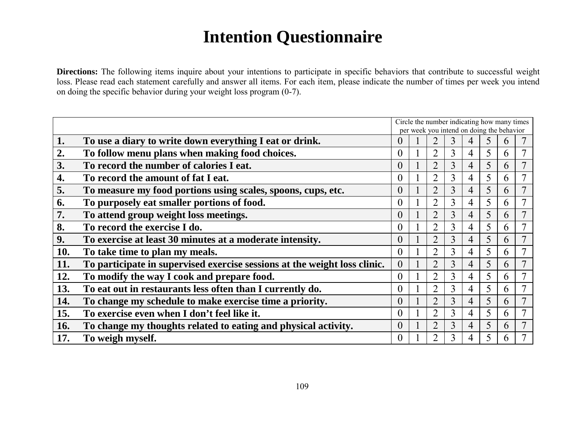# **Intention Questionnaire**

**Directions:** The following items inquire about your intentions to participate in specific behaviors that contribute to successful weight loss. Please read each statement carefully and answer all items. For each item, please indicate the number of times per week you intend on doing the specific behavior during your weight loss program (0-7).

|     |                                                                           | Circle the number indicating how many times<br>per week you intend on doing the behavior |  |                |   |   |   |               |  |  |
|-----|---------------------------------------------------------------------------|------------------------------------------------------------------------------------------|--|----------------|---|---|---|---------------|--|--|
| 1.  | To use a diary to write down everything I eat or drink.                   | $\theta$                                                                                 |  |                | 3 |   |   | $\mathfrak b$ |  |  |
| 2.  | To follow menu plans when making food choices.                            | $\theta$                                                                                 |  | ာ              | 3 | 4 | 5 | $\mathfrak b$ |  |  |
| 3.  | To record the number of calories I eat.                                   | $\Omega$                                                                                 |  | $\overline{2}$ | 3 | 4 | 5 | $\mathfrak b$ |  |  |
| 4.  | To record the amount of fat I eat.                                        | $\Omega$                                                                                 |  | $\mathcal{D}$  | 3 | 4 | 5 | 6             |  |  |
| 5.  | To measure my food portions using scales, spoons, cups, etc.              | $\theta$                                                                                 |  | $\overline{2}$ | 3 | 4 | 5 | $\mathfrak b$ |  |  |
| 6.  | To purposely eat smaller portions of food.                                | $\theta$                                                                                 |  | ာ              | 3 | 4 |   | 6             |  |  |
| 7.  | To attend group weight loss meetings.                                     | $\Omega$                                                                                 |  | $\overline{2}$ | 3 | 4 |   | $\mathfrak b$ |  |  |
| 8.  | To record the exercise I do.                                              | $\theta$                                                                                 |  | $\overline{2}$ | 3 | 4 |   | 6             |  |  |
| 9.  | To exercise at least 30 minutes at a moderate intensity.                  | $\theta$                                                                                 |  | $\overline{2}$ | 3 | 4 |   | 6             |  |  |
| 10. | To take time to plan my meals.                                            | $\Omega$                                                                                 |  | $\overline{2}$ | 3 | 4 |   | $\mathfrak b$ |  |  |
| 11. | To participate in supervised exercise sessions at the weight loss clinic. | $\overline{0}$                                                                           |  | $\overline{2}$ | 3 | 4 | 5 | 6             |  |  |
| 12. | To modify the way I cook and prepare food.                                | $\theta$                                                                                 |  | $\overline{2}$ | 3 | 4 |   | $\mathfrak b$ |  |  |
| 13. | To eat out in restaurants less often than I currently do.                 | $\theta$                                                                                 |  | $\overline{2}$ | 3 | 4 | 5 | 6             |  |  |
| 14. | To change my schedule to make exercise time a priority.                   | $\theta$                                                                                 |  | $\overline{2}$ | 3 | 4 | 5 | 6             |  |  |
| 15. | To exercise even when I don't feel like it.                               | $\Omega$                                                                                 |  | $\overline{2}$ | 3 | 4 | 5 | 6             |  |  |
| 16. | To change my thoughts related to eating and physical activity.            | $\theta$                                                                                 |  | $\overline{2}$ | 3 | 4 |   | $\mathfrak b$ |  |  |
| 17. | To weigh myself.                                                          | $\theta$                                                                                 |  | っ              | 3 |   |   | h             |  |  |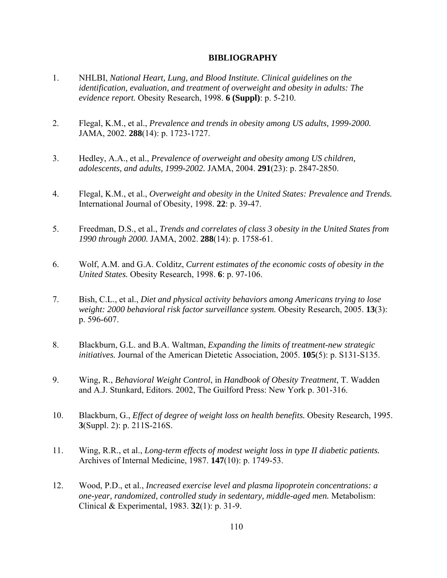# **BIBLIOGRAPHY**

- 1. NHLBI, *National Heart, Lung, and Blood Institute. Clinical guidelines on the identification, evaluation, and treatment of overweight and obesity in adults: The evidence report.* Obesity Research, 1998. **6 (Suppl)**: p. 5-210.
- 2. Flegal, K.M., et al., *Prevalence and trends in obesity among US adults, 1999-2000.* JAMA, 2002. **288**(14): p. 1723-1727.
- 3. Hedley, A.A., et al., *Prevalence of overweight and obesity among US children, adolescents, and adults, 1999-2002.* JAMA, 2004. **291**(23): p. 2847-2850.
- 4. Flegal, K.M., et al., *Overweight and obesity in the United States: Prevalence and Trends.* International Journal of Obesity, 1998. **22**: p. 39-47.
- 5. Freedman, D.S., et al., *Trends and correlates of class 3 obesity in the United States from 1990 through 2000.* JAMA, 2002. **288**(14): p. 1758-61.
- 6. Wolf, A.M. and G.A. Colditz, *Current estimates of the economic costs of obesity in the United States.* Obesity Research, 1998. **6**: p. 97-106.
- 7. Bish, C.L., et al., *Diet and physical activity behaviors among Americans trying to lose weight: 2000 behavioral risk factor surveillance system.* Obesity Research, 2005. **13**(3): p. 596-607.
- 8. Blackburn, G.L. and B.A. Waltman, *Expanding the limits of treatment-new strategic initiatives.* Journal of the American Dietetic Association, 2005. **105**(5): p. S131-S135.
- 9. Wing, R., *Behavioral Weight Control*, in *Handbook of Obesity Treatment*, T. Wadden and A.J. Stunkard, Editors. 2002, The Guilford Press: New York p. 301-316.
- 10. Blackburn, G., *Effect of degree of weight loss on health benefits.* Obesity Research, 1995. **3**(Suppl. 2): p. 211S-216S.
- 11. Wing, R.R., et al., *Long-term effects of modest weight loss in type II diabetic patients.* Archives of Internal Medicine, 1987. **147**(10): p. 1749-53.
- 12. Wood, P.D., et al., *Increased exercise level and plasma lipoprotein concentrations: a one-year, randomized, controlled study in sedentary, middle-aged men.* Metabolism: Clinical & Experimental, 1983. **32**(1): p. 31-9.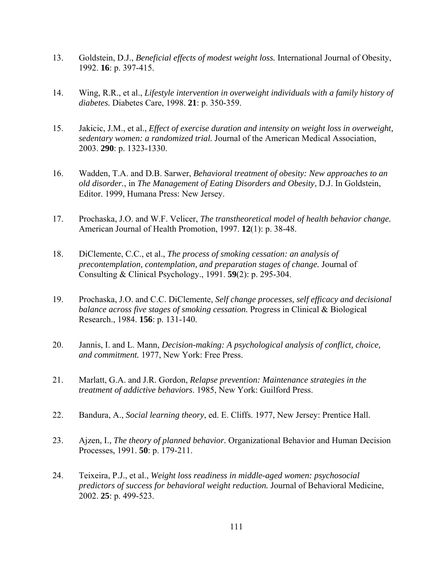- 13. Goldstein, D.J., *Beneficial effects of modest weight loss.* International Journal of Obesity, 1992. **16**: p. 397-415.
- 14. Wing, R.R., et al., *Lifestyle intervention in overweight individuals with a family history of diabetes.* Diabetes Care, 1998. **21**: p. 350-359.
- 15. Jakicic, J.M., et al., *Effect of exercise duration and intensity on weight loss in overweight, sedentary women: a randomized trial.* Journal of the American Medical Association, 2003. **290**: p. 1323-1330.
- 16. Wadden, T.A. and D.B. Sarwer, *Behavioral treatment of obesity: New approaches to an old disorder.*, in *The Management of Eating Disorders and Obesity*, D.J. In Goldstein, Editor. 1999, Humana Press: New Jersey.
- 17. Prochaska, J.O. and W.F. Velicer, *The transtheoretical model of health behavior change.* American Journal of Health Promotion, 1997. **12**(1): p. 38-48.
- 18. DiClemente, C.C., et al., *The process of smoking cessation: an analysis of precontemplation, contemplation, and preparation stages of change.* Journal of Consulting & Clinical Psychology., 1991. **59**(2): p. 295-304.
- 19. Prochaska, J.O. and C.C. DiClemente, *Self change processes, self efficacy and decisional balance across five stages of smoking cessation.* Progress in Clinical & Biological Research., 1984. **156**: p. 131-140.
- 20. Jannis, I. and L. Mann, *Decision-making: A psychological analysis of conflict, choice, and commitment.* 1977, New York: Free Press.
- 21. Marlatt, G.A. and J.R. Gordon, *Relapse prevention: Maintenance strategies in the treatment of addictive behaviors*. 1985, New York: Guilford Press.
- 22. Bandura, A., *Social learning theory*, ed. E. Cliffs. 1977, New Jersey: Prentice Hall.
- 23. Ajzen, I., *The theory of planned behavior.* Organizational Behavior and Human Decision Processes, 1991. **50**: p. 179-211.
- 24. Teixeira, P.J., et al., *Weight loss readiness in middle-aged women: psychosocial predictors of success for behavioral weight reduction.* Journal of Behavioral Medicine, 2002. **25**: p. 499-523.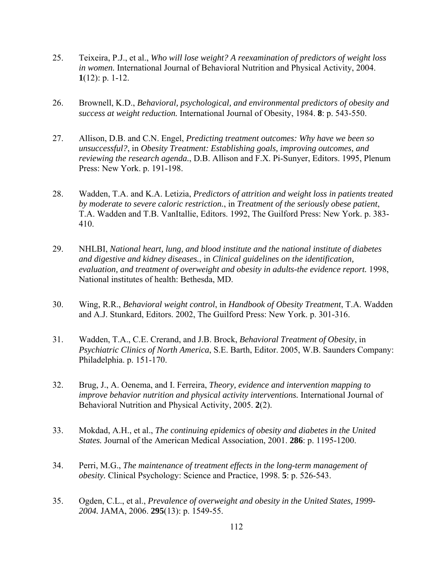- 25. Teixeira, P.J., et al., *Who will lose weight? A reexamination of predictors of weight loss in women.* International Journal of Behavioral Nutrition and Physical Activity, 2004. **1**(12): p. 1-12.
- 26. Brownell, K.D., *Behavioral, psychological, and environmental predictors of obesity and success at weight reduction.* International Journal of Obesity, 1984. **8**: p. 543-550.
- 27. Allison, D.B. and C.N. Engel, *Predicting treatment outcomes: Why have we been so unsuccessful?*, in *Obesity Treatment: Establishing goals, improving outcomes, and reviewing the research agenda.*, D.B. Allison and F.X. Pi-Sunyer, Editors. 1995, Plenum Press: New York. p. 191-198.
- 28. Wadden, T.A. and K.A. Letizia, *Predictors of attrition and weight loss in patients treated by moderate to severe caloric restriction.*, in *Treatment of the seriously obese patient*, T.A. Wadden and T.B. VanItallie, Editors. 1992, The Guilford Press: New York. p. 383- 410.
- 29. NHLBI, *National heart, lung, and blood institute and the national institute of diabetes and digestive and kidney diseases.*, in *Clinical guidelines on the identification, evaluation, and treatment of overweight and obesity in adults-the evidence report.* 1998, National institutes of health: Bethesda, MD.
- 30. Wing, R.R., *Behavioral weight control*, in *Handbook of Obesity Treatment*, T.A. Wadden and A.J. Stunkard, Editors. 2002, The Guilford Press: New York. p. 301-316.
- 31. Wadden, T.A., C.E. Crerand, and J.B. Brock, *Behavioral Treatment of Obesity*, in *Psychiatric Clinics of North America*, S.E. Barth, Editor. 2005, W.B. Saunders Company: Philadelphia. p. 151-170.
- 32. Brug, J., A. Oenema, and I. Ferreira, *Theory, evidence and intervention mapping to improve behavior nutrition and physical activity interventions.* International Journal of Behavioral Nutrition and Physical Activity, 2005. **2**(2).
- 33. Mokdad, A.H., et al., *The continuing epidemics of obesity and diabetes in the United States.* Journal of the American Medical Association, 2001. **286**: p. 1195-1200.
- 34. Perri, M.G., *The maintenance of treatment effects in the long-term management of obesity.* Clinical Psychology: Science and Practice, 1998. **5**: p. 526-543.
- 35. Ogden, C.L., et al., *Prevalence of overweight and obesity in the United States, 1999- 2004.* JAMA, 2006. **295**(13): p. 1549-55.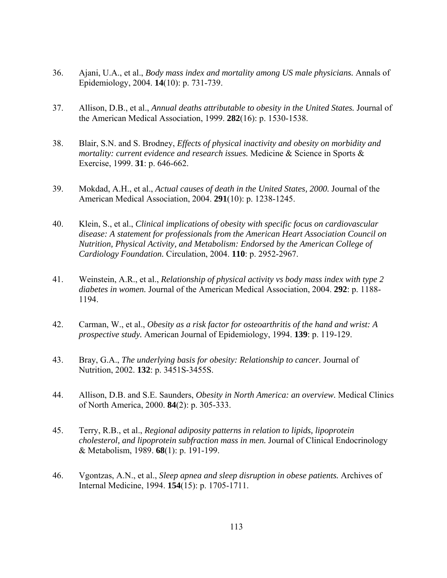- 36. Ajani, U.A., et al., *Body mass index and mortality among US male physicians.* Annals of Epidemiology, 2004. **14**(10): p. 731-739.
- 37. Allison, D.B., et al., *Annual deaths attributable to obesity in the United States.* Journal of the American Medical Association, 1999. **282**(16): p. 1530-1538.
- 38. Blair, S.N. and S. Brodney, *Effects of physical inactivity and obesity on morbidity and mortality: current evidence and research issues.* Medicine & Science in Sports & Exercise, 1999. **31**: p. 646-662.
- 39. Mokdad, A.H., et al., *Actual causes of death in the United States, 2000.* Journal of the American Medical Association, 2004. **291**(10): p. 1238-1245.
- 40. Klein, S., et al., *Clinical implications of obesity with specific focus on cardiovascular disease: A statement for professionals from the American Heart Association Council on Nutrition, Physical Activity, and Metabolism: Endorsed by the American College of Cardiology Foundation.* Circulation, 2004. **110**: p. 2952-2967.
- 41. Weinstein, A.R., et al., *Relationship of physical activity vs body mass index with type 2 diabetes in women.* Journal of the American Medical Association, 2004. **292**: p. 1188- 1194.
- 42. Carman, W., et al., *Obesity as a risk factor for osteoarthritis of the hand and wrist: A prospective study.* American Journal of Epidemiology, 1994. **139**: p. 119-129.
- 43. Bray, G.A., *The underlying basis for obesity: Relationship to cancer.* Journal of Nutrition, 2002. **132**: p. 3451S-3455S.
- 44. Allison, D.B. and S.E. Saunders, *Obesity in North America: an overview.* Medical Clinics of North America, 2000. **84**(2): p. 305-333.
- 45. Terry, R.B., et al., *Regional adiposity patterns in relation to lipids, lipoprotein cholesterol, and lipoprotein subfraction mass in men.* Journal of Clinical Endocrinology & Metabolism, 1989. **68**(1): p. 191-199.
- 46. Vgontzas, A.N., et al., *Sleep apnea and sleep disruption in obese patients.* Archives of Internal Medicine, 1994. **154**(15): p. 1705-1711.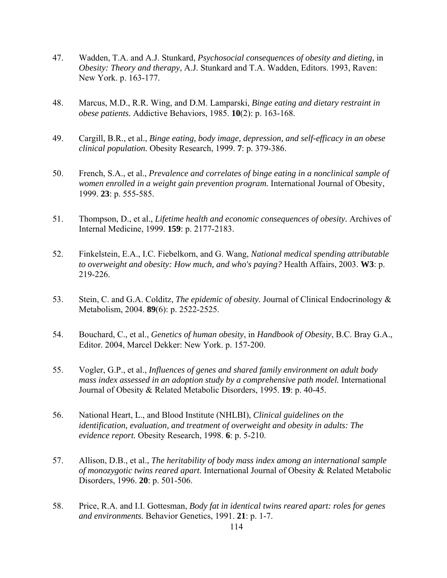- 47. Wadden, T.A. and A.J. Stunkard, *Psychosocial consequences of obesity and dieting*, in *Obesity: Theory and therapy*, A.J. Stunkard and T.A. Wadden, Editors. 1993, Raven: New York. p. 163-177.
- 48. Marcus, M.D., R.R. Wing, and D.M. Lamparski, *Binge eating and dietary restraint in obese patients.* Addictive Behaviors, 1985. **10**(2): p. 163-168.
- 49. Cargill, B.R., et al., *Binge eating, body image, depression, and self-efficacy in an obese clinical population.* Obesity Research, 1999. **7**: p. 379-386.
- 50. French, S.A., et al., *Prevalence and correlates of binge eating in a nonclinical sample of women enrolled in a weight gain prevention program.* International Journal of Obesity, 1999. **23**: p. 555-585.
- 51. Thompson, D., et al., *Lifetime health and economic consequences of obesity.* Archives of Internal Medicine, 1999. **159**: p. 2177-2183.
- 52. Finkelstein, E.A., I.C. Fiebelkorn, and G. Wang, *National medical spending attributable to overweight and obesity: How much, and who's paying?* Health Affairs, 2003. **W3**: p. 219-226.
- 53. Stein, C. and G.A. Colditz, *The epidemic of obesity.* Journal of Clinical Endocrinology & Metabolism, 2004. **89**(6): p. 2522-2525.
- 54. Bouchard, C., et al., *Genetics of human obesity*, in *Handbook of Obesity*, B.C. Bray G.A., Editor. 2004, Marcel Dekker: New York. p. 157-200.
- 55. Vogler, G.P., et al., *Influences of genes and shared family environment on adult body mass index assessed in an adoption study by a comprehensive path model.* International Journal of Obesity & Related Metabolic Disorders, 1995. **19**: p. 40-45.
- 56. National Heart, L., and Blood Institute (NHLBI), *Clinical guidelines on the identification, evaluation, and treatment of overweight and obesity in adults: The evidence report.* Obesity Research, 1998. **6**: p. 5-210.
- 57. Allison, D.B., et al., *The heritability of body mass index among an international sample of monozygotic twins reared apart.* International Journal of Obesity & Related Metabolic Disorders, 1996. **20**: p. 501-506.
- 58. Price, R.A. and I.I. Gottesman, *Body fat in identical twins reared apart: roles for genes and environments.* Behavior Genetics, 1991. **21**: p. 1-7.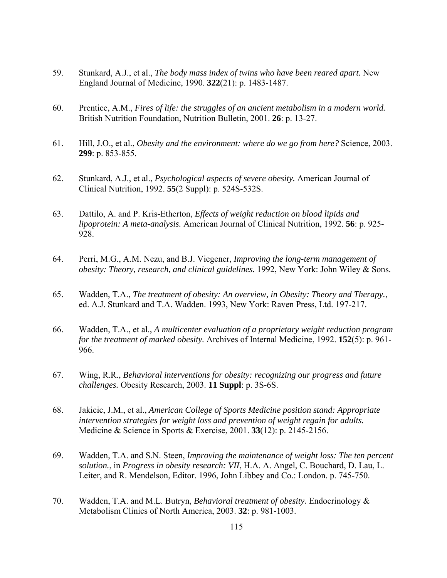- 59. Stunkard, A.J., et al., *The body mass index of twins who have been reared apart.* New England Journal of Medicine, 1990. **322**(21): p. 1483-1487.
- 60. Prentice, A.M., *Fires of life: the struggles of an ancient metabolism in a modern world.* British Nutrition Foundation, Nutrition Bulletin, 2001. **26**: p. 13-27.
- 61. Hill, J.O., et al., *Obesity and the environment: where do we go from here?* Science, 2003. **299**: p. 853-855.
- 62. Stunkard, A.J., et al., *Psychological aspects of severe obesity.* American Journal of Clinical Nutrition, 1992. **55**(2 Suppl): p. 524S-532S.
- 63. Dattilo, A. and P. Kris-Etherton, *Effects of weight reduction on blood lipids and lipoprotein: A meta-analysis.* American Journal of Clinical Nutrition, 1992. **56**: p. 925- 928.
- 64. Perri, M.G., A.M. Nezu, and B.J. Viegener, *Improving the long-term management of obesity: Theory, research, and clinical guidelines.* 1992, New York: John Wiley & Sons.
- 65. Wadden, T.A., *The treatment of obesity: An overview, in Obesity: Theory and Therapy.*, ed. A.J. Stunkard and T.A. Wadden. 1993, New York: Raven Press, Ltd. 197-217.
- 66. Wadden, T.A., et al., *A multicenter evaluation of a proprietary weight reduction program for the treatment of marked obesity.* Archives of Internal Medicine, 1992. **152**(5): p. 961- 966.
- 67. Wing, R.R., *Behavioral interventions for obesity: recognizing our progress and future challenges.* Obesity Research, 2003. **11 Suppl**: p. 3S-6S.
- 68. Jakicic, J.M., et al., *American College of Sports Medicine position stand: Appropriate intervention strategies for weight loss and prevention of weight regain for adults.* Medicine & Science in Sports & Exercise, 2001. **33**(12): p. 2145-2156.
- 69. Wadden, T.A. and S.N. Steen, *Improving the maintenance of weight loss: The ten percent solution.*, in *Progress in obesity research: VII*, H.A. A. Angel, C. Bouchard, D. Lau, L. Leiter, and R. Mendelson, Editor. 1996, John Libbey and Co.: London. p. 745-750.
- 70. Wadden, T.A. and M.L. Butryn, *Behavioral treatment of obesity.* Endocrinology & Metabolism Clinics of North America, 2003. **32**: p. 981-1003.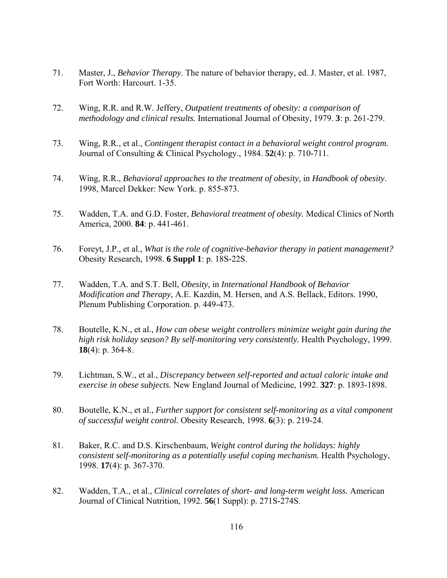- 71. Master, J., *Behavior Therapy*. The nature of behavior therapy, ed. J. Master, et al. 1987, Fort Worth: Harcourt. 1-35.
- 72. Wing, R.R. and R.W. Jeffery, *Outpatient treatments of obesity: a comparison of methodology and clinical results.* International Journal of Obesity, 1979. **3**: p. 261-279.
- 73. Wing, R.R., et al., *Contingent therapist contact in a behavioral weight control program.* Journal of Consulting & Clinical Psychology., 1984. **52**(4): p. 710-711.
- 74. Wing, R.R., *Behavioral approaches to the treatment of obesity*, in *Handbook of obesity*. 1998, Marcel Dekker: New York. p. 855-873.
- 75. Wadden, T.A. and G.D. Foster, *Behavioral treatment of obesity.* Medical Clinics of North America, 2000. **84**: p. 441-461.
- 76. Foreyt, J.P., et al., *What is the role of cognitive-behavior therapy in patient management?* Obesity Research, 1998. **6 Suppl 1**: p. 18S-22S.
- 77. Wadden, T.A. and S.T. Bell, *Obesity*, in *International Handbook of Behavior Modification and Therapy*, A.E. Kazdin, M. Hersen, and A.S. Bellack, Editors. 1990, Plenum Publishing Corporation. p. 449-473.
- 78. Boutelle, K.N., et al., *How can obese weight controllers minimize weight gain during the high risk holiday season? By self-monitoring very consistently.* Health Psychology, 1999. **18**(4): p. 364-8.
- 79. Lichtman, S.W., et al., *Discrepancy between self-reported and actual caloric intake and exercise in obese subjects.* New England Journal of Medicine, 1992. **327**: p. 1893-1898.
- 80. Boutelle, K.N., et al., *Further support for consistent self-monitoring as a vital component of successful weight control.* Obesity Research, 1998. **6**(3): p. 219-24.
- 81. Baker, R.C. and D.S. Kirschenbaum, *Weight control during the holidays: highly consistent self-monitoring as a potentially useful coping mechanism.* Health Psychology, 1998. **17**(4): p. 367-370.
- 82. Wadden, T.A., et al., *Clinical correlates of short- and long-term weight loss.* American Journal of Clinical Nutrition, 1992. **56**(1 Suppl): p. 271S-274S.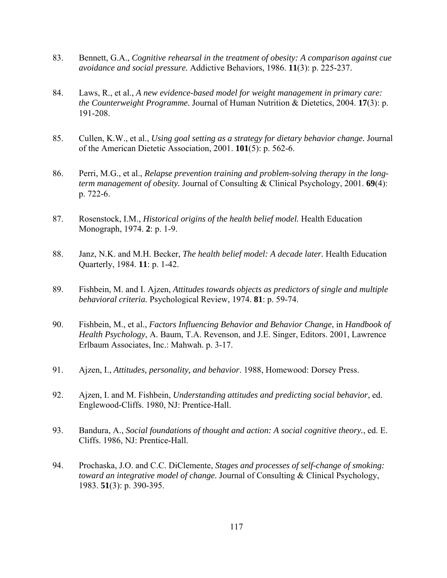- 83. Bennett, G.A., *Cognitive rehearsal in the treatment of obesity: A comparison against cue avoidance and social pressure.* Addictive Behaviors, 1986. **11**(3): p. 225-237.
- 84. Laws, R., et al., *A new evidence-based model for weight management in primary care: the Counterweight Programme.* Journal of Human Nutrition & Dietetics, 2004. **17**(3): p. 191-208.
- 85. Cullen, K.W., et al., *Using goal setting as a strategy for dietary behavior change.* Journal of the American Dietetic Association, 2001. **101**(5): p. 562-6.
- 86. Perri, M.G., et al., *Relapse prevention training and problem-solving therapy in the longterm management of obesity.* Journal of Consulting & Clinical Psychology, 2001. **69**(4): p. 722-6.
- 87. Rosenstock, I.M., *Historical origins of the health belief model.* Health Education Monograph, 1974. **2**: p. 1-9.
- 88. Janz, N.K. and M.H. Becker, *The health belief model: A decade later.* Health Education Quarterly, 1984. **11**: p. 1-42.
- 89. Fishbein, M. and I. Ajzen, *Attitudes towards objects as predictors of single and multiple behavioral criteria.* Psychological Review, 1974. **81**: p. 59-74.
- 90. Fishbein, M., et al., *Factors Influencing Behavior and Behavior Change*, in *Handbook of Health Psychology*, A. Baum, T.A. Revenson, and J.E. Singer, Editors. 2001, Lawrence Erlbaum Associates, Inc.: Mahwah. p. 3-17.
- 91. Ajzen, I., *Attitudes, personality, and behavior*. 1988, Homewood: Dorsey Press.
- 92. Ajzen, I. and M. Fishbein, *Understanding attitudes and predicting social behavior*, ed. Englewood-Cliffs. 1980, NJ: Prentice-Hall.
- 93. Bandura, A., *Social foundations of thought and action: A social cognitive theory.*, ed. E. Cliffs. 1986, NJ: Prentice-Hall.
- 94. Prochaska, J.O. and C.C. DiClemente, *Stages and processes of self-change of smoking: toward an integrative model of change.* Journal of Consulting & Clinical Psychology, 1983. **51**(3): p. 390-395.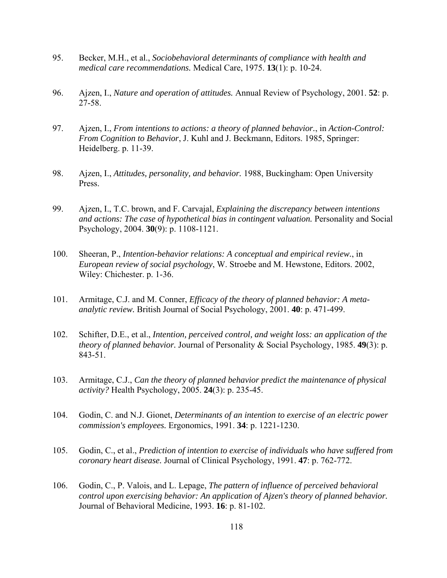- 95. Becker, M.H., et al., *Sociobehavioral determinants of compliance with health and medical care recommendations.* Medical Care, 1975. **13**(1): p. 10-24.
- 96. Ajzen, I., *Nature and operation of attitudes.* Annual Review of Psychology, 2001. **52**: p. 27-58.
- 97. Ajzen, I., *From intentions to actions: a theory of planned behavior.*, in *Action-Control: From Cognition to Behavior*, J. Kuhl and J. Beckmann, Editors. 1985, Springer: Heidelberg. p. 11-39.
- 98. Ajzen, I., *Attitudes, personality, and behavior.* 1988, Buckingham: Open University Press.
- 99. Ajzen, I., T.C. brown, and F. Carvajal, *Explaining the discrepancy between intentions and actions: The case of hypothetical bias in contingent valuation.* Personality and Social Psychology, 2004. **30**(9): p. 1108-1121.
- 100. Sheeran, P., *Intention-behavior relations: A conceptual and empirical review.*, in *European review of social psychology*, W. Stroebe and M. Hewstone, Editors. 2002, Wiley: Chichester. p. 1-36.
- 101. Armitage, C.J. and M. Conner, *Efficacy of the theory of planned behavior: A metaanalytic review.* British Journal of Social Psychology, 2001. **40**: p. 471-499.
- 102. Schifter, D.E., et al., *Intention, perceived control, and weight loss: an application of the theory of planned behavior.* Journal of Personality & Social Psychology, 1985. **49**(3): p. 843-51.
- 103. Armitage, C.J., *Can the theory of planned behavior predict the maintenance of physical activity?* Health Psychology, 2005. **24**(3): p. 235-45.
- 104. Godin, C. and N.J. Gionet, *Determinants of an intention to exercise of an electric power commission's employees.* Ergonomics, 1991. **34**: p. 1221-1230.
- 105. Godin, C., et al., *Prediction of intention to exercise of individuals who have suffered from coronary heart disease.* Journal of Clinical Psychology, 1991. **47**: p. 762-772.
- 106. Godin, C., P. Valois, and L. Lepage, *The pattern of influence of perceived behavioral control upon exercising behavior: An application of Ajzen's theory of planned behavior.* Journal of Behavioral Medicine, 1993. **16**: p. 81-102.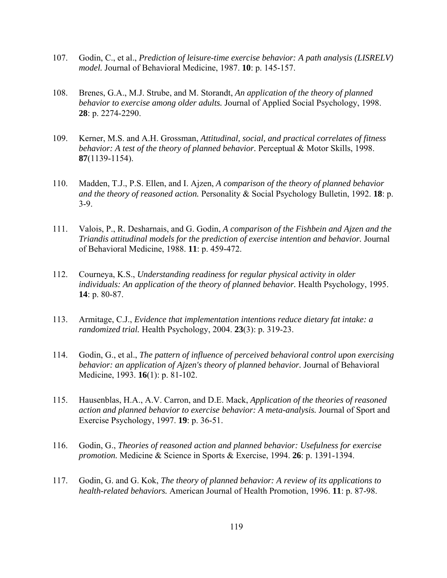- 107. Godin, C., et al., *Prediction of leisure-time exercise behavior: A path analysis (LISRELV) model.* Journal of Behavioral Medicine, 1987. **10**: p. 145-157.
- 108. Brenes, G.A., M.J. Strube, and M. Storandt, *An application of the theory of planned behavior to exercise among older adults.* Journal of Applied Social Psychology, 1998. **28**: p. 2274-2290.
- 109. Kerner, M.S. and A.H. Grossman, *Attitudinal, social, and practical correlates of fitness behavior: A test of the theory of planned behavior.* Perceptual & Motor Skills, 1998. **87**(1139-1154).
- 110. Madden, T.J., P.S. Ellen, and I. Ajzen, *A comparison of the theory of planned behavior and the theory of reasoned action.* Personality & Social Psychology Bulletin, 1992. **18**: p. 3-9.
- 111. Valois, P., R. Desharnais, and G. Godin, *A comparison of the Fishbein and Ajzen and the Triandis attitudinal models for the prediction of exercise intention and behavior.* Journal of Behavioral Medicine, 1988. **11**: p. 459-472.
- 112. Courneya, K.S., *Understanding readiness for regular physical activity in older individuals: An application of the theory of planned behavior.* Health Psychology, 1995. **14**: p. 80-87.
- 113. Armitage, C.J., *Evidence that implementation intentions reduce dietary fat intake: a randomized trial.* Health Psychology, 2004. **23**(3): p. 319-23.
- 114. Godin, G., et al., *The pattern of influence of perceived behavioral control upon exercising behavior: an application of Ajzen's theory of planned behavior.* Journal of Behavioral Medicine, 1993. **16**(1): p. 81-102.
- 115. Hausenblas, H.A., A.V. Carron, and D.E. Mack, *Application of the theories of reasoned action and planned behavior to exercise behavior: A meta-analysis.* Journal of Sport and Exercise Psychology, 1997. **19**: p. 36-51.
- 116. Godin, G., *Theories of reasoned action and planned behavior: Usefulness for exercise promotion.* Medicine & Science in Sports & Exercise, 1994. **26**: p. 1391-1394.
- 117. Godin, G. and G. Kok, *The theory of planned behavior: A review of its applications to health-related behaviors.* American Journal of Health Promotion, 1996. **11**: p. 87-98.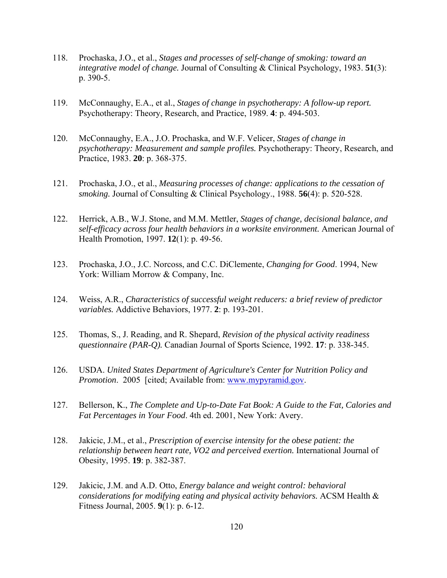- 118. Prochaska, J.O., et al., *Stages and processes of self-change of smoking: toward an integrative model of change.* Journal of Consulting & Clinical Psychology, 1983. **51**(3): p. 390-5.
- 119. McConnaughy, E.A., et al., *Stages of change in psychotherapy: A follow-up report.* Psychotherapy: Theory, Research, and Practice, 1989. **4**: p. 494-503.
- 120. McConnaughy, E.A., J.O. Prochaska, and W.F. Velicer, *Stages of change in psychotherapy: Measurement and sample profiles.* Psychotherapy: Theory, Research, and Practice, 1983. **20**: p. 368-375.
- 121. Prochaska, J.O., et al., *Measuring processes of change: applications to the cessation of smoking.* Journal of Consulting & Clinical Psychology., 1988. **56**(4): p. 520-528.
- 122. Herrick, A.B., W.J. Stone, and M.M. Mettler, *Stages of change, decisional balance, and self-efficacy across four health behaviors in a worksite environment.* American Journal of Health Promotion, 1997. **12**(1): p. 49-56.
- 123. Prochaska, J.O., J.C. Norcoss, and C.C. DiClemente, *Changing for Good*. 1994, New York: William Morrow & Company, Inc.
- 124. Weiss, A.R., *Characteristics of successful weight reducers: a brief review of predictor variables.* Addictive Behaviors, 1977. **2**: p. 193-201.
- 125. Thomas, S., J. Reading, and R. Shepard, *Revision of the physical activity readiness questionnaire (PAR-Q).* Canadian Journal of Sports Science, 1992. **17**: p. 338-345.
- 126. USDA. *United States Department of Agriculture's Center for Nutrition Policy and Promotion*. 2005 [cited; Available from: www.mypyramid.gov.
- 127. Bellerson, K., *The Complete and Up-to-Date Fat Book: A Guide to the Fat, Calories and Fat Percentages in Your Food*. 4th ed. 2001, New York: Avery.
- 128. Jakicic, J.M., et al., *Prescription of exercise intensity for the obese patient: the relationship between heart rate, VO2 and perceived exertion.* International Journal of Obesity, 1995. **19**: p. 382-387.
- 129. Jakicic, J.M. and A.D. Otto, *Energy balance and weight control: behavioral considerations for modifying eating and physical activity behaviors.* ACSM Health & Fitness Journal, 2005. **9**(1): p. 6-12.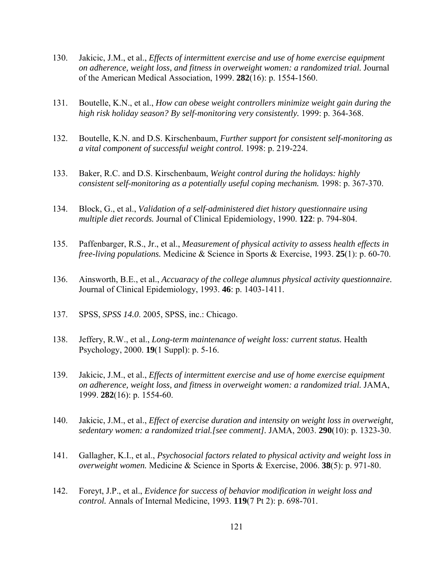- 130. Jakicic, J.M., et al., *Effects of intermittent exercise and use of home exercise equipment on adherence, weight loss, and fitness in overweight women: a randomized trial.* Journal of the American Medical Association, 1999. **282**(16): p. 1554-1560.
- 131. Boutelle, K.N., et al., *How can obese weight controllers minimize weight gain during the high risk holiday season? By self-monitoring very consistently.* 1999: p. 364-368.
- 132. Boutelle, K.N. and D.S. Kirschenbaum, *Further support for consistent self-monitoring as a vital component of successful weight control.* 1998: p. 219-224.
- 133. Baker, R.C. and D.S. Kirschenbaum, *Weight control during the holidays: highly consistent self-monitoring as a potentially useful coping mechanism.* 1998: p. 367-370.
- 134. Block, G., et al., *Validation of a self-administered diet history questionnaire using multiple diet records.* Journal of Clinical Epidemiology, 1990. **122**: p. 794-804.
- 135. Paffenbarger, R.S., Jr., et al., *Measurement of physical activity to assess health effects in free-living populations.* Medicine & Science in Sports & Exercise, 1993. **25**(1): p. 60-70.
- 136. Ainsworth, B.E., et al., *Accuaracy of the college alumnus physical activity questionnaire.* Journal of Clinical Epidemiology, 1993. **46**: p. 1403-1411.
- 137. SPSS, *SPSS 14.0*. 2005, SPSS, inc.: Chicago.
- 138. Jeffery, R.W., et al., *Long-term maintenance of weight loss: current status.* Health Psychology, 2000. **19**(1 Suppl): p. 5-16.
- 139. Jakicic, J.M., et al., *Effects of intermittent exercise and use of home exercise equipment on adherence, weight loss, and fitness in overweight women: a randomized trial.* JAMA, 1999. **282**(16): p. 1554-60.
- 140. Jakicic, J.M., et al., *Effect of exercise duration and intensity on weight loss in overweight, sedentary women: a randomized trial.[see comment].* JAMA, 2003. **290**(10): p. 1323-30.
- 141. Gallagher, K.I., et al., *Psychosocial factors related to physical activity and weight loss in overweight women.* Medicine & Science in Sports & Exercise, 2006. **38**(5): p. 971-80.
- 142. Foreyt, J.P., et al., *Evidence for success of behavior modification in weight loss and control.* Annals of Internal Medicine, 1993. **119**(7 Pt 2): p. 698-701.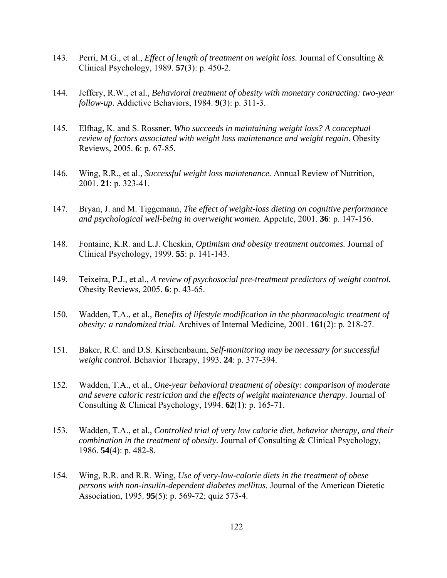- 143. Perri, M.G., et al., *Effect of length of treatment on weight loss.* Journal of Consulting & Clinical Psychology, 1989. **57**(3): p. 450-2.
- 144. Jeffery, R.W., et al., *Behavioral treatment of obesity with monetary contracting: two-year follow-up.* Addictive Behaviors, 1984. **9**(3): p. 311-3.
- 145. Elfhag, K. and S. Rossner, *Who succeeds in maintaining weight loss? A conceptual review of factors associated with weight loss maintenance and weight regain.* Obesity Reviews, 2005. **6**: p. 67-85.
- 146. Wing, R.R., et al., *Successful weight loss maintenance.* Annual Review of Nutrition, 2001. **21**: p. 323-41.
- 147. Bryan, J. and M. Tiggemann, *The effect of weight-loss dieting on cognitive performance and psychological well-being in overweight women.* Appetite, 2001. **36**: p. 147-156.
- 148. Fontaine, K.R. and L.J. Cheskin, *Optimism and obesity treatment outcomes.* Journal of Clinical Psychology, 1999. **55**: p. 141-143.
- 149. Teixeira, P.J., et al., *A review of psychosocial pre-treatment predictors of weight control.* Obesity Reviews, 2005. **6**: p. 43-65.
- 150. Wadden, T.A., et al., *Benefits of lifestyle modification in the pharmacologic treatment of obesity: a randomized trial.* Archives of Internal Medicine, 2001. **161**(2): p. 218-27.
- 151. Baker, R.C. and D.S. Kirschenbaum, *Self-monitoring may be necessary for successful weight control.* Behavior Therapy, 1993. **24**: p. 377-394.
- 152. Wadden, T.A., et al., *One-year behavioral treatment of obesity: comparison of moderate and severe caloric restriction and the effects of weight maintenance therapy.* Journal of Consulting & Clinical Psychology, 1994. **62**(1): p. 165-71.
- 153. Wadden, T.A., et al., *Controlled trial of very low calorie diet, behavior therapy, and their combination in the treatment of obesity.* Journal of Consulting & Clinical Psychology, 1986. **54**(4): p. 482-8.
- 154. Wing, R.R. and R.R. Wing, *Use of very-low-calorie diets in the treatment of obese persons with non-insulin-dependent diabetes mellitus.* Journal of the American Dietetic Association, 1995. **95**(5): p. 569-72; quiz 573-4.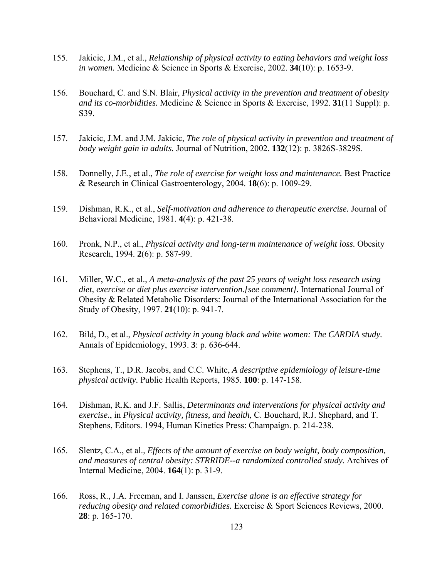- 155. Jakicic, J.M., et al., *Relationship of physical activity to eating behaviors and weight loss in women.* Medicine & Science in Sports & Exercise, 2002. **34**(10): p. 1653-9.
- 156. Bouchard, C. and S.N. Blair, *Physical activity in the prevention and treatment of obesity and its co-morbidities.* Medicine & Science in Sports & Exercise, 1992. **31**(11 Suppl): p. S39.
- 157. Jakicic, J.M. and J.M. Jakicic, *The role of physical activity in prevention and treatment of body weight gain in adults.* Journal of Nutrition, 2002. **132**(12): p. 3826S-3829S.
- 158. Donnelly, J.E., et al., *The role of exercise for weight loss and maintenance.* Best Practice & Research in Clinical Gastroenterology, 2004. **18**(6): p. 1009-29.
- 159. Dishman, R.K., et al., *Self-motivation and adherence to therapeutic exercise.* Journal of Behavioral Medicine, 1981. **4**(4): p. 421-38.
- 160. Pronk, N.P., et al., *Physical activity and long-term maintenance of weight loss.* Obesity Research, 1994. **2**(6): p. 587-99.
- 161. Miller, W.C., et al., *A meta-analysis of the past 25 years of weight loss research using diet, exercise or diet plus exercise intervention.[see comment].* International Journal of Obesity & Related Metabolic Disorders: Journal of the International Association for the Study of Obesity, 1997. **21**(10): p. 941-7.
- 162. Bild, D., et al., *Physical activity in young black and white women: The CARDIA study.* Annals of Epidemiology, 1993. **3**: p. 636-644.
- 163. Stephens, T., D.R. Jacobs, and C.C. White, *A descriptive epidemiology of leisure-time physical activity.* Public Health Reports, 1985. **100**: p. 147-158.
- 164. Dishman, R.K. and J.F. Sallis, *Determinants and interventions for physical activity and exercise.*, in *Physical activity, fitness, and health*, C. Bouchard, R.J. Shephard, and T. Stephens, Editors. 1994, Human Kinetics Press: Champaign. p. 214-238.
- 165. Slentz, C.A., et al., *Effects of the amount of exercise on body weight, body composition, and measures of central obesity: STRRIDE--a randomized controlled study.* Archives of Internal Medicine, 2004. **164**(1): p. 31-9.
- 166. Ross, R., J.A. Freeman, and I. Janssen, *Exercise alone is an effective strategy for reducing obesity and related comorbidities.* Exercise & Sport Sciences Reviews, 2000. **28**: p. 165-170.